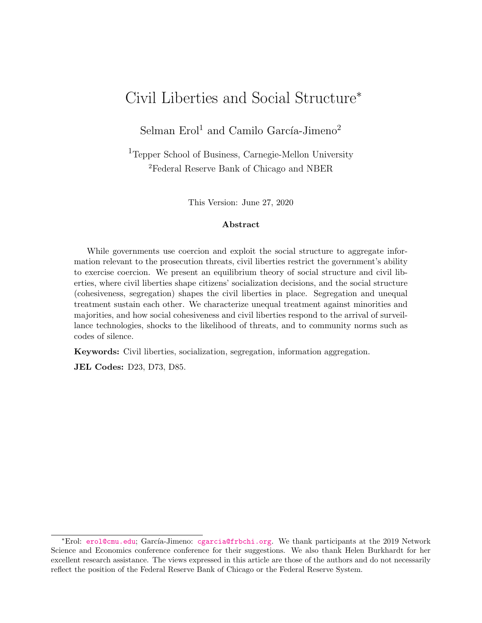## Civil Liberties and Social Structure<sup>∗</sup>

Selman Erol<sup>1</sup> and Camilo García-Jimeno<sup>2</sup>

<sup>1</sup>Tepper School of Business, Carnegie-Mellon University <sup>2</sup>Federal Reserve Bank of Chicago and NBER

This Version: June 27, 2020

#### Abstract

While governments use coercion and exploit the social structure to aggregate information relevant to the prosecution threats, civil liberties restrict the government's ability to exercise coercion. We present an equilibrium theory of social structure and civil liberties, where civil liberties shape citizens' socialization decisions, and the social structure (cohesiveness, segregation) shapes the civil liberties in place. Segregation and unequal treatment sustain each other. We characterize unequal treatment against minorities and majorities, and how social cohesiveness and civil liberties respond to the arrival of surveillance technologies, shocks to the likelihood of threats, and to community norms such as codes of silence.

Keywords: Civil liberties, socialization, segregation, information aggregation.

JEL Codes: D23, D73, D85.

<sup>\*</sup>Erol: <erol@cmu.edu>; García-Jimeno: <cgarcia@frbchi.org>. We thank participants at the 2019 Network Science and Economics conference conference for their suggestions. We also thank Helen Burkhardt for her excellent research assistance. The views expressed in this article are those of the authors and do not necessarily reflect the position of the Federal Reserve Bank of Chicago or the Federal Reserve System.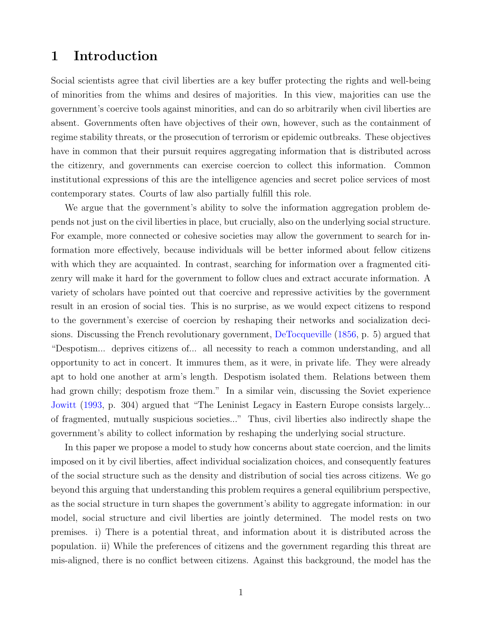### 1 Introduction

Social scientists agree that civil liberties are a key buffer protecting the rights and well-being of minorities from the whims and desires of majorities. In this view, majorities can use the government's coercive tools against minorities, and can do so arbitrarily when civil liberties are absent. Governments often have objectives of their own, however, such as the containment of regime stability threats, or the prosecution of terrorism or epidemic outbreaks. These objectives have in common that their pursuit requires aggregating information that is distributed across the citizenry, and governments can exercise coercion to collect this information. Common institutional expressions of this are the intelligence agencies and secret police services of most contemporary states. Courts of law also partially fulfill this role.

We argue that the government's ability to solve the information aggregation problem depends not just on the civil liberties in place, but crucially, also on the underlying social structure. For example, more connected or cohesive societies may allow the government to search for information more effectively, because individuals will be better informed about fellow citizens with which they are acquainted. In contrast, searching for information over a fragmented citizenry will make it hard for the government to follow clues and extract accurate information. A variety of scholars have pointed out that coercive and repressive activities by the government result in an erosion of social ties. This is no surprise, as we would expect citizens to respond to the government's exercise of coercion by reshaping their networks and socialization decisions. Discussing the French revolutionary government, [DeTocqueville](#page-40-0) [\(1856,](#page-40-0) p. 5) argued that "Despotism... deprives citizens of... all necessity to reach a common understanding, and all opportunity to act in concert. It immures them, as it were, in private life. They were already apt to hold one another at arm's length. Despotism isolated them. Relations between them had grown chilly; despotism froze them." In a similar vein, discussing the Soviet experience [Jowitt](#page-41-0) [\(1993,](#page-41-0) p. 304) argued that "The Leninist Legacy in Eastern Europe consists largely... of fragmented, mutually suspicious societies..." Thus, civil liberties also indirectly shape the government's ability to collect information by reshaping the underlying social structure.

In this paper we propose a model to study how concerns about state coercion, and the limits imposed on it by civil liberties, affect individual socialization choices, and consequently features of the social structure such as the density and distribution of social ties across citizens. We go beyond this arguing that understanding this problem requires a general equilibrium perspective, as the social structure in turn shapes the government's ability to aggregate information: in our model, social structure and civil liberties are jointly determined. The model rests on two premises. i) There is a potential threat, and information about it is distributed across the population. ii) While the preferences of citizens and the government regarding this threat are mis-aligned, there is no conflict between citizens. Against this background, the model has the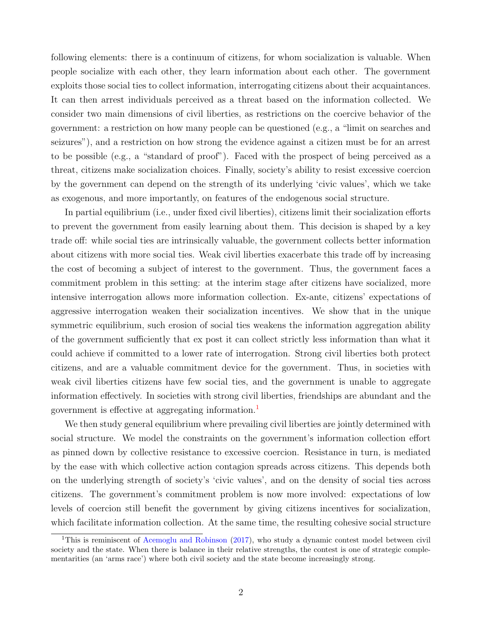following elements: there is a continuum of citizens, for whom socialization is valuable. When people socialize with each other, they learn information about each other. The government exploits those social ties to collect information, interrogating citizens about their acquaintances. It can then arrest individuals perceived as a threat based on the information collected. We consider two main dimensions of civil liberties, as restrictions on the coercive behavior of the government: a restriction on how many people can be questioned (e.g., a "limit on searches and seizures"), and a restriction on how strong the evidence against a citizen must be for an arrest to be possible (e.g., a "standard of proof"). Faced with the prospect of being perceived as a threat, citizens make socialization choices. Finally, society's ability to resist excessive coercion by the government can depend on the strength of its underlying 'civic values', which we take as exogenous, and more importantly, on features of the endogenous social structure.

In partial equilibrium (i.e., under fixed civil liberties), citizens limit their socialization efforts to prevent the government from easily learning about them. This decision is shaped by a key trade off: while social ties are intrinsically valuable, the government collects better information about citizens with more social ties. Weak civil liberties exacerbate this trade off by increasing the cost of becoming a subject of interest to the government. Thus, the government faces a commitment problem in this setting: at the interim stage after citizens have socialized, more intensive interrogation allows more information collection. Ex-ante, citizens' expectations of aggressive interrogation weaken their socialization incentives. We show that in the unique symmetric equilibrium, such erosion of social ties weakens the information aggregation ability of the government sufficiently that ex post it can collect strictly less information than what it could achieve if committed to a lower rate of interrogation. Strong civil liberties both protect citizens, and are a valuable commitment device for the government. Thus, in societies with weak civil liberties citizens have few social ties, and the government is unable to aggregate information effectively. In societies with strong civil liberties, friendships are abundant and the government is effective at aggregating information.<sup>[1](#page-2-0)</sup>

We then study general equilibrium where prevailing civil liberties are jointly determined with social structure. We model the constraints on the government's information collection effort as pinned down by collective resistance to excessive coercion. Resistance in turn, is mediated by the ease with which collective action contagion spreads across citizens. This depends both on the underlying strength of society's 'civic values', and on the density of social ties across citizens. The government's commitment problem is now more involved: expectations of low levels of coercion still benefit the government by giving citizens incentives for socialization, which facilitate information collection. At the same time, the resulting cohesive social structure

<span id="page-2-0"></span><sup>&</sup>lt;sup>1</sup>This is reminiscent of [Acemoglu and Robinson](#page-39-0) [\(2017\)](#page-39-0), who study a dynamic contest model between civil society and the state. When there is balance in their relative strengths, the contest is one of strategic complementarities (an 'arms race') where both civil society and the state become increasingly strong.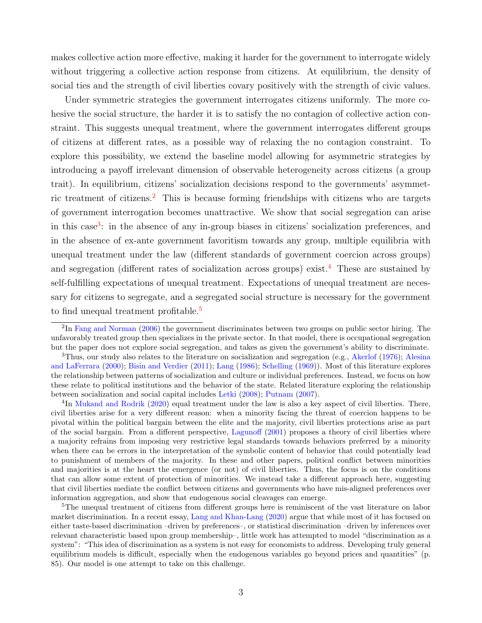makes collective action more effective, making it harder for the government to interrogate widely without triggering a collective action response from citizens. At equilibrium, the density of social ties and the strength of civil liberties covary positively with the strength of civic values.

Under symmetric strategies the government interrogates citizens uniformly. The more cohesive the social structure, the harder it is to satisfy the no contagion of collective action constraint. This suggests unequal treatment, where the government interrogates different groups of citizens at different rates, as a possible way of relaxing the no contagion constraint. To explore this possibility, we extend the baseline model allowing for asymmetric strategies by introducing a payoff irrelevant dimension of observable heterogeneity across citizens (a group trait). In equilibrium, citizens' socialization decisions respond to the governments' asymmet-ric treatment of citizens.<sup>[2](#page-3-0)</sup> This is because forming friendships with citizens who are targets of government interrogation becomes unattractive. We show that social segregation can arise in this case<sup>[3](#page-3-1)</sup>: in the absence of any in-group biases in citizens' socialization preferences, and in the absence of ex-ante government favoritism towards any group, multiple equilibria with unequal treatment under the law (different standards of government coercion across groups) and segregation (different rates of socialization across groups) exist.<sup>[4](#page-3-2)</sup> These are sustained by self-fulfilling expectations of unequal treatment. Expectations of unequal treatment are necessary for citizens to segregate, and a segregated social structure is necessary for the government to find unequal treatment profitable.<sup>[5](#page-3-3)</sup>

<span id="page-3-1"></span><sup>3</sup>Thus, our study also relates to the literature on socialization and segregation (e.g., [Akerlof](#page-40-1) [\(1976\)](#page-40-1); [Alesina](#page-40-2) [and LaFerrara](#page-40-2) [\(2000\)](#page-40-2); [Bisin and Verdier](#page-40-3) [\(2011\)](#page-40-3); [Lang](#page-41-2) [\(1986\)](#page-41-2); [Schelling](#page-42-0) [\(1969\)](#page-42-0)). Most of this literature explores the relationship between patterns of socialization and culture or individual preferences. Instead, we focus on how these relate to political institutions and the behavior of the state. Related literature exploring the relationship between socialization and social capital includes [Letki](#page-41-3) [\(2008\)](#page-41-3); [Putnam](#page-42-1) [\(2007\)](#page-42-1).

<span id="page-3-2"></span><sup>4</sup>In [Mukand and Rodrik](#page-42-2) [\(2020\)](#page-42-2) equal treatment under the law is also a key aspect of civil liberties. There, civil liberties arise for a very different reason: when a minority facing the threat of coercion happens to be pivotal within the political bargain between the elite and the majority, civil liberties protections arise as part of the social bargain. From a different perspective, [Lagunoff](#page-41-4) [\(2001\)](#page-41-4) proposes a theory of civil liberties where a majority refrains from imposing very restrictive legal standards towards behaviors preferred by a minority when there can be errors in the interpretation of the symbolic content of behavior that could potentially lead to punishment of members of the majority. In these and other papers, political conflict between minorities and majorities is at the heart the emergence (or not) of civil liberties. Thus, the focus is on the conditions that can allow some extent of protection of minorities. We instead take a different approach here, suggesting that civil liberties mediate the conflict between citizens and governments who have mis-aligned preferences over information aggregation, and show that endogenous social cleavages can emerge.

<span id="page-3-3"></span><sup>5</sup>The unequal treatment of citizens from different groups here is reminiscent of the vast literature on labor market discrimination. In a recent essay, [Lang and Khan-Lang](#page-41-5) [\(2020\)](#page-41-5) argue that while most of it has focused on either taste-based discrimination –driven by preferences–, or statistical discrimination –driven by inferences over relevant characteristic based upon group membership–, little work has attempted to model "discrimination as a system": "This idea of discrimination as a system is not easy for economists to address. Developing truly general equilibrium models is difficult, especially when the endogenous variables go beyond prices and quantities" (p. 85). Our model is one attempt to take on this challenge.

<span id="page-3-0"></span><sup>&</sup>lt;sup>2</sup>In [Fang and Norman](#page-41-1) [\(2006\)](#page-41-1) the government discriminates between two groups on public sector hiring. The unfavorably treated group then specializes in the private sector. In that model, there is occupational segregation but the paper does not explore social segregation, and takes as given the government's ability to discriminate.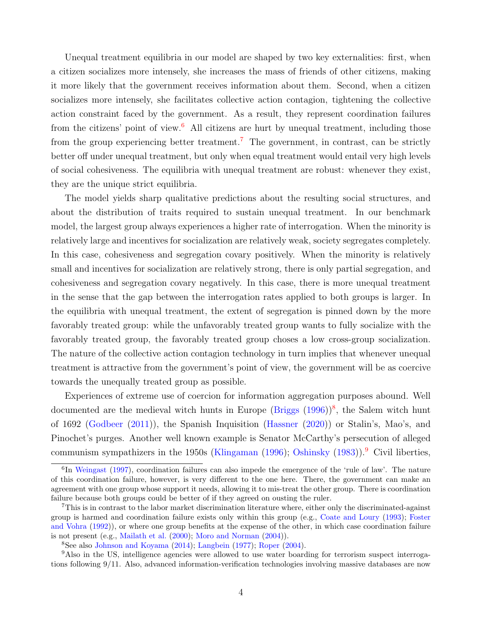Unequal treatment equilibria in our model are shaped by two key externalities: first, when a citizen socializes more intensely, she increases the mass of friends of other citizens, making it more likely that the government receives information about them. Second, when a citizen socializes more intensely, she facilitates collective action contagion, tightening the collective action constraint faced by the government. As a result, they represent coordination failures from the citizens' point of view.<sup>[6](#page-4-0)</sup> All citizens are hurt by unequal treatment, including those from the group experiencing better treatment.<sup>[7](#page-4-1)</sup> The government, in contrast, can be strictly better off under unequal treatment, but only when equal treatment would entail very high levels of social cohesiveness. The equilibria with unequal treatment are robust: whenever they exist, they are the unique strict equilibria.

The model yields sharp qualitative predictions about the resulting social structures, and about the distribution of traits required to sustain unequal treatment. In our benchmark model, the largest group always experiences a higher rate of interrogation. When the minority is relatively large and incentives for socialization are relatively weak, society segregates completely. In this case, cohesiveness and segregation covary positively. When the minority is relatively small and incentives for socialization are relatively strong, there is only partial segregation, and cohesiveness and segregation covary negatively. In this case, there is more unequal treatment in the sense that the gap between the interrogation rates applied to both groups is larger. In the equilibria with unequal treatment, the extent of segregation is pinned down by the more favorably treated group: while the unfavorably treated group wants to fully socialize with the favorably treated group, the favorably treated group choses a low cross-group socialization. The nature of the collective action contagion technology in turn implies that whenever unequal treatment is attractive from the government's point of view, the government will be as coercive towards the unequally treated group as possible.

Experiences of extreme use of coercion for information aggregation purposes abound. Well documented are the medieval witch hunts in Europe  $(Briggs (1996))^8$  $(Briggs (1996))^8$  $(Briggs (1996))^8$  $(Briggs (1996))^8$ , the Salem witch hunt of 1692 [\(Godbeer](#page-41-6) [\(2011\)](#page-41-6)), the Spanish Inquisition [\(Hassner](#page-41-7) [\(2020\)](#page-41-7)) or Stalin's, Mao's, and Pinochet's purges. Another well known example is Senator McCarthy's persecution of alleged communism sympathizers in the 1950s [\(Klingaman](#page-41-8) [\(1996\)](#page-41-8); [Oshinsky](#page-42-3) [\(1983\)](#page-42-3)).<sup>[9](#page-4-3)</sup> Civil liberties,

<span id="page-4-0"></span><sup>&</sup>lt;sup>6</sup>In [Weingast](#page-42-4) [\(1997\)](#page-42-4), coordination failures can also impede the emergence of the 'rule of law'. The nature of this coordination failure, however, is very different to the one here. There, the government can make an agreement with one group whose support it needs, allowing it to mis-treat the other group. There is coordination failure because both groups could be better of if they agreed on ousting the ruler.

<span id="page-4-1"></span><sup>7</sup>This is in contrast to the labor market discrimination literature where, either only the discriminated-against group is harmed and coordination failure exists only within this group (e.g., [Coate and Loury](#page-40-5) [\(1993\)](#page-40-5); [Foster](#page-41-9) [and Vohra](#page-41-9) [\(1992\)](#page-41-9)), or where one group benefits at the expense of the other, in which case coordination failure is not present (e.g., [Mailath et al.](#page-41-10) [\(2000\)](#page-41-10); [Moro and Norman](#page-41-11) [\(2004\)](#page-41-11)).

<span id="page-4-3"></span><span id="page-4-2"></span><sup>8</sup>See also [Johnson and Koyama](#page-41-12) [\(2014\)](#page-41-12); [Langbein](#page-41-13) [\(1977\)](#page-41-13); [Roper](#page-42-5) [\(2004\)](#page-42-5).

<sup>9</sup>Also in the US, intelligence agencies were allowed to use water boarding for terrorism suspect interrogations following 9/11. Also, advanced information-verification technologies involving massive databases are now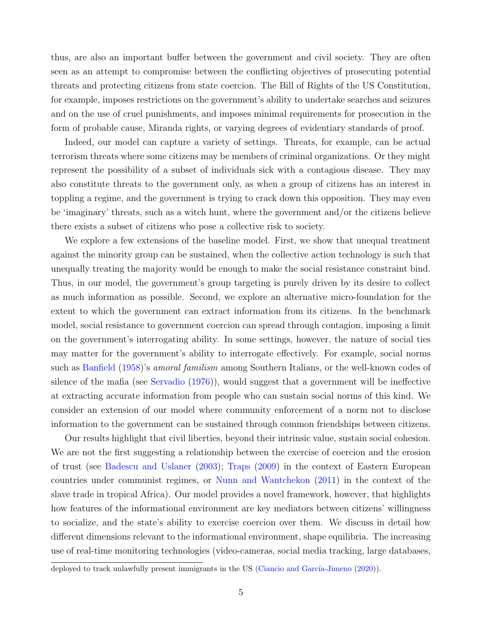thus, are also an important buffer between the government and civil society. They are often seen as an attempt to compromise between the conflicting objectives of prosecuting potential threats and protecting citizens from state coercion. The Bill of Rights of the US Constitution, for example, imposes restrictions on the government's ability to undertake searches and seizures and on the use of cruel punishments, and imposes minimal requirements for prosecution in the form of probable cause, Miranda rights, or varying degrees of evidentiary standards of proof.

Indeed, our model can capture a variety of settings. Threats, for example, can be actual terrorism threats where some citizens may be members of criminal organizations. Or they might represent the possibility of a subset of individuals sick with a contagious disease. They may also constitute threats to the government only, as when a group of citizens has an interest in toppling a regime, and the government is trying to crack down this opposition. They may even be 'imaginary' threats, such as a witch hunt, where the government and/or the citizens believe there exists a subset of citizens who pose a collective risk to society.

We explore a few extensions of the baseline model. First, we show that unequal treatment against the minority group can be sustained, when the collective action technology is such that unequally treating the majority would be enough to make the social resistance constraint bind. Thus, in our model, the government's group targeting is purely driven by its desire to collect as much information as possible. Second, we explore an alternative micro-foundation for the extent to which the government can extract information from its citizens. In the benchmark model, social resistance to government coercion can spread through contagion, imposing a limit on the government's interrogating ability. In some settings, however, the nature of social ties may matter for the government's ability to interrogate effectively. For example, social norms such as [Banfield](#page-40-6) [\(1958\)](#page-40-6)'s *amoral familism* among Southern Italians, or the well-known codes of silence of the mafia (see [Servadio](#page-42-6) [\(1976\)](#page-42-6)), would suggest that a government will be ineffective at extracting accurate information from people who can sustain social norms of this kind. We consider an extension of our model where community enforcement of a norm not to disclose information to the government can be sustained through common friendships between citizens.

Our results highlight that civil liberties, beyond their intrinsic value, sustain social cohesion. We are not the first suggesting a relationship between the exercise of coercion and the erosion of trust (see [Badescu and Uslaner](#page-40-7) [\(2003\)](#page-40-7); [Traps](#page-42-7) [\(2009\)](#page-42-7) in the context of Eastern European countries under communist regimes, or [Nunn and Wantchekon](#page-42-8) [\(2011\)](#page-42-8) in the context of the slave trade in tropical Africa). Our model provides a novel framework, however, that highlights how features of the informational environment are key mediators between citizens' willingness to socialize, and the state's ability to exercise coercion over them. We discuss in detail how different dimensions relevant to the informational environment, shape equilibria. The increasing use of real-time monitoring technologies (video-cameras, social media tracking, large databases,

deployed to track unlawfully present immigrants in the US (Ciancio and García-Jimeno  $(2020)$ ).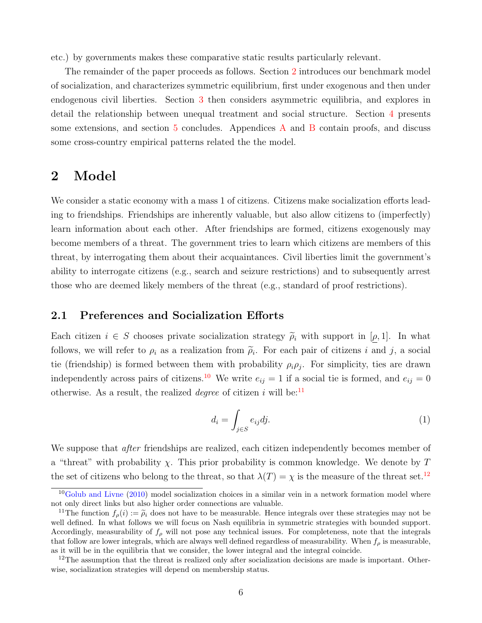etc.) by governments makes these comparative static results particularly relevant.

The remainder of the paper proceeds as follows. Section [2](#page-6-0) introduces our benchmark model of socialization, and characterizes symmetric equilibrium, first under exogenous and then under endogenous civil liberties. Section [3](#page-18-0) then considers asymmetric equilibria, and explores in detail the relationship between unequal treatment and social structure. Section [4](#page-35-0) presents some extensions, and section [5](#page-38-0) concludes. Appendices [A](#page-43-0) and [B](#page-45-0) contain proofs, and discuss some cross-country empirical patterns related the the model.

### <span id="page-6-0"></span>2 Model

We consider a static economy with a mass 1 of citizens. Citizens make socialization efforts leading to friendships. Friendships are inherently valuable, but also allow citizens to (imperfectly) learn information about each other. After friendships are formed, citizens exogenously may become members of a threat. The government tries to learn which citizens are members of this threat, by interrogating them about their acquaintances. Civil liberties limit the government's ability to interrogate citizens (e.g., search and seizure restrictions) and to subsequently arrest those who are deemed likely members of the threat (e.g., standard of proof restrictions).

### 2.1 Preferences and Socialization Efforts

Each citizen  $i \in S$  chooses private socialization strategy  $\tilde{\rho}_i$  with support in  $[\rho, 1]$ . In what follows, we will refer to  $\rho_i$  as a realization from  $\tilde{\rho}_i$ . For each pair of citizens i and j, a social tie (friendship) is formed between them with probability  $\rho_i \rho_j$ . For simplicity, ties are drawn independently across pairs of citizens.<sup>[10](#page-6-1)</sup> We write  $e_{ij} = 1$  if a social tie is formed, and  $e_{ij} = 0$ otherwise. As a result, the realized *degree* of citizen i will be:<sup>[11](#page-6-2)</sup>

$$
d_i = \int_{j \in S} e_{ij} dj.
$$
\n(1)

We suppose that *after* friendships are realized, each citizen independently becomes member of a "threat" with probability  $\chi$ . This prior probability is common knowledge. We denote by T the set of citizens who belong to the threat, so that  $\lambda(T) = \chi$  is the measure of the threat set.<sup>[12](#page-6-3)</sup>

<span id="page-6-1"></span> $10$ [Golub and Livne](#page-41-14) [\(2010\)](#page-41-14) model socialization choices in a similar vein in a network formation model where not only direct links but also higher order connections are valuable.

<span id="page-6-2"></span><sup>&</sup>lt;sup>11</sup>The function  $f_{\rho}(i) := \tilde{\rho}_i$  does not have to be measurable. Hence integrals over these strategies may not be well defined. In what follows we will focus on Nash equilibria in symmetric strategies with bounded support. Accordingly, measurability of  $f_{\rho}$  will not pose any technical issues. For completeness, note that the integrals that follow are lower integrals, which are always well defined regardless of measurability. When  $f_{\rho}$  is measurable, as it will be in the equilibria that we consider, the lower integral and the integral coincide.

<span id="page-6-3"></span><sup>&</sup>lt;sup>12</sup>The assumption that the threat is realized only after socialization decisions are made is important. Otherwise, socialization strategies will depend on membership status.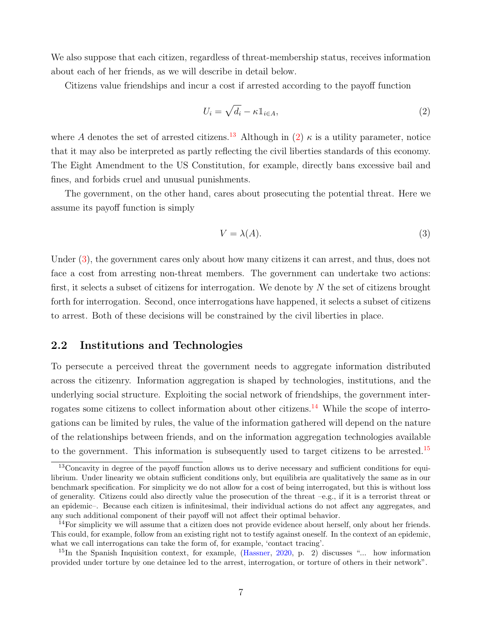We also suppose that each citizen, regardless of threat-membership status, receives information about each of her friends, as we will describe in detail below.

Citizens value friendships and incur a cost if arrested according to the payoff function

<span id="page-7-1"></span>
$$
U_i = \sqrt{d_i} - \kappa \mathbb{1}_{i \in A},\tag{2}
$$

where A denotes the set of arrested citizens.<sup>[13](#page-7-0)</sup> Although in [\(2\)](#page-7-1)  $\kappa$  is a utility parameter, notice that it may also be interpreted as partly reflecting the civil liberties standards of this economy. The Eight Amendment to the US Constitution, for example, directly bans excessive bail and fines, and forbids cruel and unusual punishments.

The government, on the other hand, cares about prosecuting the potential threat. Here we assume its payoff function is simply

<span id="page-7-2"></span>
$$
V = \lambda(A). \tag{3}
$$

Under [\(3\)](#page-7-2), the government cares only about how many citizens it can arrest, and thus, does not face a cost from arresting non-threat members. The government can undertake two actions: first, it selects a subset of citizens for interrogation. We denote by  $N$  the set of citizens brought forth for interrogation. Second, once interrogations have happened, it selects a subset of citizens to arrest. Both of these decisions will be constrained by the civil liberties in place.

### 2.2 Institutions and Technologies

To persecute a perceived threat the government needs to aggregate information distributed across the citizenry. Information aggregation is shaped by technologies, institutions, and the underlying social structure. Exploiting the social network of friendships, the government inter-rogates some citizens to collect information about other citizens.<sup>[14](#page-7-3)</sup> While the scope of interrogations can be limited by rules, the value of the information gathered will depend on the nature of the relationships between friends, and on the information aggregation technologies available to the government. This information is subsequently used to target citizens to be arrested.<sup>[15](#page-7-4)</sup>

<span id="page-7-0"></span><sup>13</sup>Concavity in degree of the payoff function allows us to derive necessary and sufficient conditions for equilibrium. Under linearity we obtain sufficient conditions only, but equilibria are qualitatively the same as in our benchmark specification. For simplicity we do not allow for a cost of being interrogated, but this is without loss of generality. Citizens could also directly value the prosecution of the threat  $-e.g.,$  if it is a terrorist threat or an epidemic–. Because each citizen is infinitesimal, their individual actions do not affect any aggregates, and any such additional component of their payoff will not affect their optimal behavior.

<span id="page-7-3"></span> $14$ For simplicity we will assume that a citizen does not provide evidence about herself, only about her friends. This could, for example, follow from an existing right not to testify against oneself. In the context of an epidemic, what we call interrogations can take the form of, for example, 'contact tracing'.

<span id="page-7-4"></span> $^{15}$ In the Spanish Inquisition context, for example, [\(Hassner,](#page-41-7) [2020,](#page-41-7) p. 2) discusses "... how information provided under torture by one detainee led to the arrest, interrogation, or torture of others in their network".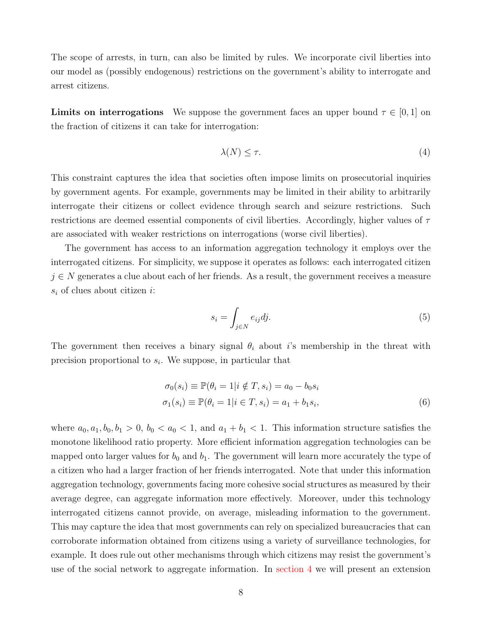The scope of arrests, in turn, can also be limited by rules. We incorporate civil liberties into our model as (possibly endogenous) restrictions on the government's ability to interrogate and arrest citizens.

**Limits on interrogations** We suppose the government faces an upper bound  $\tau \in [0, 1]$  on the fraction of citizens it can take for interrogation:

$$
\lambda(N) \le \tau. \tag{4}
$$

This constraint captures the idea that societies often impose limits on prosecutorial inquiries by government agents. For example, governments may be limited in their ability to arbitrarily interrogate their citizens or collect evidence through search and seizure restrictions. Such restrictions are deemed essential components of civil liberties. Accordingly, higher values of  $\tau$ are associated with weaker restrictions on interrogations (worse civil liberties).

The government has access to an information aggregation technology it employs over the interrogated citizens. For simplicity, we suppose it operates as follows: each interrogated citizen  $j \in N$  generates a clue about each of her friends. As a result, the government receives a measure  $s_i$  of clues about citizen *i*:

$$
s_i = \int_{j \in N} e_{ij} dj.
$$
 (5)

The government then receives a binary signal  $\theta_i$  about i's membership in the threat with precision proportional to  $s_i$ . We suppose, in particular that

$$
\sigma_0(s_i) \equiv \mathbb{P}(\theta_i = 1 | i \notin T, s_i) = a_0 - b_0 s_i \n\sigma_1(s_i) \equiv \mathbb{P}(\theta_i = 1 | i \in T, s_i) = a_1 + b_1 s_i,
$$
\n(6)

where  $a_0, a_1, b_0, b_1 > 0$ ,  $b_0 < a_0 < 1$ , and  $a_1 + b_1 < 1$ . This information structure satisfies the monotone likelihood ratio property. More efficient information aggregation technologies can be mapped onto larger values for  $b_0$  and  $b_1$ . The government will learn more accurately the type of a citizen who had a larger fraction of her friends interrogated. Note that under this information aggregation technology, governments facing more cohesive social structures as measured by their average degree, can aggregate information more effectively. Moreover, under this technology interrogated citizens cannot provide, on average, misleading information to the government. This may capture the idea that most governments can rely on specialized bureaucracies that can corroborate information obtained from citizens using a variety of surveillance technologies, for example. It does rule out other mechanisms through which citizens may resist the government's use of the social network to aggregate information. In [section 4](#page-35-0) we will present an extension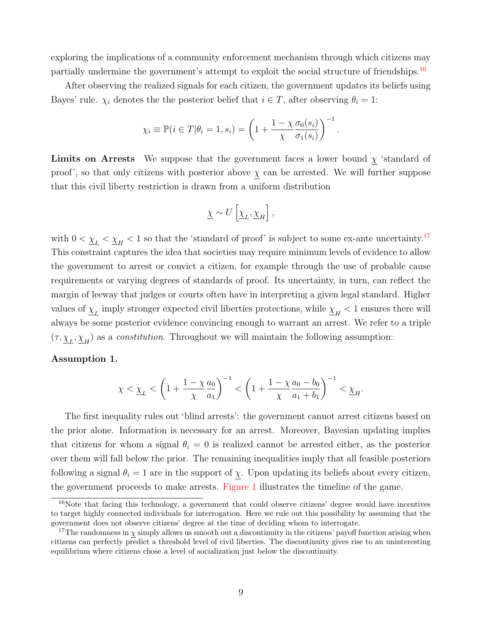exploring the implications of a community enforcement mechanism through which citizens may partially undermine the government's attempt to exploit the social structure of friendships.<sup>[16](#page-9-0)</sup>

After observing the realized signals for each citizen, the government updates its beliefs using Bayes' rule.  $\chi_i$  denotes the the posterior belief that  $i \in T$ , after observing  $\theta_i = 1$ :

$$
\chi_i \equiv \mathbb{P}(i \in T | \theta_i = 1, s_i) = \left(1 + \frac{1 - \chi \sigma_0(s_i)}{\chi \sigma_1(s_i)}\right)^{-1}
$$

.

**Limits on Arrests** We suppose that the government faces a lower bound  $\chi$  'standard of proof', so that only citizens with posterior above  $\chi$  can be arrested. We will further suppose that this civil liberty restriction is drawn from a uniform distribution

$$
\underline{\chi} \sim U\left[\underline{\chi}_L,\underline{\chi}_H\right],
$$

with  $0 < \underline{\chi}_{L} < \underline{\chi}_{H} < 1$  so that the 'standard of proof' is subject to some ex-ante uncertainty.<sup>[17](#page-9-1)</sup> This constraint captures the idea that societies may require minimum levels of evidence to allow the government to arrest or convict a citizen, for example through the use of probable cause requirements or varying degrees of standards of proof. Its uncertainty, in turn, can reflect the margin of leeway that judges or courts often have in interpreting a given legal standard. Higher values of  $\underline{\chi}_L$  imply stronger expected civil liberties protections, while  $\underline{\chi}_H < 1$  ensures there will always be some posterior evidence convincing enough to warrant an arrest. We refer to a triple  $(\tau, \underline{\chi}_L, \underline{\chi}_H)$  as a *constitution*. Throughout we will maintain the following assumption:

### Assumption 1.

$$
\chi < \underline{\chi}_L < \left(1 + \frac{1 - \chi a_0}{\chi a_1}\right)^{-1} < \left(1 + \frac{1 - \chi a_0 - b_0}{\chi a_1 + b_1}\right)^{-1} < \underline{\chi}_H.
$$

The first inequality rules out 'blind arrests': the government cannot arrest citizens based on the prior alone. Information is necessary for an arrest. Moreover, Bayesian updating implies that citizens for whom a signal  $\theta_i = 0$  is realized cannot be arrested either, as the posterior over them will fall below the prior. The remaining inequalities imply that all feasible posteriors following a signal  $\theta_i = 1$  are in the support of  $\chi$ . Upon updating its beliefs about every citizen, the government proceeds to make arrests. [Figure 1](#page-10-0) illustrates the timeline of the game.

<span id="page-9-0"></span><sup>&</sup>lt;sup>16</sup>Note that facing this technology, a government that could observe citizens' degree would have incentives to target highly connected individuals for interrogation. Here we rule out this possibility by assuming that the government does not observe citizens' degree at the time of deciding whom to interrogate.

<span id="page-9-1"></span><sup>&</sup>lt;sup>17</sup>The randomness in  $\chi$  simply allows us smooth out a discontinuity in the citizens' payoff function arising when citizens can perfectly predict a threshold level of civil liberties. The discontinuity gives rise to an uninteresting equilibrium where citizens chose a level of socialization just below the discontinuity.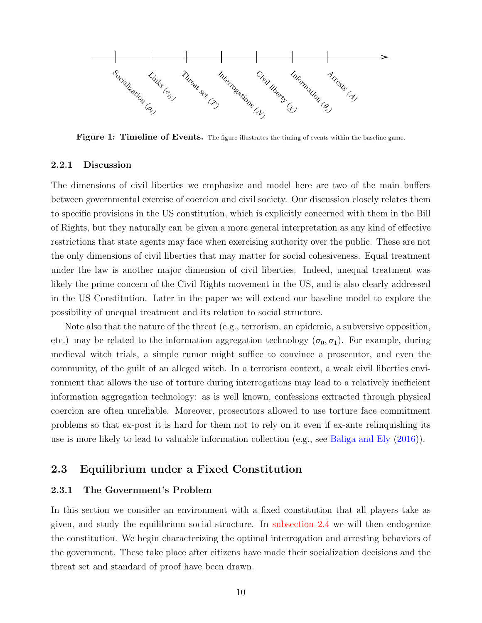<span id="page-10-0"></span>

Figure 1: Timeline of Events. The figure illustrates the timing of events within the baseline game.

### 2.2.1 Discussion

The dimensions of civil liberties we emphasize and model here are two of the main buffers between governmental exercise of coercion and civil society. Our discussion closely relates them to specific provisions in the US constitution, which is explicitly concerned with them in the Bill of Rights, but they naturally can be given a more general interpretation as any kind of effective restrictions that state agents may face when exercising authority over the public. These are not the only dimensions of civil liberties that may matter for social cohesiveness. Equal treatment under the law is another major dimension of civil liberties. Indeed, unequal treatment was likely the prime concern of the Civil Rights movement in the US, and is also clearly addressed in the US Constitution. Later in the paper we will extend our baseline model to explore the possibility of unequal treatment and its relation to social structure.

Note also that the nature of the threat (e.g., terrorism, an epidemic, a subversive opposition, etc.) may be related to the information aggregation technology  $(\sigma_0, \sigma_1)$ . For example, during medieval witch trials, a simple rumor might suffice to convince a prosecutor, and even the community, of the guilt of an alleged witch. In a terrorism context, a weak civil liberties environment that allows the use of torture during interrogations may lead to a relatively inefficient information aggregation technology: as is well known, confessions extracted through physical coercion are often unreliable. Moreover, prosecutors allowed to use torture face commitment problems so that ex-post it is hard for them not to rely on it even if ex-ante relinquishing its use is more likely to lead to valuable information collection (e.g., see [Baliga and Ely](#page-40-9) [\(2016\)](#page-40-9)).

### 2.3 Equilibrium under a Fixed Constitution

#### 2.3.1 The Government's Problem

In this section we consider an environment with a fixed constitution that all players take as given, and study the equilibrium social structure. In [subsection 2.4](#page-15-0) we will then endogenize the constitution. We begin characterizing the optimal interrogation and arresting behaviors of the government. These take place after citizens have made their socialization decisions and the threat set and standard of proof have been drawn.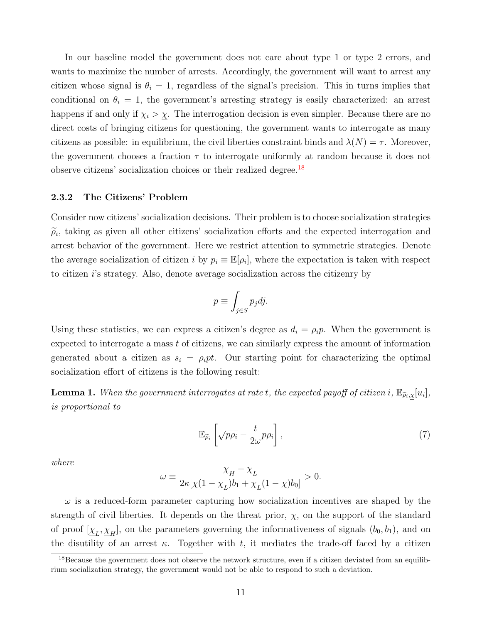In our baseline model the government does not care about type 1 or type 2 errors, and wants to maximize the number of arrests. Accordingly, the government will want to arrest any citizen whose signal is  $\theta_i = 1$ , regardless of the signal's precision. This in turns implies that conditional on  $\theta_i = 1$ , the government's arresting strategy is easily characterized: an arrest happens if and only if  $\chi_i > \chi$ . The interrogation decision is even simpler. Because there are no direct costs of bringing citizens for questioning, the government wants to interrogate as many citizens as possible: in equilibrium, the civil liberties constraint binds and  $\lambda(N) = \tau$ . Moreover, the government chooses a fraction  $\tau$  to interrogate uniformly at random because it does not observe citizens' socialization choices or their realized degree.<sup>[18](#page-11-0)</sup>

### 2.3.2 The Citizens' Problem

Consider now citizens' socialization decisions. Their problem is to choose socialization strategies  $\tilde{\rho}_i$ , taking as given all other citizens' socialization efforts and the expected interrogation and arrest behavior of the government. Here we restrict attention to symmetric strategies. Denote the average socialization of citizen i by  $p_i \equiv \mathbb{E}[\rho_i]$ , where the expectation is taken with respect to citizen i's strategy. Also, denote average socialization across the citizenry by

$$
p \equiv \int_{j \in S} p_j dj.
$$

Using these statistics, we can express a citizen's degree as  $d_i = \rho_i p$ . When the government is expected to interrogate a mass  $t$  of citizens, we can similarly express the amount of information generated about a citizen as  $s_i = \rho_i pt$ . Our starting point for characterizing the optimal socialization effort of citizens is the following result:

<span id="page-11-2"></span>**Lemma 1.** When the government interrogates at rate t, the expected payoff of citizen  $i$ ,  $\mathbb{E}_{\widetilde{\rho}_i,\underline{\chi}}[u_i]$ , is proportional to

<span id="page-11-1"></span>
$$
\mathbb{E}_{\widetilde{\rho}_i} \left[ \sqrt{p \rho_i} - \frac{t}{2\omega} p \rho_i \right],\tag{7}
$$

where

$$
\omega \equiv \frac{\underline{\chi}_{H} - \underline{\chi}_{L}}{2\kappa[\chi(1-\underline{\chi}_{L})b_1 + \underline{\chi}_{L}(1-\chi)b_0]} > 0.
$$

 $\omega$  is a reduced-form parameter capturing how socialization incentives are shaped by the strength of civil liberties. It depends on the threat prior,  $\chi$ , on the support of the standard of proof  $[\underline{\chi}_L, \underline{\chi}_H]$ , on the parameters governing the informativeness of signals  $(b_0, b_1)$ , and on the disutility of an arrest  $\kappa$ . Together with t, it mediates the trade-off faced by a citizen

<span id="page-11-0"></span><sup>&</sup>lt;sup>18</sup>Because the government does not observe the network structure, even if a citizen deviated from an equilibrium socialization strategy, the government would not be able to respond to such a deviation.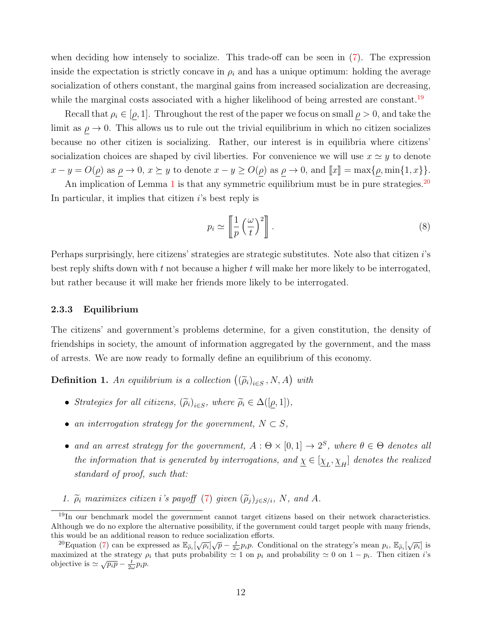when deciding how intensely to socialize. This trade-off can be seen in [\(7\)](#page-11-1). The expression inside the expectation is strictly concave in  $\rho_i$  and has a unique optimum: holding the average socialization of others constant, the marginal gains from increased socialization are decreasing, while the marginal costs associated with a higher likelihood of being arrested are constant.<sup>[19](#page-12-0)</sup>

Recall that  $\rho_i \in [\rho, 1]$ . Throughout the rest of the paper we focus on small  $\rho > 0$ , and take the limit as  $\rho \rightarrow 0$ . This allows us to rule out the trivial equilibrium in which no citizen socializes because no other citizen is socializing. Rather, our interest is in equilibria where citizens' socialization choices are shaped by civil liberties. For convenience we will use  $x \simeq y$  to denote  $x - y = O(\rho)$  as  $\rho \to 0$ ,  $x \succeq y$  to denote  $x - y \ge O(\rho)$  as  $\rho \to 0$ , and  $[[x]] = \max{\rho, \min{\{1, x\}}}$ .

An implication of Lemma [1](#page-11-2) is that any symmetric equilibrium must be in pure strategies.<sup>[20](#page-12-1)</sup> In particular, it implies that citizen  $i$ 's best reply is

<span id="page-12-2"></span>
$$
p_i \simeq \left[\frac{1}{p} \left(\frac{\omega}{t}\right)^2\right].\tag{8}
$$

Perhaps surprisingly, here citizens' strategies are strategic substitutes. Note also that citizen i's best reply shifts down with  $t$  not because a higher  $t$  will make her more likely to be interrogated, but rather because it will make her friends more likely to be interrogated.

#### 2.3.3 Equilibrium

The citizens' and government's problems determine, for a given constitution, the density of friendships in society, the amount of information aggregated by the government, and the mass of arrests. We are now ready to formally define an equilibrium of this economy.

<span id="page-12-3"></span>**Definition 1.** An equilibrium is a collection  $((\tilde{\rho}_i)_{i \in S}, N, A)$  with

- Strategies for all citizens,  $(\tilde{\rho}_i)_{i \in S}$ , where  $\tilde{\rho}_i \in \Delta([\underline{\rho}, 1]),$
- an interrogation strategy for the government,  $N \subset S$ ,
- and an arrest strategy for the government,  $A: \Theta \times [0,1] \to 2^S$ , where  $\theta \in \Theta$  denotes all the information that is generated by interrogations, and  $\underline{\chi} \in [\underline{\chi}_L, \underline{\chi}_H]$  denotes the realized standard of proof, such that:
- 1.  $\tilde{\rho}_i$  maximizes citizen i's payoff [\(7\)](#page-11-1) given  $(\tilde{\rho}_i)_{i\in S/i}$ , N, and A.

<span id="page-12-0"></span><sup>19</sup>In our benchmark model the government cannot target citizens based on their network characteristics. Although we do no explore the alternative possibility, if the government could target people with many friends, this would be an additional reason to reduce socialization efforts.

<span id="page-12-1"></span>s would be an additional reason to reduce socialization enotes.<br>
<sup>20</sup>Equation [\(7\)](#page-11-1) can be expressed as  $\mathbb{E}_{\widetilde{\rho}_i}[\sqrt{\rho_i}]\sqrt{p} - \frac{t}{2\omega}p_i p$ . Conditional on the strategy's mean  $p_i$ ,  $\mathbb{E}_{\widetilde{\rho}_i}[\sqrt{\rho_i}]$  is maximized at the strategy  $\rho_i$  that puts probability  $\simeq 1$  on  $p_i$  and probability  $\simeq 0$  on  $1 - p_i$ . Then citizen i's objective is  $\simeq \sqrt{p_i p} - \frac{t}{2\omega} p_i p$ .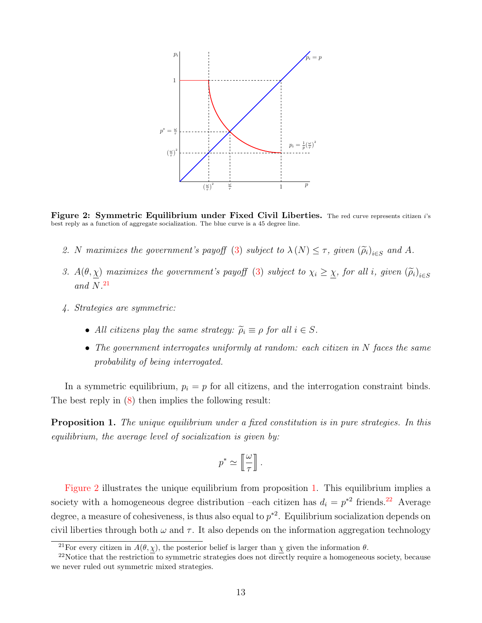<span id="page-13-1"></span>

Figure 2: Symmetric Equilibrium under Fixed Civil Liberties. The red curve represents citizen i's best reply as a function of aggregate socialization. The blue curve is a 45 degree line.

- 2. N maximizes the government's payoff [\(3\)](#page-7-2) subject to  $\lambda(N) \leq \tau$ , given  $(\tilde{\rho}_i)_{i \in S}$  and A.
- 3.  $A(\theta, \chi)$  maximizes the government's payoff [\(3\)](#page-7-2) subject to  $\chi_i \geq \chi$ , for all i, given  $(\tilde{\rho}_i)_{i \in S}$ and  $N^{21}$  $N^{21}$  $N^{21}$
- 4. Strategies are symmetric:
	- All citizens play the same strategy:  $\widetilde{\rho}_i \equiv \rho$  for all  $i \in S$ .
	- The government interrogates uniformly at random: each citizen in N faces the same probability of being interrogated.

In a symmetric equilibrium,  $p_i = p$  for all citizens, and the interrogation constraint binds. The best reply in [\(8\)](#page-12-2) then implies the following result:

<span id="page-13-2"></span>**Proposition 1.** The unique equilibrium under a fixed constitution is in pure strategies. In this equilibrium, the average level of socialization is given by:

$$
p^* \simeq \left[\frac{\omega}{\tau}\right].
$$

[Figure 2](#page-13-1) illustrates the unique equilibrium from proposition [1.](#page-13-2) This equilibrium implies a society with a homogeneous degree distribution –each citizen has  $d_i = p^{*2}$  friends.<sup>[22](#page-13-3)</sup> Average degree, a measure of cohesiveness, is thus also equal to  $p^{*2}$ . Equilibrium socialization depends on civil liberties through both  $\omega$  and  $\tau$ . It also depends on the information aggregation technology

<span id="page-13-3"></span><span id="page-13-0"></span><sup>&</sup>lt;sup>21</sup>For every citizen in  $A(\theta, \chi)$ , the posterior belief is larger than  $\chi$  given the information  $\theta$ .

<sup>&</sup>lt;sup>22</sup>Notice that the restriction to symmetric strategies does not directly require a homogeneous society, because we never ruled out symmetric mixed strategies.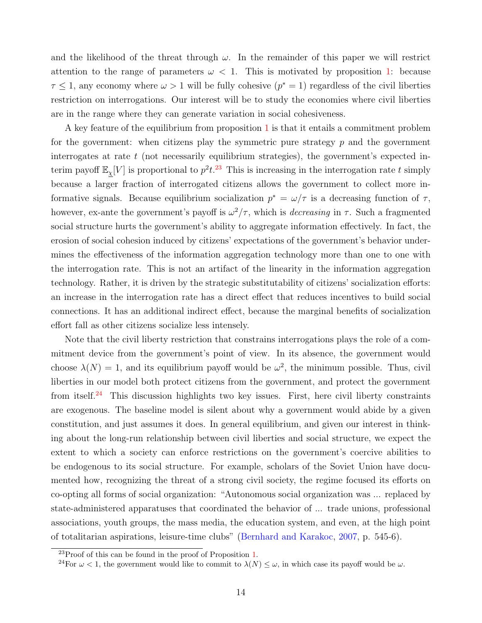and the likelihood of the threat through  $\omega$ . In the remainder of this paper we will restrict attention to the range of parameters  $\omega < 1$ . This is motivated by proposition [1:](#page-13-2) because  $\tau \leq 1$ , any economy where  $\omega > 1$  will be fully cohesive  $(p^* = 1)$  regardless of the civil liberties restriction on interrogations. Our interest will be to study the economies where civil liberties are in the range where they can generate variation in social cohesiveness.

A key feature of the equilibrium from proposition [1](#page-13-2) is that it entails a commitment problem for the government: when citizens play the symmetric pure strategy  $p$  and the government interrogates at rate  $t$  (not necessarily equilibrium strategies), the government's expected interim payoff  $\mathbb{E}_{\chi}[V]$  is proportional to  $p^2t$ .<sup>[23](#page-14-0)</sup> This is increasing in the interrogation rate t simply because a larger fraction of interrogated citizens allows the government to collect more informative signals. Because equilibrium socialization  $p^* = \omega/\tau$  is a decreasing function of  $\tau$ , however, ex-ante the government's payoff is  $\omega^2/\tau$ , which is *decreasing* in  $\tau$ . Such a fragmented social structure hurts the government's ability to aggregate information effectively. In fact, the erosion of social cohesion induced by citizens' expectations of the government's behavior undermines the effectiveness of the information aggregation technology more than one to one with the interrogation rate. This is not an artifact of the linearity in the information aggregation technology. Rather, it is driven by the strategic substitutability of citizens' socialization efforts: an increase in the interrogation rate has a direct effect that reduces incentives to build social connections. It has an additional indirect effect, because the marginal benefits of socialization effort fall as other citizens socialize less intensely.

Note that the civil liberty restriction that constrains interrogations plays the role of a commitment device from the government's point of view. In its absence, the government would choose  $\lambda(N) = 1$ , and its equilibrium payoff would be  $\omega^2$ , the minimum possible. Thus, civil liberties in our model both protect citizens from the government, and protect the government from itself.<sup>[24](#page-14-1)</sup> This discussion highlights two key issues. First, here civil liberty constraints are exogenous. The baseline model is silent about why a government would abide by a given constitution, and just assumes it does. In general equilibrium, and given our interest in thinking about the long-run relationship between civil liberties and social structure, we expect the extent to which a society can enforce restrictions on the government's coercive abilities to be endogenous to its social structure. For example, scholars of the Soviet Union have documented how, recognizing the threat of a strong civil society, the regime focused its efforts on co-opting all forms of social organization: "Autonomous social organization was ... replaced by state-administered apparatuses that coordinated the behavior of ... trade unions, professional associations, youth groups, the mass media, the education system, and even, at the high point of totalitarian aspirations, leisure-time clubs" [\(Bernhard and Karakoc,](#page-40-10) [2007,](#page-40-10) p. 545-6).

<span id="page-14-0"></span><sup>23</sup>Proof of this can be found in the proof of Proposition [1.](#page-13-2)

<span id="page-14-1"></span><sup>&</sup>lt;sup>24</sup>For  $\omega$  < 1, the government would like to commit to  $\lambda(N) \leq \omega$ , in which case its payoff would be  $\omega$ .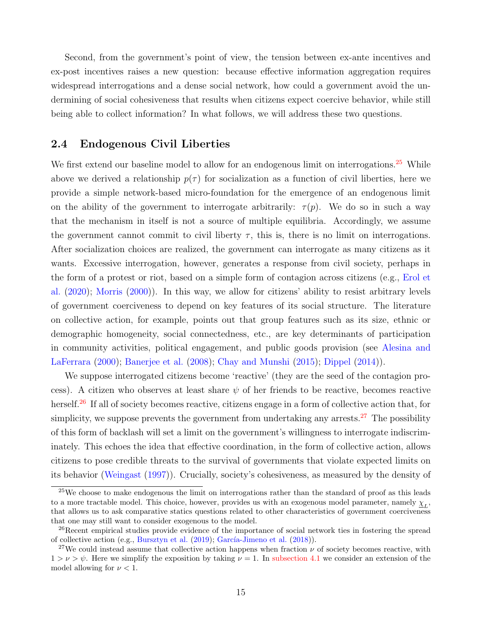Second, from the government's point of view, the tension between ex-ante incentives and ex-post incentives raises a new question: because effective information aggregation requires widespread interrogations and a dense social network, how could a government avoid the undermining of social cohesiveness that results when citizens expect coercive behavior, while still being able to collect information? In what follows, we will address these two questions.

### <span id="page-15-0"></span>2.4 Endogenous Civil Liberties

We first extend our baseline model to allow for an endogenous limit on interrogations.<sup>[25](#page-15-1)</sup> While above we derived a relationship  $p(\tau)$  for socialization as a function of civil liberties, here we provide a simple network-based micro-foundation for the emergence of an endogenous limit on the ability of the government to interrogate arbitrarily:  $\tau(p)$ . We do so in such a way that the mechanism in itself is not a source of multiple equilibria. Accordingly, we assume the government cannot commit to civil liberty  $\tau$ , this is, there is no limit on interrogations. After socialization choices are realized, the government can interrogate as many citizens as it wants. Excessive interrogation, however, generates a response from civil society, perhaps in the form of a protest or riot, based on a simple form of contagion across citizens (e.g., [Erol et](#page-41-15) [al.](#page-41-15) [\(2020\)](#page-41-15); [Morris](#page-42-9) [\(2000\)](#page-42-9)). In this way, we allow for citizens' ability to resist arbitrary levels of government coerciveness to depend on key features of its social structure. The literature on collective action, for example, points out that group features such as its size, ethnic or demographic homogeneity, social connectedness, etc., are key determinants of participation in community activities, political engagement, and public goods provision (see [Alesina and](#page-40-2) [LaFerrara](#page-40-2) [\(2000\)](#page-40-2); [Banerjee et al.](#page-40-11) [\(2008\)](#page-40-11); [Chay and Munshi](#page-40-12) [\(2015\)](#page-40-12); [Dippel](#page-40-13) [\(2014\)](#page-40-13)).

We suppose interrogated citizens become 'reactive' (they are the seed of the contagion process). A citizen who observes at least share  $\psi$  of her friends to be reactive, becomes reactive herself.<sup>[26](#page-15-2)</sup> If all of society becomes reactive, citizens engage in a form of collective action that, for simplicity, we suppose prevents the government from undertaking any arrests.<sup>[27](#page-15-3)</sup> The possibility of this form of backlash will set a limit on the government's willingness to interrogate indiscriminately. This echoes the idea that effective coordination, in the form of collective action, allows citizens to pose credible threats to the survival of governments that violate expected limits on its behavior [\(Weingast](#page-42-4) [\(1997\)](#page-42-4)). Crucially, society's cohesiveness, as measured by the density of

<span id="page-15-1"></span> $25$ We choose to make endogenous the limit on interrogations rather than the standard of proof as this leads to a more tractable model. This choice, however, provides us with an exogenous model parameter, namely  $\underline{\chi}_L$ , that allows us to ask comparative statics questions related to other characteristics of government coerciveness that one may still want to consider exogenous to the model.

<span id="page-15-2"></span><sup>&</sup>lt;sup>26</sup>Recent empirical studies provide evidence of the importance of social network ties in fostering the spread of collective action (e.g., [Bursztyn et al.](#page-40-14)  $(2019)$ ; García-Jimeno et al.  $(2018)$ ).

<span id="page-15-3"></span><sup>&</sup>lt;sup>27</sup>We could instead assume that collective action happens when fraction  $\nu$  of society becomes reactive, with  $1 > \nu > \psi$ . Here we simplify the exposition by taking  $\nu = 1$ . In [subsection 4.1](#page-35-1) we consider an extension of the model allowing for  $\nu < 1$ .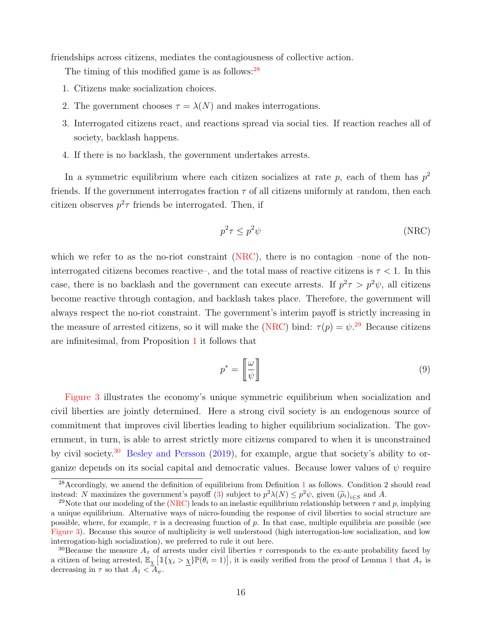friendships across citizens, mediates the contagiousness of collective action.

The timing of this modified game is as follows:<sup>[28](#page-16-0)</sup>

- 1. Citizens make socialization choices.
- 2. The government chooses  $\tau = \lambda(N)$  and makes interrogations.
- 3. Interrogated citizens react, and reactions spread via social ties. If reaction reaches all of society, backlash happens.
- 4. If there is no backlash, the government undertakes arrests.

In a symmetric equilibrium where each citizen socializes at rate  $p$ , each of them has  $p^2$ friends. If the government interrogates fraction  $\tau$  of all citizens uniformly at random, then each citizen observes  $p^2\tau$  friends be interrogated. Then, if

<span id="page-16-1"></span>
$$
p^2 \tau \le p^2 \psi \tag{NRC}
$$

which we refer to as the no-riot constraint  $(NRC)$ , there is no contagion –none of the noninterrogated citizens becomes reactive–, and the total mass of reactive citizens is  $\tau < 1$ . In this case, there is no backlash and the government can execute arrests. If  $p^2 \tau > p^2 \psi$ , all citizens become reactive through contagion, and backlash takes place. Therefore, the government will always respect the no-riot constraint. The government's interim payoff is strictly increasing in the measure of arrested citizens, so it will make the [\(NRC\)](#page-16-1) bind:  $\tau(p) = \psi^{29}$  $\tau(p) = \psi^{29}$  $\tau(p) = \psi^{29}$  Because citizens are infinitesimal, from Proposition [1](#page-13-2) it follows that

$$
p^* = \left[\!\left[\frac{\omega}{\psi}\right]\!\right] \tag{9}
$$

[Figure 3](#page-17-0) illustrates the economy's unique symmetric equilibrium when socialization and civil liberties are jointly determined. Here a strong civil society is an endogenous source of commitment that improves civil liberties leading to higher equilibrium socialization. The government, in turn, is able to arrest strictly more citizens compared to when it is unconstrained by civil society.<sup>[30](#page-16-3)</sup> [Besley and Persson](#page-40-15) [\(2019\)](#page-40-15), for example, argue that society's ability to organize depends on its social capital and democratic values. Because lower values of  $\psi$  require

<span id="page-16-0"></span> $^{28}$ Accordingly, we amend the definition of equilibrium from Definition [1](#page-12-3) as follows. Condition 2 should read instead: N maximizes the government's payoff [\(3\)](#page-7-2) subject to  $p^2\lambda(N) \leq p^2\psi$ , given  $(\tilde{\rho}_i)_{i \in S}$  and A.<br><sup>29</sup>Note that our modeling of the (NBC) loads to an inclusive coullibrium relationship between  $\tau$  and

<span id="page-16-2"></span><sup>&</sup>lt;sup>29</sup>Note that our modeling of the [\(NRC\)](#page-16-1) leads to an inelastic equilibrium relationship between  $\tau$  and p, implying a unique equilibrium. Alternative ways of micro-founding the response of civil liberties to social structure are possible, where, for example,  $\tau$  is a decreasing function of p. In that case, multiple equilibria are possible (see [Figure 3\)](#page-17-0). Because this source of multiplicity is well understood (high interrogation-low socialization, and low interrogation-high socialization), we preferred to rule it out here.

<span id="page-16-3"></span><sup>&</sup>lt;sup>30</sup>Because the measure  $A_\tau$  of arrests under civil liberties  $\tau$  corresponds to the ex-ante probability faced by a citizen of being arrested,  $\mathbb{E}_{\chi} \left[ \mathbb{1}_{\{\chi_i > \chi\}} \mathbb{P}(\theta_i = 1) \right]$  $\mathbb{E}_{\chi} \left[ \mathbb{1}_{\{\chi_i > \chi\}} \mathbb{P}(\theta_i = 1) \right]$  $\mathbb{E}_{\chi} \left[ \mathbb{1}_{\{\chi_i > \chi\}} \mathbb{P}(\theta_i = 1) \right]$ , it is easily verified from the proof of Lemma 1 that  $A_{\tau}$  is decreasing in  $\tau$  so that  $A_1 < \overline{A}_{\psi}$ .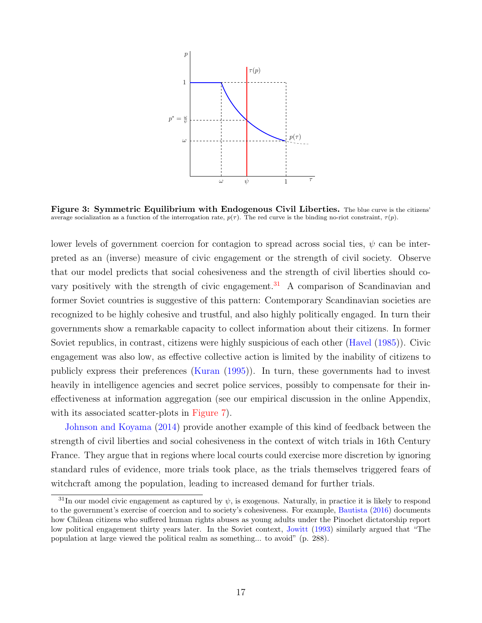<span id="page-17-0"></span>

Figure 3: Symmetric Equilibrium with Endogenous Civil Liberties. The blue curve is the citizens' average socialization as a function of the interrogation rate,  $p(\tau)$ . The red curve is the binding no-riot constraint,  $\tau(p)$ .

lower levels of government coercion for contagion to spread across social ties,  $\psi$  can be interpreted as an (inverse) measure of civic engagement or the strength of civil society. Observe that our model predicts that social cohesiveness and the strength of civil liberties should co-vary positively with the strength of civic engagement.<sup>[31](#page-17-1)</sup> A comparison of Scandinavian and former Soviet countries is suggestive of this pattern: Contemporary Scandinavian societies are recognized to be highly cohesive and trustful, and also highly politically engaged. In turn their governments show a remarkable capacity to collect information about their citizens. In former Soviet republics, in contrast, citizens were highly suspicious of each other [\(Havel](#page-41-17) [\(1985\)](#page-41-17)). Civic engagement was also low, as effective collective action is limited by the inability of citizens to publicly express their preferences [\(Kuran](#page-41-18) [\(1995\)](#page-41-18)). In turn, these governments had to invest heavily in intelligence agencies and secret police services, possibly to compensate for their ineffectiveness at information aggregation (see our empirical discussion in the online Appendix, with its associated scatter-plots in [Figure 7\)](#page-44-0).

[Johnson and Koyama](#page-41-12) [\(2014\)](#page-41-12) provide another example of this kind of feedback between the strength of civil liberties and social cohesiveness in the context of witch trials in 16th Century France. They argue that in regions where local courts could exercise more discretion by ignoring standard rules of evidence, more trials took place, as the trials themselves triggered fears of witchcraft among the population, leading to increased demand for further trials.

<span id="page-17-1"></span><sup>&</sup>lt;sup>31</sup>In our model civic engagement as captured by  $\psi$ , is exogenous. Naturally, in practice it is likely to respond to the government's exercise of coercion and to society's cohesiveness. For example, [Bautista](#page-40-16) [\(2016\)](#page-40-16) documents how Chilean citizens who suffered human rights abuses as young adults under the Pinochet dictatorship report low political engagement thirty years later. In the Soviet context, [Jowitt](#page-41-0) [\(1993\)](#page-41-0) similarly argued that "The population at large viewed the political realm as something... to avoid" (p. 288).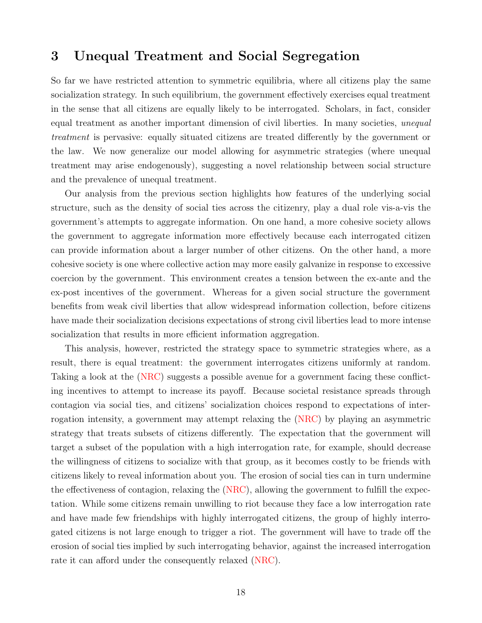### <span id="page-18-0"></span>3 Unequal Treatment and Social Segregation

So far we have restricted attention to symmetric equilibria, where all citizens play the same socialization strategy. In such equilibrium, the government effectively exercises equal treatment in the sense that all citizens are equally likely to be interrogated. Scholars, in fact, consider equal treatment as another important dimension of civil liberties. In many societies, *unequal* treatment is pervasive: equally situated citizens are treated differently by the government or the law. We now generalize our model allowing for asymmetric strategies (where unequal treatment may arise endogenously), suggesting a novel relationship between social structure and the prevalence of unequal treatment.

Our analysis from the previous section highlights how features of the underlying social structure, such as the density of social ties across the citizenry, play a dual role vis-a-vis the government's attempts to aggregate information. On one hand, a more cohesive society allows the government to aggregate information more effectively because each interrogated citizen can provide information about a larger number of other citizens. On the other hand, a more cohesive society is one where collective action may more easily galvanize in response to excessive coercion by the government. This environment creates a tension between the ex-ante and the ex-post incentives of the government. Whereas for a given social structure the government benefits from weak civil liberties that allow widespread information collection, before citizens have made their socialization decisions expectations of strong civil liberties lead to more intense socialization that results in more efficient information aggregation.

This analysis, however, restricted the strategy space to symmetric strategies where, as a result, there is equal treatment: the government interrogates citizens uniformly at random. Taking a look at the [\(NRC\)](#page-16-1) suggests a possible avenue for a government facing these conflicting incentives to attempt to increase its payoff. Because societal resistance spreads through contagion via social ties, and citizens' socialization choices respond to expectations of interrogation intensity, a government may attempt relaxing the [\(NRC\)](#page-16-1) by playing an asymmetric strategy that treats subsets of citizens differently. The expectation that the government will target a subset of the population with a high interrogation rate, for example, should decrease the willingness of citizens to socialize with that group, as it becomes costly to be friends with citizens likely to reveal information about you. The erosion of social ties can in turn undermine the effectiveness of contagion, relaxing the [\(NRC\)](#page-16-1), allowing the government to fulfill the expectation. While some citizens remain unwilling to riot because they face a low interrogation rate and have made few friendships with highly interrogated citizens, the group of highly interrogated citizens is not large enough to trigger a riot. The government will have to trade off the erosion of social ties implied by such interrogating behavior, against the increased interrogation rate it can afford under the consequently relaxed [\(NRC\)](#page-16-1).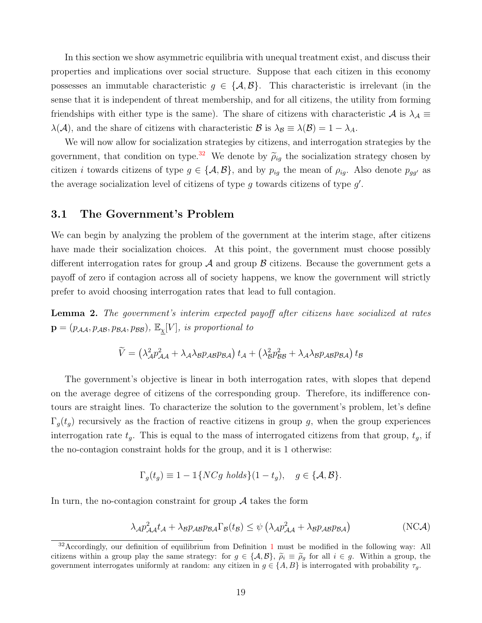In this section we show asymmetric equilibria with unequal treatment exist, and discuss their properties and implications over social structure. Suppose that each citizen in this economy possesses an immutable characteristic  $g \in \{\mathcal{A}, \mathcal{B}\}\$ . This characteristic is irrelevant (in the sense that it is independent of threat membership, and for all citizens, the utility from forming friendships with either type is the same). The share of citizens with characteristic  $\mathcal A$  is  $\lambda_{\mathcal A} \equiv$  $\lambda(\mathcal{A})$ , and the share of citizens with characteristic  $\mathcal{B}$  is  $\lambda_{\mathcal{B}} \equiv \lambda(\mathcal{B}) = 1 - \lambda_A$ .

We will now allow for socialization strategies by citizens, and interrogation strategies by the government, that condition on type.<sup>[32](#page-19-0)</sup> We denote by  $\tilde{\rho}_{iq}$  the socialization strategy chosen by citizen *i* towards citizens of type  $g \in \{\mathcal{A}, \mathcal{B}\}\$ , and by  $p_{ig}$  the mean of  $\rho_{ig}$ . Also denote  $p_{gg'}$  as the average socialization level of citizens of type  $g$  towards citizens of type  $g'$ .

### 3.1 The Government's Problem

We can begin by analyzing the problem of the government at the interim stage, after citizens have made their socialization choices. At this point, the government must choose possibly different interrogation rates for group  $A$  and group  $B$  citizens. Because the government gets a payoff of zero if contagion across all of society happens, we know the government will strictly prefer to avoid choosing interrogation rates that lead to full contagion.

<span id="page-19-2"></span>Lemma 2. The government's interim expected payoff after citizens have socialized at rates  $\mathbf{p} = (p_{\mathcal{A}\mathcal{A}}, p_{\mathcal{A}\mathcal{B}}, p_{\mathcal{B}\mathcal{A}}, p_{\mathcal{B}\mathcal{B}}), \mathbb{E}_{\underline{\chi}}[V],$  is proportional to

$$
\widetilde{V} = \left(\lambda_A^2 p_{AA}^2 + \lambda_A \lambda_B p_{AB} p_{BA}\right) t_A + \left(\lambda_B^2 p_{BB}^2 + \lambda_A \lambda_B p_{AB} p_{BA}\right) t_B
$$

The government's objective is linear in both interrogation rates, with slopes that depend on the average degree of citizens of the corresponding group. Therefore, its indifference contours are straight lines. To characterize the solution to the government's problem, let's define  $\Gamma_q(t_q)$  recursively as the fraction of reactive citizens in group g, when the group experiences interrogation rate  $t<sub>g</sub>$ . This is equal to the mass of interrogated citizens from that group,  $t<sub>g</sub>$ , if the no-contagion constraint holds for the group, and it is 1 otherwise:

<span id="page-19-1"></span>
$$
\Gamma_g(t_g) \equiv 1 - \mathbb{1}\{NCg \ holds\}(1 - t_g), \quad g \in \{\mathcal{A}, \mathcal{B}\}.
$$

In turn, the no-contagion constraint for group  $A$  takes the form

$$
\lambda_{A} p_{A A}^{2} t_{A} + \lambda_{B} p_{A B} p_{B A} \Gamma_{B}(t_{B}) \leq \psi \left( \lambda_{A} p_{A A}^{2} + \lambda_{B} p_{A B} p_{B A} \right) \tag{NCA}
$$

<span id="page-19-0"></span><sup>&</sup>lt;sup>32</sup>Accordingly, our definition of equilibrium from Definition [1](#page-12-3) must be modified in the following way: All citizens within a group play the same strategy: for  $g \in \{\mathcal{A}, \mathcal{B}\}, \tilde{\rho}_i \equiv \tilde{\rho}_g$  for all  $i \in g$ . Within a group, the government interrogates uniformly at random: any citizen in  $g \in \{A, B\}$  is interrogated with probability  $\tau_g$ .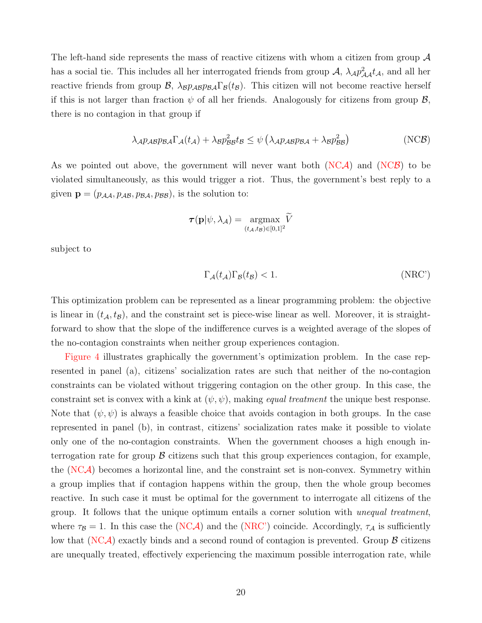The left-hand side represents the mass of reactive citizens with whom a citizen from group  $\mathcal A$ has a social tie. This includes all her interrogated friends from group  $A$ ,  $\lambda_A p^2_{A\mathcal{A}} t_{A}$ , and all her reactive friends from group  $\mathcal{B}$ ,  $\lambda_{\mathcal{B}}p_{\mathcal{A}}p_{\mathcal{B}}p_{\mathcal{B}}\Lambda\Gamma_{\mathcal{B}}(t_{\mathcal{B}})$ . This citizen will not become reactive herself if this is not larger than fraction  $\psi$  of all her friends. Analogously for citizens from group  $\mathcal{B}$ , there is no contagion in that group if

$$
\lambda_{\mathcal{A} \mathcal{P} \mathcal{A} \mathcal{B} \mathcal{P} \mathcal{B} \mathcal{A}} \Gamma_{\mathcal{A}}(t_{\mathcal{A}}) + \lambda_{\mathcal{B} \mathcal{P} \mathcal{B} \mathcal{B}} t_{\mathcal{B}} \leq \psi \left( \lambda_{\mathcal{A} \mathcal{P} \mathcal{A} \mathcal{B} \mathcal{P} \mathcal{B} \mathcal{A}} + \lambda_{\mathcal{B} \mathcal{P} \mathcal{B} \mathcal{B}} \right) \tag{NCB}
$$

As we pointed out above, the government will never want both  $(NCA)$  and  $(NCB)$  to be violated simultaneously, as this would trigger a riot. Thus, the government's best reply to a given  $\mathbf{p} = (p_{\mathcal{A}\mathcal{A}}, p_{\mathcal{A}\mathcal{B}}, p_{\mathcal{B}\mathcal{A}}, p_{\mathcal{B}\mathcal{B}})$ , is the solution to:

<span id="page-20-0"></span>
$$
\boldsymbol{\tau}(\mathbf{p}|\psi,\lambda_{\mathcal{A}}) = \mathop{\mathrm{argmax}}_{(t_{\mathcal{A}},t_{\mathcal{B}}) \in [0,1]^2} \widetilde{V}
$$

subject to

<span id="page-20-1"></span>
$$
\Gamma_{\mathcal{A}}(t_{\mathcal{A}})\Gamma_{\mathcal{B}}(t_{\mathcal{B}}) < 1. \tag{NRC'}
$$

This optimization problem can be represented as a linear programming problem: the objective is linear in  $(t_A, t_B)$ , and the constraint set is piece-wise linear as well. Moreover, it is straightforward to show that the slope of the indifference curves is a weighted average of the slopes of the no-contagion constraints when neither group experiences contagion.

[Figure 4](#page-21-0) illustrates graphically the government's optimization problem. In the case represented in panel (a), citizens' socialization rates are such that neither of the no-contagion constraints can be violated without triggering contagion on the other group. In this case, the constraint set is convex with a kink at  $(\psi, \psi)$ , making *equal treatment* the unique best response. Note that  $(\psi, \psi)$  is always a feasible choice that avoids contagion in both groups. In the case represented in panel (b), in contrast, citizens' socialization rates make it possible to violate only one of the no-contagion constraints. When the government chooses a high enough interrogation rate for group  $\beta$  citizens such that this group experiences contagion, for example, the  $(NCA)$  becomes a horizontal line, and the constraint set is non-convex. Symmetry within a group implies that if contagion happens within the group, then the whole group becomes reactive. In such case it must be optimal for the government to interrogate all citizens of the group. It follows that the unique optimum entails a corner solution with *unequal treatment*, where  $\tau_B = 1$ . In this case the [\(NC](#page-19-1)A) and the [\(NRC'\)](#page-20-1) coincide. Accordingly,  $\tau_A$  is sufficiently low that  $(NCA)$  exactly binds and a second round of contagion is prevented. Group  $\beta$  citizens are unequally treated, effectively experiencing the maximum possible interrogation rate, while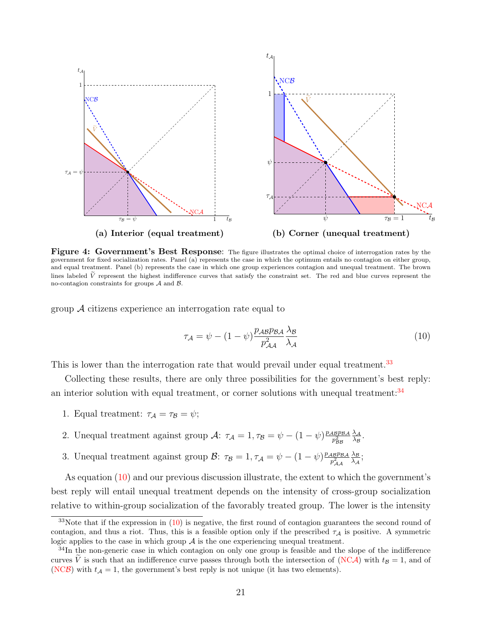<span id="page-21-0"></span>

Figure 4: Government's Best Response: The figure illustrates the optimal choice of interrogation rates by the government for fixed socialization rates. Panel (a) represents the case in which the optimum entails no contagion on either group, and equal treatment. Panel (b) represents the case in which one group experiences contagion and unequal treatment. The brown lines labeled  $\tilde{V}$  represent the highest indifference curves that satisfy the constraint set. The red and blue curves represent the no-contagion constraints for groups  $A$  and  $B$ .

group A citizens experience an interrogation rate equal to

<span id="page-21-3"></span>
$$
\tau_{\mathcal{A}} = \psi - (1 - \psi) \frac{p_{\mathcal{A}\mathcal{B}} p_{\mathcal{B}\mathcal{A}}}{p_{\mathcal{A}\mathcal{A}}^2} \frac{\lambda_{\mathcal{B}}}{\lambda_{\mathcal{A}}}
$$
(10)

This is lower than the interrogation rate that would prevail under equal treatment.<sup>[33](#page-21-1)</sup>

Collecting these results, there are only three possibilities for the government's best reply: an interior solution with equal treatment, or corner solutions with unequal treatment: $34$ 

- 1. Equal treatment:  $\tau_{\mathcal{A}} = \tau_{\mathcal{B}} = \psi$ ;
- 2. Unequal treatment against group  $\mathcal{A}$ :  $\tau_{\mathcal{A}} = 1, \tau_{\mathcal{B}} = \psi (1 \psi) \frac{p_{AB}p_{BA}}{n^2}$  $p_{\mathcal{B}\mathcal{B}}^2$  $\lambda_\mathcal{A}$  $\frac{\lambda_{\mathcal{A}}}{\lambda_{\mathcal{B}}}.$
- 3. Unequal treatment against group  $\mathcal{B}$ :  $\tau_{\mathcal{B}} = 1, \tau_{\mathcal{A}} = \psi (1 \psi) \frac{p_{AB} p_{BA}}{p_{AB}^2}$  $p_{\mathcal{A}\mathcal{A}}^{2}$  $\lambda_\mathcal{B}$  $\frac{\lambda_{\mathcal{B}}}{\lambda_{\mathcal{A}}};$

As equation [\(10\)](#page-21-3) and our previous discussion illustrate, the extent to which the government's best reply will entail unequal treatment depends on the intensity of cross-group socialization relative to within-group socialization of the favorably treated group. The lower is the intensity

<span id="page-21-1"></span> $33$ Note that if the expression in  $(10)$  is negative, the first round of contagion guarantees the second round of contagion, and thus a riot. Thus, this is a feasible option only if the prescribed  $\tau_A$  is positive. A symmetric logic applies to the case in which group  $A$  is the one experiencing unequal treatment.

<span id="page-21-2"></span><sup>&</sup>lt;sup>34</sup>In the non-generic case in which contagion on only one group is feasible and the slope of the indifference curves V is such that an indifference curve passes through both the intersection of [\(NC](#page-19-1)A) with  $t_B = 1$ , and of [\(NC](#page-20-0)B) with  $t_A = 1$ , the government's best reply is not unique (it has two elements).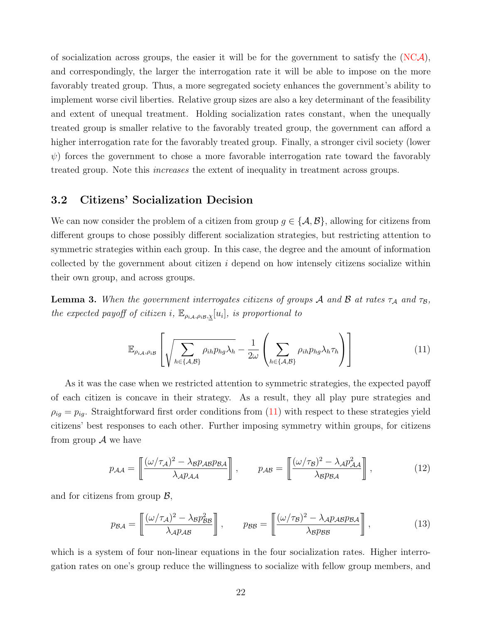of socialization across groups, the easier it will be for the government to satisfy the  $(NCA)$ , and correspondingly, the larger the interrogation rate it will be able to impose on the more favorably treated group. Thus, a more segregated society enhances the government's ability to implement worse civil liberties. Relative group sizes are also a key determinant of the feasibility and extent of unequal treatment. Holding socialization rates constant, when the unequally treated group is smaller relative to the favorably treated group, the government can afford a higher interrogation rate for the favorably treated group. Finally, a stronger civil society (lower  $\psi$ ) forces the government to chose a more favorable interrogation rate toward the favorably treated group. Note this *increases* the extent of inequality in treatment across groups.

### 3.2 Citizens' Socialization Decision

We can now consider the problem of a citizen from group  $g \in \{\mathcal{A}, \mathcal{B}\},\$ allowing for citizens from different groups to chose possibly different socialization strategies, but restricting attention to symmetric strategies within each group. In this case, the degree and the amount of information collected by the government about citizen  $i$  depend on how intensely citizens socialize within their own group, and across groups.

**Lemma 3.** When the government interrogates citizens of groups A and B at rates  $\tau_A$  and  $\tau_B$ , the expected payoff of citizen i,  $\mathbb{E}_{\rho_{i\mathcal{A}}, \rho_{i\mathcal{B}}, \chi}[u_i]$ , is proportional to

<span id="page-22-0"></span>
$$
\mathbb{E}_{\rho_{i\mathcal{A}},\rho_{i\mathcal{B}}} \left[ \sqrt{\sum_{h \in \{\mathcal{A},\mathcal{B}\}} \rho_{ih} p_{hg} \lambda_h} - \frac{1}{2\omega} \left( \sum_{h \in \{\mathcal{A},\mathcal{B}\}} \rho_{ih} p_{hg} \lambda_h \tau_h \right) \right]
$$
(11)

As it was the case when we restricted attention to symmetric strategies, the expected payoff of each citizen is concave in their strategy. As a result, they all play pure strategies and  $\rho_{ig} = p_{ig}$ . Straightforward first order conditions from [\(11\)](#page-22-0) with respect to these strategies yield citizens' best responses to each other. Further imposing symmetry within groups, for citizens from group  $\mathcal A$  we have

<span id="page-22-1"></span>
$$
p_{\mathcal{A}\mathcal{A}} = \left[ \frac{(\omega/\tau_{\mathcal{A}})^2 - \lambda_{\mathcal{B}} p_{\mathcal{A}\mathcal{B}} p_{\mathcal{B}\mathcal{A}}}{\lambda_{\mathcal{A}} p_{\mathcal{A}\mathcal{A}}} \right], \qquad p_{\mathcal{A}\mathcal{B}} = \left[ \frac{(\omega/\tau_{\mathcal{B}})^2 - \lambda_{\mathcal{A}} p_{\mathcal{A}\mathcal{A}}^2}{\lambda_{\mathcal{B}} p_{\mathcal{B}\mathcal{A}}} \right], \tag{12}
$$

and for citizens from group  $\mathcal{B}$ ,

<span id="page-22-2"></span>
$$
p_{BA} = \left[ \frac{(\omega/\tau_A)^2 - \lambda_B p_{BB}^2}{\lambda_A p_{AB}} \right], \qquad p_{BB} = \left[ \frac{(\omega/\tau_B)^2 - \lambda_A p_{AB} p_{BA}}{\lambda_B p_{BB}} \right],
$$
 (13)

which is a system of four non-linear equations in the four socialization rates. Higher interrogation rates on one's group reduce the willingness to socialize with fellow group members, and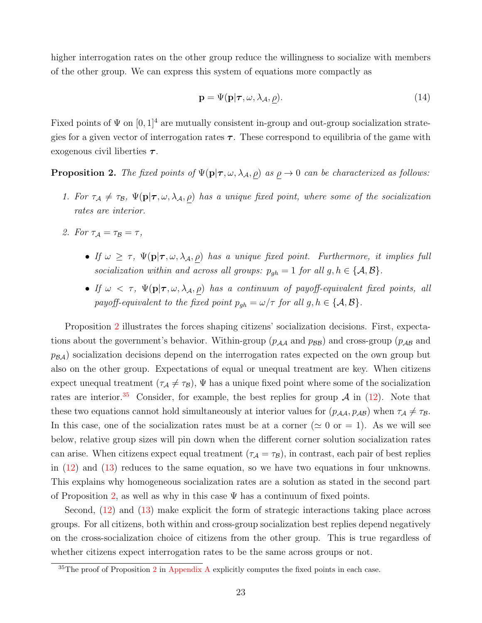higher interrogation rates on the other group reduce the willingness to socialize with members of the other group. We can express this system of equations more compactly as

<span id="page-23-2"></span>
$$
\mathbf{p} = \Psi(\mathbf{p}|\boldsymbol{\tau}, \omega, \lambda_{\mathcal{A}}, \rho).
$$
 (14)

Fixed points of  $\Psi$  on  $[0, 1]^4$  are mutually consistent in-group and out-group socialization strategies for a given vector of interrogation rates  $\tau$ . These correspond to equilibria of the game with exogenous civil liberties  $\tau$ .

<span id="page-23-0"></span>**Proposition 2.** The fixed points of  $\Psi(\mathbf{p}|\tau,\omega,\lambda_{\mathcal{A}},\rho)$  as  $\rho \to 0$  can be characterized as follows:

- 1. For  $\tau_A \neq \tau_B$ ,  $\Psi(\mathbf{p}|\tau, \omega, \lambda_A, \rho)$  has a unique fixed point, where some of the socialization rates are interior.
- 2. For  $\tau_{\mathcal{A}} = \tau_{\mathcal{B}} = \tau$ ,
	- If  $\omega \geq \tau$ ,  $\Psi(\mathbf{p}|\tau,\omega,\lambda_{\mathcal{A}},\rho)$  has a unique fixed point. Furthermore, it implies full socialization within and across all groups:  $p_{gh} = 1$  for all  $g, h \in \{A, B\}$ .
	- If  $\omega < \tau$ ,  $\Psi(\mathbf{p}|\tau,\omega,\lambda_{\mathcal{A}},\rho)$  has a continuum of payoff-equivalent fixed points, all payoff-equivalent to the fixed point  $p_{gh} = \omega/\tau$  for all  $g, h \in \{\mathcal{A}, \mathcal{B}\}.$

Proposition [2](#page-23-0) illustrates the forces shaping citizens' socialization decisions. First, expectations about the government's behavior. Within-group  $(p_{\mathcal{A}A}$  and  $p_{\mathcal{B}B})$  and cross-group  $(p_{\mathcal{A}B}$  and  $p_{BA}$ ) socialization decisions depend on the interrogation rates expected on the own group but also on the other group. Expectations of equal or unequal treatment are key. When citizens expect unequal treatment  $(\tau_A \neq \tau_B)$ ,  $\Psi$  has a unique fixed point where some of the socialization rates are interior.<sup>[35](#page-23-1)</sup> Consider, for example, the best replies for group A in [\(12\)](#page-22-1). Note that these two equations cannot hold simultaneously at interior values for  $(p_{AA}, p_{AB})$  when  $\tau_A \neq \tau_B$ . In this case, one of the socialization rates must be at a corner ( $\simeq 0$  or  $= 1$ ). As we will see below, relative group sizes will pin down when the different corner solution socialization rates can arise. When citizens expect equal treatment  $(\tau_A = \tau_B)$ , in contrast, each pair of best replies in [\(12\)](#page-22-1) and [\(13\)](#page-22-2) reduces to the same equation, so we have two equations in four unknowns. This explains why homogeneous socialization rates are a solution as stated in the second part of Proposition [2,](#page-23-0) as well as why in this case  $\Psi$  has a continuum of fixed points.

Second, [\(12\)](#page-22-1) and [\(13\)](#page-22-2) make explicit the form of strategic interactions taking place across groups. For all citizens, both within and cross-group socialization best replies depend negatively on the cross-socialization choice of citizens from the other group. This is true regardless of whether citizens expect interrogation rates to be the same across groups or not.

<span id="page-23-1"></span><sup>&</sup>lt;sup>35</sup>The proof of Proposition [2](#page-23-0) in [Appendix A](#page-43-0) explicitly computes the fixed points in each case.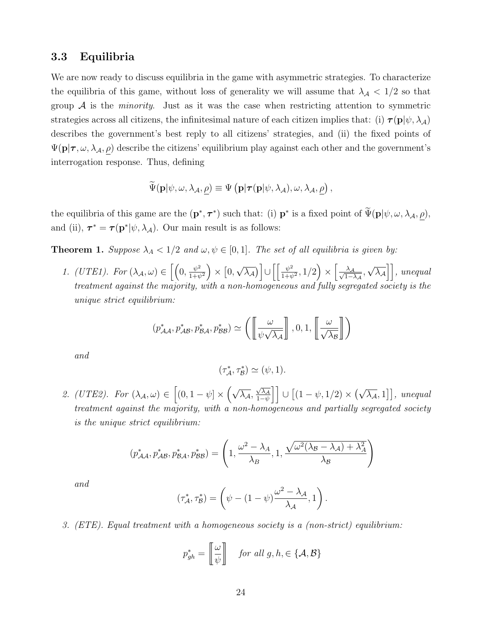### 3.3 Equilibria

We are now ready to discuss equilibria in the game with asymmetric strategies. To characterize the equilibria of this game, without loss of generality we will assume that  $\lambda_{\mathcal{A}} < 1/2$  so that group  $A$  is the *minority*. Just as it was the case when restricting attention to symmetric strategies across all citizens, the infinitesimal nature of each citizen implies that: (i)  $\tau(\mathbf{p}|\psi,\lambda_{\mathcal{A}})$ describes the government's best reply to all citizens' strategies, and (ii) the fixed points of  $\Psi(\mathbf{p}|\boldsymbol{\tau},\omega,\lambda_{\mathcal{A}},\rho)$  describe the citizens' equilibrium play against each other and the government's interrogation response. Thus, defining

$$
\tilde{\Psi}(\mathbf{p}|\psi,\omega,\lambda_{\mathcal{A}},\underline{\rho})\equiv\Psi\left(\mathbf{p}|\boldsymbol{\tau}(\mathbf{p}|\psi,\lambda_{\mathcal{A}}),\omega,\lambda_{\mathcal{A}},\underline{\rho}\right),
$$

the equilibria of this game are the  $(\mathbf{p}^*, \boldsymbol{\tau}^*)$  such that: (i)  $\mathbf{p}^*$  is a fixed point of  $\tilde{\Psi}(\mathbf{p}|\psi, \omega, \lambda_{\mathcal{A}}, \underline{\rho}),$ and (ii),  $\tau^* = \tau(\mathbf{p}^* | \psi, \lambda_A)$ . Our main result is as follows:

<span id="page-24-0"></span>**Theorem 1.** Suppose  $\lambda_A < 1/2$  and  $\omega, \psi \in [0, 1]$ . The set of all equilibria is given by:

1. (UTE1). For  $(\lambda_{\mathcal{A}}, \omega) \in \left[ \left(0, \frac{\psi^2}{1+\psi}\right) \right]$  $\frac{\psi^2}{1+\psi^2}\bigg) \times [0,$ √  $\overline{\lambda_{\mathcal{A}}}$ ) U  $\left\lceil \frac{\psi^2}{1+\psi^2} \right\rceil$  $\left(\frac{\psi^2}{1+\psi^2},1/2\right)\times\left[\frac{\lambda_{\mathcal{A}}}{\sqrt{1-\lambda_{\mathcal{A}}}}\right]$  $\frac{\lambda_{\mathcal{A}}}{1-\lambda_{\mathcal{A}}},$ √  $\overline{\lambda_{\mathcal{A}}}$ ], unequal treatment against the majority, with a non-homogeneous and fully segregated society is the unique strict equilibrium:

$$
(p_{\mathcal{A}\mathcal{A}}^*, p_{\mathcal{A}\mathcal{B}}^*, p_{\mathcal{B}\mathcal{A}}^*, p_{\mathcal{B}\mathcal{B}}^*) \simeq \left( \left[ \begin{matrix} \omega \\ \hline \psi \sqrt{\lambda_{\mathcal{A}}}\end{matrix} \right], 0, 1, \left[ \begin{matrix} \omega \\ \hline \sqrt{\lambda_{\mathcal{B}}}\end{matrix} \right] \right)
$$

and

$$
(\tau^*_{\mathcal{A}}, \tau^*_{\mathcal{B}}) \simeq (\psi, 1).
$$

2. (UTE2). For  $(\lambda_{\mathcal{A}}, \omega) \in [(0, 1-\psi] \times (\sqrt{\lambda_{\mathcal{A}}})$  $\sqrt{\lambda_{\mathcal{A}}}$  $\left[\frac{\sqrt{\lambda_{\mathcal{A}}}}{1-\psi}\right]$   $\cup$   $[(1-\psi,1/2) \times (\sqrt{\lambda_{\mathcal{A}}},1)]$ , unequal treatment against the majority, with a non-homogeneous and partially segregated society is the unique strict equilibrium:

$$
(p_{\mathcal{A}\mathcal{A}}^*, p_{\mathcal{A}\mathcal{B}}^*, p_{\mathcal{B}\mathcal{A}}^*, p_{\mathcal{B}\mathcal{B}}^*) = \left(1, \frac{\omega^2 - \lambda_A}{\lambda_B}, 1, \frac{\sqrt{\omega^2(\lambda_B - \lambda_A) + \lambda_A^2}}{\lambda_B}\right)
$$

and

$$
(\tau_{\mathcal{A}}^*, \tau_{\mathcal{B}}^*) = \left(\psi - (1 - \psi)\frac{\omega^2 - \lambda_{\mathcal{A}}}{\lambda_{\mathcal{A}}}, 1\right).
$$

3. (ETE). Equal treatment with a homogeneous society is a (non-strict) equilibrium:

$$
p_{gh}^* = \begin{bmatrix} \omega \\ \overline{\psi} \end{bmatrix} \quad \text{for all } g, h, \in \{\mathcal{A}, \mathcal{B}\}
$$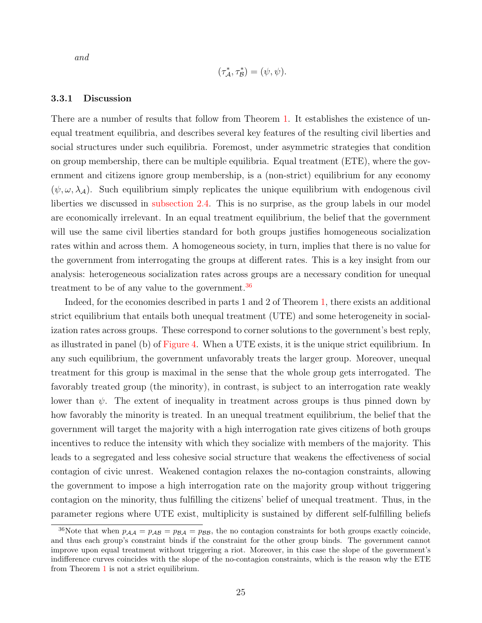and

$$
(\tau^*_{\mathcal{A}}, \tau^*_{\mathcal{B}}) = (\psi, \psi).
$$

### 3.3.1 Discussion

There are a number of results that follow from Theorem [1.](#page-24-0) It establishes the existence of unequal treatment equilibria, and describes several key features of the resulting civil liberties and social structures under such equilibria. Foremost, under asymmetric strategies that condition on group membership, there can be multiple equilibria. Equal treatment (ETE), where the government and citizens ignore group membership, is a (non-strict) equilibrium for any economy  $(\psi, \omega, \lambda_{\mathcal{A}})$ . Such equilibrium simply replicates the unique equilibrium with endogenous civil liberties we discussed in [subsection 2.4.](#page-15-0) This is no surprise, as the group labels in our model are economically irrelevant. In an equal treatment equilibrium, the belief that the government will use the same civil liberties standard for both groups justifies homogeneous socialization rates within and across them. A homogeneous society, in turn, implies that there is no value for the government from interrogating the groups at different rates. This is a key insight from our analysis: heterogeneous socialization rates across groups are a necessary condition for unequal treatment to be of any value to the government.<sup>[36](#page-25-0)</sup>

Indeed, for the economies described in parts 1 and 2 of Theorem [1,](#page-24-0) there exists an additional strict equilibrium that entails both unequal treatment (UTE) and some heterogeneity in socialization rates across groups. These correspond to corner solutions to the government's best reply, as illustrated in panel (b) of [Figure 4.](#page-21-0) When a UTE exists, it is the unique strict equilibrium. In any such equilibrium, the government unfavorably treats the larger group. Moreover, unequal treatment for this group is maximal in the sense that the whole group gets interrogated. The favorably treated group (the minority), in contrast, is subject to an interrogation rate weakly lower than  $\psi$ . The extent of inequality in treatment across groups is thus pinned down by how favorably the minority is treated. In an unequal treatment equilibrium, the belief that the government will target the majority with a high interrogation rate gives citizens of both groups incentives to reduce the intensity with which they socialize with members of the majority. This leads to a segregated and less cohesive social structure that weakens the effectiveness of social contagion of civic unrest. Weakened contagion relaxes the no-contagion constraints, allowing the government to impose a high interrogation rate on the majority group without triggering contagion on the minority, thus fulfilling the citizens' belief of unequal treatment. Thus, in the parameter regions where UTE exist, multiplicity is sustained by different self-fulfilling beliefs

<span id="page-25-0"></span><sup>&</sup>lt;sup>36</sup>Note that when  $p_{AA} = p_{AB} = p_{BA} = p_{BB}$ , the no contagion constraints for both groups exactly coincide, and thus each group's constraint binds if the constraint for the other group binds. The government cannot improve upon equal treatment without triggering a riot. Moreover, in this case the slope of the government's indifference curves coincides with the slope of the no-contagion constraints, which is the reason why the ETE from Theorem [1](#page-24-0) is not a strict equilibrium.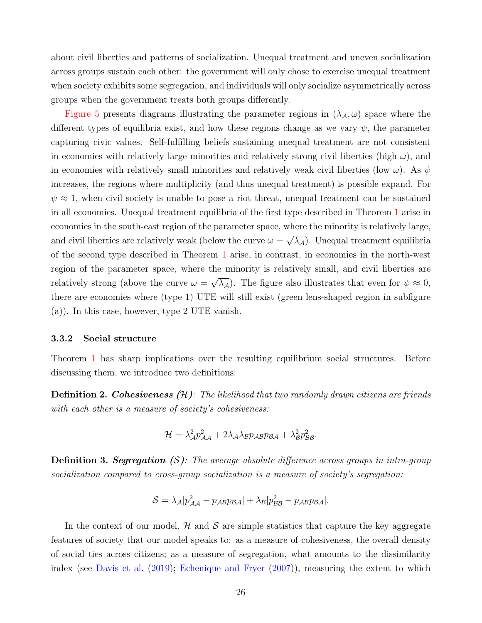about civil liberties and patterns of socialization. Unequal treatment and uneven socialization across groups sustain each other: the government will only chose to exercise unequal treatment when society exhibits some segregation, and individuals will only socialize asymmetrically across groups when the government treats both groups differently.

[Figure 5](#page-27-0) presents diagrams illustrating the parameter regions in  $(\lambda_{\mathcal{A}}, \omega)$  space where the different types of equilibria exist, and how these regions change as we vary  $\psi$ , the parameter capturing civic values. Self-fulfilling beliefs sustaining unequal treatment are not consistent in economies with relatively large minorities and relatively strong civil liberties (high  $\omega$ ), and in economies with relatively small minorities and relatively weak civil liberties (low  $\omega$ ). As  $\psi$ increases, the regions where multiplicity (and thus unequal treatment) is possible expand. For  $\psi \approx 1$ , when civil society is unable to pose a riot threat, unequal treatment can be sustained in all economies. Unequal treatment equilibria of the first type described in Theorem [1](#page-24-0) arise in economies in the south-east region of the parameter space, where the minority is relatively large, and civil liberties are relatively weak (below the curve  $\omega =$ √  $\overline{\lambda_{\mathcal{A}}}$ ). Unequal treatment equilibria of the second type described in Theorem [1](#page-24-0) arise, in contrast, in economies in the north-west region of the parameter space, where the minority is relatively small, and civil liberties are relatively strong (above the curve  $\omega =$ √  $\overline{\lambda_{\mathcal{A}}}$ ). The figure also illustrates that even for  $\psi \approx 0$ , there are economies where (type 1) UTE will still exist (green lens-shaped region in subfigure (a)). In this case, however, type 2 UTE vanish.

### 3.3.2 Social structure

Theorem [1](#page-24-0) has sharp implications over the resulting equilibrium social structures. Before discussing them, we introduce two definitions:

**Definition 2. Cohesiveness (H)**: The likelihood that two randomly drawn citizens are friends with each other is a measure of society's cohesiveness:

$$
\mathcal{H} = \lambda_{\mathcal{A}}^2 p_{\mathcal{A}\mathcal{A}}^2 + 2\lambda_{\mathcal{A}} \lambda_{\mathcal{B}} p_{\mathcal{A}\mathcal{B}} p_{\mathcal{B}\mathcal{A}} + \lambda_{\mathcal{B}}^2 p_{\mathcal{B}\mathcal{B}}^2.
$$

**Definition 3. Segregation (S)**: The average absolute difference across groups in intra-group socialization compared to cross-group socialization is a measure of society's segregation:

$$
S = \lambda_{\mathcal{A}}|p_{\mathcal{A}\mathcal{A}}^2 - p_{\mathcal{A}\mathcal{B}}p_{\mathcal{B}\mathcal{A}}| + \lambda_{\mathcal{B}}|p_{\mathcal{B}\mathcal{B}}^2 - p_{\mathcal{A}\mathcal{B}}p_{\mathcal{B}\mathcal{A}}|.
$$

In the context of our model,  $H$  and  $S$  are simple statistics that capture the key aggregate features of society that our model speaks to: as a measure of cohesiveness, the overall density of social ties across citizens; as a measure of segregation, what amounts to the dissimilarity index (see [Davis et al.](#page-40-17) [\(2019\)](#page-40-17); [Echenique and Fryer](#page-40-18) [\(2007\)](#page-40-18)), measuring the extent to which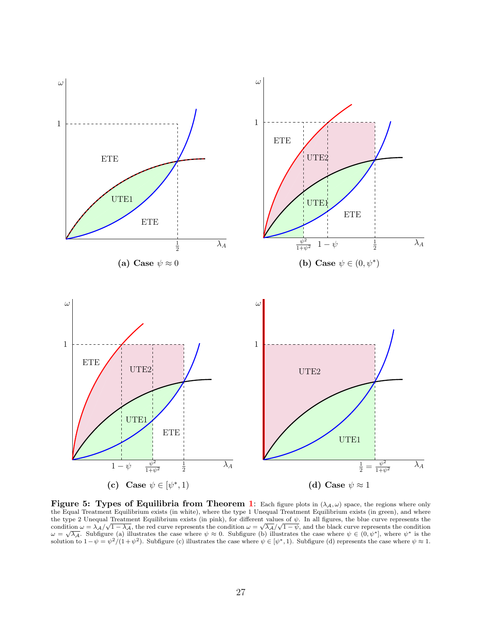<span id="page-27-0"></span>

**Figure 5: Types of Equilibria from Theorem [1](#page-24-0):** Each figure plots in  $(\lambda_A, \omega)$  space, the regions where only the Equal Treatment Equilibrium exists (in white), where the type 1 Unequal Treatment Equilibrium exists (in green), and where the type 2 Unequal Treatment Equilibrium exists (in pink), for different values of  $\psi$ . In all figures, the blue curve represents the the type 2 onequal freatment Equinorium exists (in pink), for unterent values of  $\psi$ . In all lightes, the blue curve represents the condition  $\omega = \lambda_A/\sqrt{1-\lambda_A}$ , the red curve represents the condition  $\omega = \sqrt{\lambda_A}/\sqrt{1-\psi}$ , a condition  $\omega = \lambda A/\sqrt{1 - \lambda A}$ , the red curve represents the condition  $\omega = \sqrt{\lambda}A/\sqrt{1 - \psi}$ , and the black curve represents the condition  $\omega = \sqrt{\lambda}A$ . Subfigure (a) illustrates the case where  $\psi \approx 0$ . Subfigure (b) illustrat solution to  $1 - \psi = \psi^2/(1 + \psi^2)$ . Subfigure (c) illustrates the case where  $\psi \in [\psi^*, 1]$ . Subfigure (d) represents the case where  $\psi \approx 1$ .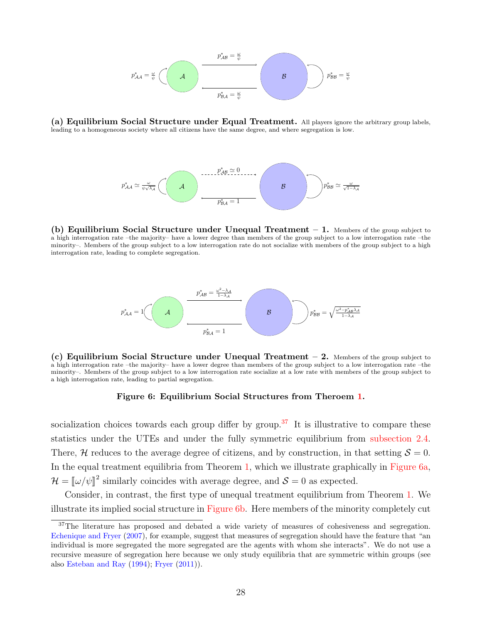<span id="page-28-1"></span>

(a) Equilibrium Social Structure under Equal Treatment. All players ignore the arbitrary group labels, leading to a homogeneous society where all citizens have the same degree, and where segregation is low.



(b) Equilibrium Social Structure under Unequal Treatment  $-1$ . Members of the group subject to a high interrogation rate –the majority– have a lower degree than members of the group subject to a low interrogation rate –the minority–. Members of the group subject to a low interrogation rate do not socialize with members of the group subject to a high interrogation rate, leading to complete segregation.



(c) Equilibrium Social Structure under Unequal Treatment  $-2$ . Members of the group subject to a high interrogation rate –the majority– have a lower degree than members of the group subject to a low interrogation rate –the minority–. Members of the group subject to a low interrogation rate socialize at a low rate with members of the group subject to a high interrogation rate, leading to partial segregation.

#### Figure 6: Equilibrium Social Structures from Theroem [1.](#page-24-0)

socialization choices towards each group differ by group.<sup>[37](#page-28-0)</sup> It is illustrative to compare these statistics under the UTEs and under the fully symmetric equilibrium from [subsection 2.4.](#page-15-0) There, H reduces to the average degree of citizens, and by construction, in that setting  $S = 0$ . In the equal treatment equilibria from Theorem [1,](#page-24-0) which we illustrate graphically in [Figure 6a,](#page-28-1)  $\mathcal{H} = [\![\omega/\psi]\!]^2$  similarly coincides with average degree, and  $\mathcal{S} = 0$  as expected.

Consider, in contrast, the first type of unequal treatment equilibrium from Theorem [1.](#page-24-0) We illustrate its implied social structure in [Figure 6b.](#page-28-1) Here members of the minority completely cut

<span id="page-28-0"></span><sup>&</sup>lt;sup>37</sup>The literature has proposed and debated a wide variety of measures of cohesiveness and segregation. [Echenique and Fryer](#page-40-18) [\(2007\)](#page-40-18), for example, suggest that measures of segregation should have the feature that "an individual is more segregated the more segregated are the agents with whom she interacts". We do not use a recursive measure of segregation here because we only study equilibria that are symmetric within groups (see also [Esteban and Ray](#page-41-19) [\(1994\)](#page-41-19); [Fryer](#page-41-20) [\(2011\)](#page-41-20)).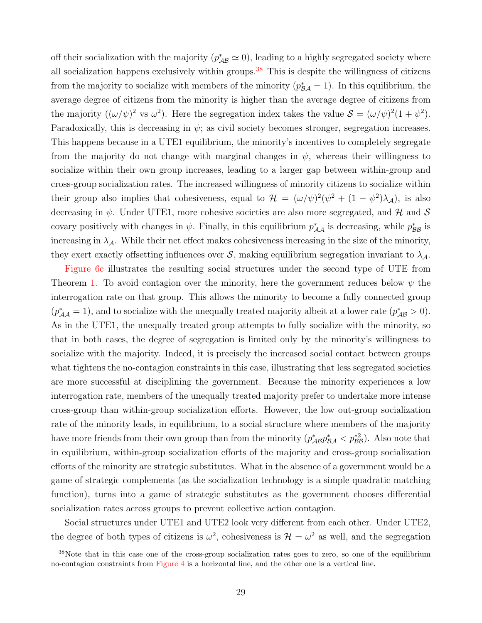off their socialization with the majority  $(p_{AB}^* \simeq 0)$ , leading to a highly segregated society where all socialization happens exclusively within groups.<sup>[38](#page-29-0)</sup> This is despite the willingness of citizens from the majority to socialize with members of the minority  $(p_{\mathcal{BA}}^* = 1)$ . In this equilibrium, the average degree of citizens from the minority is higher than the average degree of citizens from the majority  $((\omega/\psi)^2 \text{ vs } \omega^2)$ . Here the segregation index takes the value  $\mathcal{S} = (\omega/\psi)^2 (1 + \psi^2)$ . Paradoxically, this is decreasing in  $\psi$ ; as civil society becomes stronger, segregation increases. This happens because in a UTE1 equilibrium, the minority's incentives to completely segregate from the majority do not change with marginal changes in  $\psi$ , whereas their willingness to socialize within their own group increases, leading to a larger gap between within-group and cross-group socialization rates. The increased willingness of minority citizens to socialize within their group also implies that cohesiveness, equal to  $\mathcal{H} = (\omega/\psi)^2(\psi^2 + (1 - \psi^2)\lambda_{\mathcal{A}})$ , is also decreasing in  $\psi$ . Under UTE1, more cohesive societies are also more segregated, and H and S covary positively with changes in  $\psi$ . Finally, in this equilibrium  $p^*_{AA}$  is decreasing, while  $p^*_{BB}$  is increasing in  $\lambda_{\mathcal{A}}$ . While their net effect makes cohesiveness increasing in the size of the minority, they exert exactly offsetting influences over  $S$ , making equilibrium segregation invariant to  $\lambda_{\mathcal{A}}$ .

[Figure 6c](#page-28-1) illustrates the resulting social structures under the second type of UTE from Theorem [1.](#page-24-0) To avoid contagion over the minority, here the government reduces below  $\psi$  the interrogation rate on that group. This allows the minority to become a fully connected group  $(p_{AA}^* = 1)$ , and to socialize with the unequally treated majority albeit at a lower rate  $(p_{AB}^* > 0)$ . As in the UTE1, the unequally treated group attempts to fully socialize with the minority, so that in both cases, the degree of segregation is limited only by the minority's willingness to socialize with the majority. Indeed, it is precisely the increased social contact between groups what tightens the no-contagion constraints in this case, illustrating that less segregated societies are more successful at disciplining the government. Because the minority experiences a low interrogation rate, members of the unequally treated majority prefer to undertake more intense cross-group than within-group socialization efforts. However, the low out-group socialization rate of the minority leads, in equilibrium, to a social structure where members of the majority have more friends from their own group than from the minority  $(p_{AB}^* p_{BA}^* < p_{BB}^{*2})$ . Also note that in equilibrium, within-group socialization efforts of the majority and cross-group socialization efforts of the minority are strategic substitutes. What in the absence of a government would be a game of strategic complements (as the socialization technology is a simple quadratic matching function), turns into a game of strategic substitutes as the government chooses differential socialization rates across groups to prevent collective action contagion.

Social structures under UTE1 and UTE2 look very different from each other. Under UTE2, the degree of both types of citizens is  $\omega^2$ , cohesiveness is  $\mathcal{H} = \omega^2$  as well, and the segregation

<span id="page-29-0"></span><sup>38</sup>Note that in this case one of the cross-group socialization rates goes to zero, so one of the equilibrium no-contagion constraints from [Figure 4](#page-21-0) is a horizontal line, and the other one is a vertical line.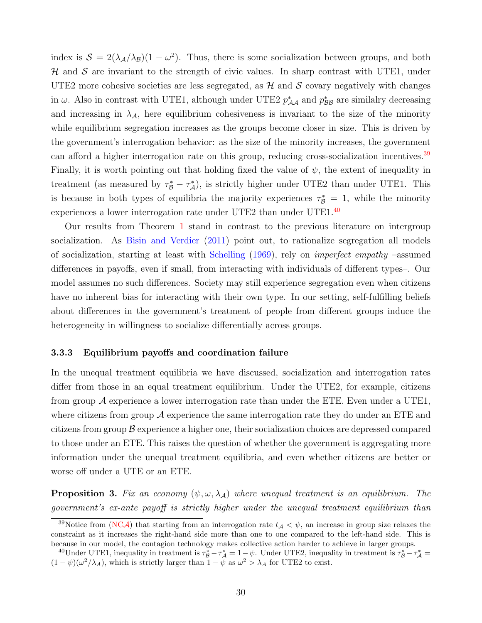index is  $S = 2(\lambda_A/\lambda_B)(1-\omega^2)$ . Thus, there is some socialization between groups, and both H and S are invariant to the strength of civic values. In sharp contrast with UTE1, under UTE2 more cohesive societies are less segregated, as  $\mathcal H$  and  $\mathcal S$  covary negatively with changes in  $\omega$ . Also in contrast with UTE1, although under UTE2  $p^*_{\mathcal{A}A}$  and  $p^*_{\mathcal{B}B}$  are similalry decreasing and increasing in  $\lambda_{\mathcal{A}}$ , here equilibrium cohesiveness is invariant to the size of the minority while equilibrium segregation increases as the groups become closer in size. This is driven by the government's interrogation behavior: as the size of the minority increases, the government can afford a higher interrogation rate on this group, reducing cross-socialization incentives.<sup>[39](#page-30-0)</sup> Finally, it is worth pointing out that holding fixed the value of  $\psi$ , the extent of inequality in treatment (as measured by  $\tau^*_{\mathcal{B}} - \tau^*_{\mathcal{A}}$ ), is strictly higher under UTE2 than under UTE1. This is because in both types of equilibria the majority experiences  $\tau_{\mathcal{B}}^* = 1$ , while the minority experiences a lower interrogation rate under UTE2 than under UTE1.<sup>[40](#page-30-1)</sup>

Our results from Theorem [1](#page-24-0) stand in contrast to the previous literature on intergroup socialization. As [Bisin and Verdier](#page-40-3) [\(2011\)](#page-40-3) point out, to rationalize segregation all models of socialization, starting at least with [Schelling](#page-42-0)  $(1969)$ , rely on *imperfect empathy* –assumed differences in payoffs, even if small, from interacting with individuals of different types–. Our model assumes no such differences. Society may still experience segregation even when citizens have no inherent bias for interacting with their own type. In our setting, self-fulfilling beliefs about differences in the government's treatment of people from different groups induce the heterogeneity in willingness to socialize differentially across groups.

### 3.3.3 Equilibrium payoffs and coordination failure

In the unequal treatment equilibria we have discussed, socialization and interrogation rates differ from those in an equal treatment equilibrium. Under the UTE2, for example, citizens from group  $\mathcal A$  experience a lower interrogation rate than under the ETE. Even under a UTE1, where citizens from group  $\mathcal A$  experience the same interrogation rate they do under an ETE and citizens from group  $\mathcal B$  experience a higher one, their socialization choices are depressed compared to those under an ETE. This raises the question of whether the government is aggregating more information under the unequal treatment equilibria, and even whether citizens are better or worse off under a UTE or an ETE.

<span id="page-30-2"></span>**Proposition 3.** Fix an economy  $(\psi, \omega, \lambda_A)$  where unequal treatment is an equilibrium. The government's ex-ante payoff is strictly higher under the unequal treatment equilibrium than

<span id="page-30-0"></span><sup>&</sup>lt;sup>39</sup>Notice from [\(NC](#page-19-1)A) that starting from an interrogation rate  $t_A < \psi$ , an increase in group size relaxes the constraint as it increases the right-hand side more than one to one compared to the left-hand side. This is because in our model, the contagion technology makes collective action harder to achieve in larger groups.

<span id="page-30-1"></span><sup>&</sup>lt;sup>40</sup>Under UTE1, inequality in treatment is  $\tau^*_{\mathcal{B}} - \tau^*_{\mathcal{A}} = 1 - \psi$ . Under UTE2, inequality in treatment is  $\tau^*_{\mathcal{B}} - \tau^*_{\mathcal{A}} =$  $(1 - \psi)(\omega^2/\lambda_A)$ , which is strictly larger than  $1 - \psi$  as  $\omega^2 > \lambda_A$  for UTE2 to exist.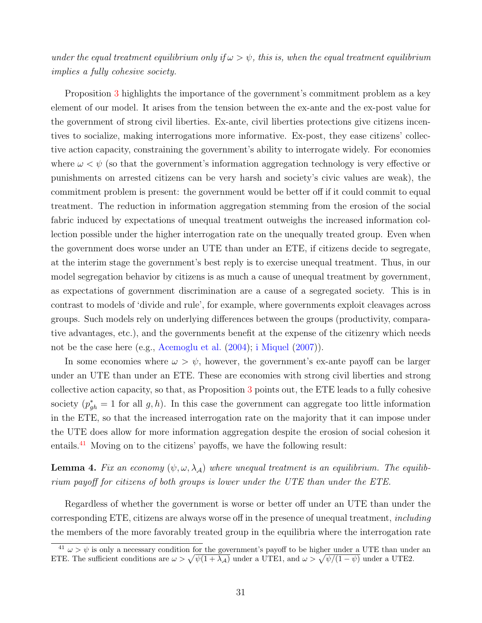under the equal treatment equilibrium only if  $\omega > \psi$ , this is, when the equal treatment equilibrium implies a fully cohesive society.

Proposition [3](#page-30-2) highlights the importance of the government's commitment problem as a key element of our model. It arises from the tension between the ex-ante and the ex-post value for the government of strong civil liberties. Ex-ante, civil liberties protections give citizens incentives to socialize, making interrogations more informative. Ex-post, they ease citizens' collective action capacity, constraining the government's ability to interrogate widely. For economies where  $\omega < \psi$  (so that the government's information aggregation technology is very effective or punishments on arrested citizens can be very harsh and society's civic values are weak), the commitment problem is present: the government would be better off if it could commit to equal treatment. The reduction in information aggregation stemming from the erosion of the social fabric induced by expectations of unequal treatment outweighs the increased information collection possible under the higher interrogation rate on the unequally treated group. Even when the government does worse under an UTE than under an ETE, if citizens decide to segregate, at the interim stage the government's best reply is to exercise unequal treatment. Thus, in our model segregation behavior by citizens is as much a cause of unequal treatment by government, as expectations of government discrimination are a cause of a segregated society. This is in contrast to models of 'divide and rule', for example, where governments exploit cleavages across groups. Such models rely on underlying differences between the groups (productivity, comparative advantages, etc.), and the governments benefit at the expense of the citizenry which needs not be the case here (e.g., [Acemoglu et al.](#page-39-1) [\(2004\)](#page-39-1); [i Miquel](#page-41-21) [\(2007\)](#page-41-21)).

In some economies where  $\omega > \psi$ , however, the government's ex-ante payoff can be larger under an UTE than under an ETE. These are economies with strong civil liberties and strong collective action capacity, so that, as Proposition [3](#page-30-2) points out, the ETE leads to a fully cohesive society  $(p_{gh}^* = 1$  for all  $g, h$ ). In this case the government can aggregate too little information in the ETE, so that the increased interrogation rate on the majority that it can impose under the UTE does allow for more information aggregation despite the erosion of social cohesion it entails.[41](#page-31-0) Moving on to the citizens' payoffs, we have the following result:

<span id="page-31-1"></span>**Lemma 4.** Fix an economy  $(\psi, \omega, \lambda_A)$  where unequal treatment is an equilibrium. The equilibrium payoff for citizens of both groups is lower under the UTE than under the ETE.

Regardless of whether the government is worse or better off under an UTE than under the corresponding ETE, citizens are always worse off in the presence of unequal treatment, *including* the members of the more favorably treated group in the equilibria where the interrogation rate

<span id="page-31-0"></span><sup>&</sup>lt;sup>41</sup>  $\omega > \psi$  is only a necessary condition for the government's payoff to be higher under a UTE than under an ETE. The sufficient conditions are  $\omega > \sqrt{\psi(1 + \lambda_A)}$  under a UTE1, and  $\omega > \sqrt{\psi/(1 - \psi)}$  under a UTE2.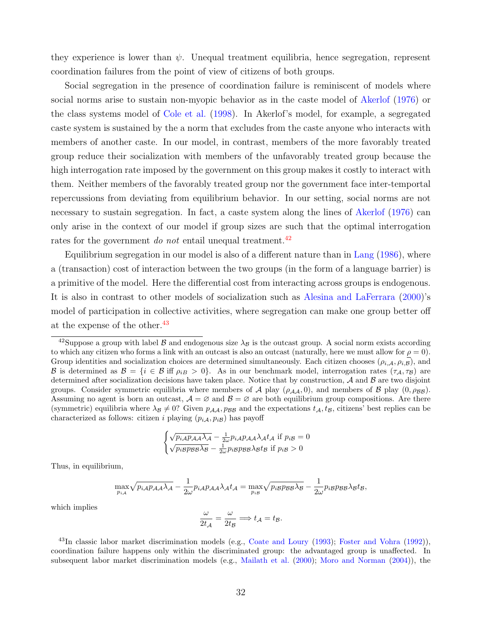they experience is lower than  $\psi$ . Unequal treatment equilibria, hence segregation, represent coordination failures from the point of view of citizens of both groups.

Social segregation in the presence of coordination failure is reminiscent of models where social norms arise to sustain non-myopic behavior as in the caste model of [Akerlof](#page-40-1) [\(1976\)](#page-40-1) or the class systems model of [Cole et al.](#page-40-19) [\(1998\)](#page-40-19). In Akerlof's model, for example, a segregated caste system is sustained by the a norm that excludes from the caste anyone who interacts with members of another caste. In our model, in contrast, members of the more favorably treated group reduce their socialization with members of the unfavorably treated group because the high interrogation rate imposed by the government on this group makes it costly to interact with them. Neither members of the favorably treated group nor the government face inter-temportal repercussions from deviating from equilibrium behavior. In our setting, social norms are not necessary to sustain segregation. In fact, a caste system along the lines of [Akerlof](#page-40-1) [\(1976\)](#page-40-1) can only arise in the context of our model if group sizes are such that the optimal interrogation rates for the government do not entail unequal treatment.<sup>[42](#page-32-0)</sup>

Equilibrium segregation in our model is also of a different nature than in [Lang](#page-41-2) [\(1986\)](#page-41-2), where a (transaction) cost of interaction between the two groups (in the form of a language barrier) is a primitive of the model. Here the differential cost from interacting across groups is endogenous. It is also in contrast to other models of socialization such as [Alesina and LaFerrara](#page-40-2) [\(2000\)](#page-40-2)'s model of participation in collective activities, where segregation can make one group better off at the expense of the other.<sup>[43](#page-32-1)</sup>

$$
\begin{cases} \sqrt{p_{iA}p_{A}A\lambda_A} - \frac{1}{2\omega}p_{iA}p_{A}A\lambda_A t_A \text{ if } p_{iB} = 0\\ \sqrt{p_{iB}p_{BB}\lambda_B} - \frac{1}{2\omega}p_{iB}p_{BB}\lambda_B t_B \text{ if } p_{iB} > 0 \end{cases}
$$

Thus, in equilibrium,

$$
\max_{p_{iA}} \sqrt{p_{iA}p_{A A} \lambda_A} - \frac{1}{2\omega} p_{iA}p_{A A} \lambda_A t_A = \max_{p_{iB}} \sqrt{p_{iB}p_{B B} \lambda_B} - \frac{1}{2\omega} p_{iB}p_{B B} \lambda_B t_B,
$$

which implies

$$
\frac{\omega}{2t_{\mathcal{A}}} = \frac{\omega}{2t_{\mathcal{B}}} \Longrightarrow t_{\mathcal{A}} = t_{\mathcal{B}}.
$$

<span id="page-32-1"></span><sup>43</sup>In classic labor market discrimination models (e.g., [Coate and Loury](#page-40-5) [\(1993\)](#page-40-5); [Foster and Vohra](#page-41-9) [\(1992\)](#page-41-9)), coordination failure happens only within the discriminated group: the advantaged group is unaffected. In subsequent labor market discrimination models (e.g., [Mailath et al.](#page-41-10) [\(2000\)](#page-41-10); [Moro and Norman](#page-41-11) [\(2004\)](#page-41-11)), the

<span id="page-32-0"></span><sup>&</sup>lt;sup>42</sup>Suppose a group with label  $\beta$  and endogenous size  $\lambda_{\beta}$  is the outcast group. A social norm exists according to which any citizen who forms a link with an outcast is also an outcast (naturally, here we must allow for  $\rho = 0$ ). Group identities and socialization choices are determined simultaneously. Each citizen chooses  $(\rho_{i,A}, \rho_{i,B})$ , and B is determined as  $\mathcal{B} = \{i \in \mathcal{B} \text{ iff } \rho_{i\mathcal{B}} > 0\}.$  As in our benchmark model, interrogation rates  $(\tau_{\mathcal{A}}, \tau_{\mathcal{B}})$  are determined after socialization decisions have taken place. Notice that by construction,  $A$  and  $B$  are two disjoint groups. Consider symmetric equilibria where members of A play  $(\rho_{\mathcal{A}}, 0)$ , and members of B play  $(0, \rho_{\mathcal{B}})$ . Assuming no agent is born an outcast,  $A = \emptyset$  and  $B = \emptyset$  are both equilibrium group compositions. Are there (symmetric) equilibria where  $\lambda_B \neq 0$ ? Given  $p_{AA}$ ,  $p_{BB}$  and the expectations  $t_A$ ,  $t_B$ , citizens' best replies can be characterized as follows: citizen i playing  $(p_{i\mathcal{A}}, p_{i\mathcal{B}})$  has payoff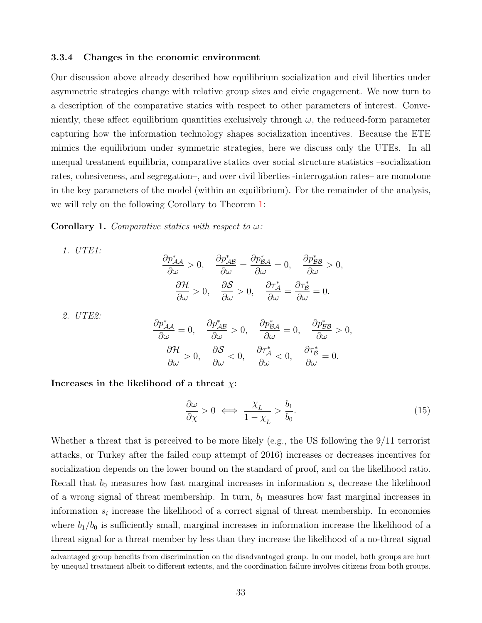#### 3.3.4 Changes in the economic environment

Our discussion above already described how equilibrium socialization and civil liberties under asymmetric strategies change with relative group sizes and civic engagement. We now turn to a description of the comparative statics with respect to other parameters of interest. Conveniently, these affect equilibrium quantities exclusively through  $\omega$ , the reduced-form parameter capturing how the information technology shapes socialization incentives. Because the ETE mimics the equilibrium under symmetric strategies, here we discuss only the UTEs. In all unequal treatment equilibria, comparative statics over social structure statistics –socialization rates, cohesiveness, and segregation–, and over civil liberties -interrogation rates– are monotone in the key parameters of the model (within an equilibrium). For the remainder of the analysis, we will rely on the following Corollary to Theorem [1:](#page-24-0)

<span id="page-33-0"></span>**Corollary 1.** Comparative statics with respect to  $\omega$ :

1. UTE1:

$$
\frac{\partial p_{\mathcal{A}\mathcal{A}}^*}{\partial \omega} > 0, \quad \frac{\partial p_{\mathcal{A}\mathcal{B}}^*}{\partial \omega} = \frac{\partial p_{\mathcal{B}\mathcal{A}}^*}{\partial \omega} = 0, \quad \frac{\partial p_{\mathcal{B}\mathcal{B}}^*}{\partial \omega} > 0,
$$

$$
\frac{\partial \mathcal{H}}{\partial \omega} > 0, \quad \frac{\partial \mathcal{S}}{\partial \omega} > 0, \quad \frac{\partial \tau_{\mathcal{A}}^*}{\partial \omega} = \frac{\partial \tau_{\mathcal{B}}^*}{\partial \omega} = 0.
$$

2. UTE2:

$$
\frac{\partial p_{\mathcal{A}\mathcal{A}}^*}{\partial \omega} = 0, \quad \frac{\partial p_{\mathcal{A}\mathcal{B}}^*}{\partial \omega} > 0, \quad \frac{\partial p_{\mathcal{B}\mathcal{A}}^*}{\partial \omega} = 0, \quad \frac{\partial p_{\mathcal{B}\mathcal{B}}^*}{\partial \omega} > 0,
$$

$$
\frac{\partial \mathcal{H}}{\partial \omega} > 0, \quad \frac{\partial \mathcal{S}}{\partial \omega} < 0, \quad \frac{\partial \tau_{\mathcal{A}}^*}{\partial \omega} < 0, \quad \frac{\partial \tau_{\mathcal{B}}^*}{\partial \omega} = 0.
$$

Increases in the likelihood of a threat  $\chi$ :

<span id="page-33-1"></span>
$$
\frac{\partial \omega}{\partial \chi} > 0 \iff \frac{\underline{\chi}_L}{1 - \underline{\chi}_L} > \frac{b_1}{b_0}.\tag{15}
$$

Whether a threat that is perceived to be more likely (e.g., the US following the 9/11 terrorist attacks, or Turkey after the failed coup attempt of 2016) increases or decreases incentives for socialization depends on the lower bound on the standard of proof, and on the likelihood ratio. Recall that  $b_0$  measures how fast marginal increases in information  $s_i$  decrease the likelihood of a wrong signal of threat membership. In turn,  $b_1$  measures how fast marginal increases in information  $s_i$  increase the likelihood of a correct signal of threat membership. In economies where  $b_1/b_0$  is sufficiently small, marginal increases in information increase the likelihood of a threat signal for a threat member by less than they increase the likelihood of a no-threat signal

advantaged group benefits from discrimination on the disadvantaged group. In our model, both groups are hurt by unequal treatment albeit to different extents, and the coordination failure involves citizens from both groups.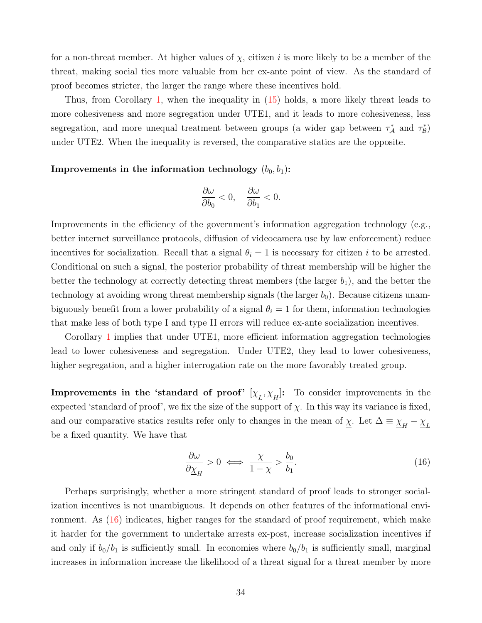for a non-threat member. At higher values of  $\chi$ , citizen i is more likely to be a member of the threat, making social ties more valuable from her ex-ante point of view. As the standard of proof becomes stricter, the larger the range where these incentives hold.

Thus, from Corollary [1,](#page-33-0) when the inequality in [\(15\)](#page-33-1) holds, a more likely threat leads to more cohesiveness and more segregation under UTE1, and it leads to more cohesiveness, less segregation, and more unequal treatment between groups (a wider gap between  $\tau_A^*$  and  $\tau_B^*$ ) under UTE2. When the inequality is reversed, the comparative statics are the opposite.

### Improvements in the information technology  $(b_0, b_1)$ :

$$
\frac{\partial \omega}{\partial b_0} < 0, \quad \frac{\partial \omega}{\partial b_1} < 0.
$$

Improvements in the efficiency of the government's information aggregation technology (e.g., better internet surveillance protocols, diffusion of videocamera use by law enforcement) reduce incentives for socialization. Recall that a signal  $\theta_i = 1$  is necessary for citizen i to be arrested. Conditional on such a signal, the posterior probability of threat membership will be higher the better the technology at correctly detecting threat members (the larger  $b_1$ ), and the better the technology at avoiding wrong threat membership signals (the larger  $b_0$ ). Because citizens unambiguously benefit from a lower probability of a signal  $\theta_i = 1$  for them, information technologies that make less of both type I and type II errors will reduce ex-ante socialization incentives.

Corollary [1](#page-33-0) implies that under UTE1, more efficient information aggregation technologies lead to lower cohesiveness and segregation. Under UTE2, they lead to lower cohesiveness, higher segregation, and a higher interrogation rate on the more favorably treated group.

**Improvements in the 'standard of proof'**  $[\underline{\chi}_L, \underline{\chi}_H]$ : To consider improvements in the expected 'standard of proof', we fix the size of the support of  $\chi$ . In this way its variance is fixed, and our comparative statics results refer only to changes in the mean of  $\underline{\chi}$ . Let  $\Delta \equiv \underline{\chi}_H - \underline{\chi}_L$ be a fixed quantity. We have that

<span id="page-34-0"></span>
$$
\frac{\partial \omega}{\partial \underline{\chi}_H} > 0 \iff \frac{\chi}{1 - \chi} > \frac{b_0}{b_1}.\tag{16}
$$

Perhaps surprisingly, whether a more stringent standard of proof leads to stronger socialization incentives is not unambiguous. It depends on other features of the informational environment. As [\(16\)](#page-34-0) indicates, higher ranges for the standard of proof requirement, which make it harder for the government to undertake arrests ex-post, increase socialization incentives if and only if  $b_0/b_1$  is sufficiently small. In economies where  $b_0/b_1$  is sufficiently small, marginal increases in information increase the likelihood of a threat signal for a threat member by more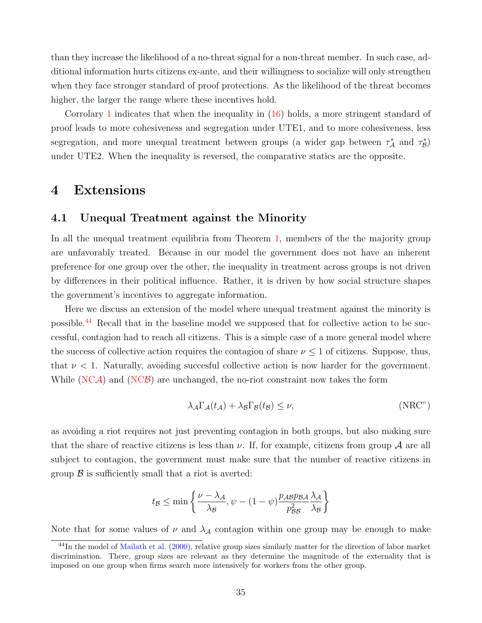than they increase the likelihood of a no-threat signal for a non-threat member. In such case, additional information hurts citizens ex-ante, and their willingness to socialize will only strengthen when they face stronger standard of proof protections. As the likelihood of the threat becomes higher, the larger the range where these incentives hold.

Corrolary [1](#page-33-0) indicates that when the inequality in [\(16\)](#page-34-0) holds, a more stringent standard of proof leads to more cohesiveness and segregation under UTE1, and to more cohesiveness, less segregation, and more unequal treatment between groups (a wider gap between  $\tau_A^*$  and  $\tau_B^*$ ) under UTE2. When the inequality is reversed, the comparative statics are the opposite.

### <span id="page-35-0"></span>4 Extensions

### <span id="page-35-1"></span>4.1 Unequal Treatment against the Minority

In all the unequal treatment equilibria from Theorem [1,](#page-24-0) members of the the majority group are unfavorably treated. Because in our model the government does not have an inherent preference for one group over the other, the inequality in treatment across groups is not driven by differences in their political influence. Rather, it is driven by how social structure shapes the government's incentives to aggregate information.

Here we discuss an extension of the model where unequal treatment against the minority is possible.[44](#page-35-2) Recall that in the baseline model we supposed that for collective action to be successful, contagion had to reach all citizens. This is a simple case of a more general model where the success of collective action requires the contagion of share  $\nu \leq 1$  of citizens. Suppose, thus, that  $\nu < 1$ . Naturally, avoiding succesful collective action is now harder for the government. While [\(NC](#page-20-0)A) and (NCB) are unchanged, the no-riot constraint now takes the form

<span id="page-35-3"></span>
$$
\lambda_{\mathcal{A}} \Gamma_{\mathcal{A}}(t_{\mathcal{A}}) + \lambda_{\mathcal{B}} \Gamma_{\mathcal{B}}(t_{\mathcal{B}}) \le \nu,
$$
 (NRC")

as avoiding a riot requires not just preventing contagion in both groups, but also making sure that the share of reactive citizens is less than  $\nu$ . If, for example, citizens from group A are all subject to contagion, the government must make sure that the number of reactive citizens in group  $\beta$  is sufficiently small that a riot is averted:

$$
t_{\mathcal{B}} \le \min\left\{\frac{\nu - \lambda_{\mathcal{A}}}{\lambda_{\mathcal{B}}}, \psi - (1 - \psi)\frac{p_{\mathcal{A}\mathcal{B}}p_{\mathcal{B}\mathcal{A}}}{p_{\mathcal{B}\mathcal{B}}^2} \frac{\lambda_{\mathcal{A}}}{\lambda_{\mathcal{B}}}\right\}
$$

Note that for some values of  $\nu$  and  $\lambda_{\mathcal{A}}$  contagion within one group may be enough to make

<span id="page-35-2"></span><sup>&</sup>lt;sup>44</sup>In the model of [Mailath et al.](#page-41-10) [\(2000\)](#page-41-10), relative group sizes similarly matter for the direction of labor market discrimination. There, group sizes are relevant as they determine the magnitude of the externality that is imposed on one group when firms search more intensively for workers from the other group.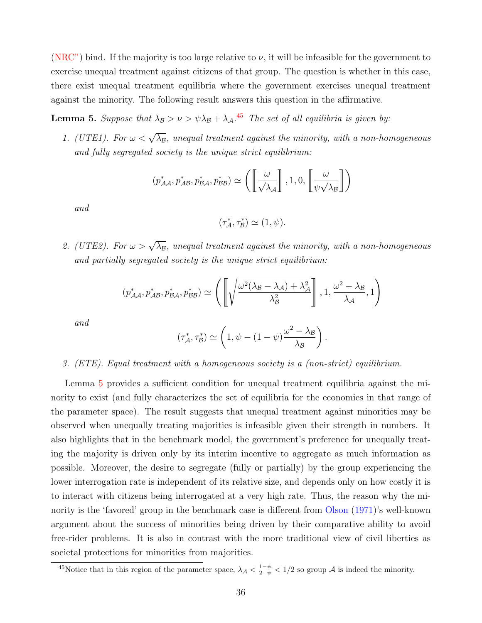[\(NRC"\)](#page-35-3) bind. If the majority is too large relative to  $\nu$ , it will be infeasible for the government to exercise unequal treatment against citizens of that group. The question is whether in this case, there exist unequal treatment equilibria where the government exercises unequal treatment against the minority. The following result answers this question in the affirmative.

<span id="page-36-1"></span>**Lemma 5.** Suppose that  $\lambda_B > \nu > \psi \lambda_B + \lambda_A$ .<sup>[45](#page-36-0)</sup> The set of all equilibria is given by:

1. (UTE1). For  $\omega < \sqrt{\lambda_B}$ , unequal treatment against the minority, with a non-homogeneous and fully segregated society is the unique strict equilibrium:

$$
(p_{\mathcal{A}\mathcal{A}}^*, p_{\mathcal{A}\mathcal{B}}^*, p_{\mathcal{B}\mathcal{A}}^*, p_{\mathcal{B}\mathcal{B}}^*) \simeq \left( \left[ \frac{\omega}{\sqrt{\lambda_{\mathcal{A}}}} \right], 1, 0, \left[ \frac{\omega}{\psi \sqrt{\lambda_{\mathcal{B}}}} \right] \right)
$$

and

$$
(\tau^*_{\mathcal{A}},\tau^*_{\mathcal{B}})\simeq (1,\psi).
$$

2. (UTE2). For  $\omega > \sqrt{\lambda_B}$ , unequal treatment against the minority, with a non-homogeneous and partially segregated society is the unique strict equilibrium:

$$
(p_{\mathcal{A}\mathcal{A}}^*,p_{\mathcal{A}\mathcal{B}}^*,p_{\mathcal{B}\mathcal{A}}^*,p_{\mathcal{B}\mathcal{B}}^*)\simeq \left(\left[\!\!\left[ \sqrt{\frac{\omega^2(\lambda_{\mathcal{B}}-\lambda_{\mathcal{A}})+\lambda_{\mathcal{A}}^2}{\lambda_{\mathcal{B}}^2}}\right]\!\!\right],1,\frac{\omega^2-\lambda_{\mathcal{B}}}{\lambda_{\mathcal{A}}},1\right)
$$

and

$$
(\tau_{\mathcal{A}}^*, \tau_{\mathcal{B}}^*) \simeq \left(1, \psi - (1 - \psi) \frac{\omega^2 - \lambda_{\mathcal{B}}}{\lambda_{\mathcal{B}}}\right)
$$

.

### 3. (ETE). Equal treatment with a homogeneous society is a (non-strict) equilibrium.

Lemma [5](#page-36-1) provides a sufficient condition for unequal treatment equilibria against the minority to exist (and fully characterizes the set of equilibria for the economies in that range of the parameter space). The result suggests that unequal treatment against minorities may be observed when unequally treating majorities is infeasible given their strength in numbers. It also highlights that in the benchmark model, the government's preference for unequally treating the majority is driven only by its interim incentive to aggregate as much information as possible. Moreover, the desire to segregate (fully or partially) by the group experiencing the lower interrogation rate is independent of its relative size, and depends only on how costly it is to interact with citizens being interrogated at a very high rate. Thus, the reason why the minority is the 'favored' group in the benchmark case is different from [Olson](#page-42-10) [\(1971\)](#page-42-10)'s well-known argument about the success of minorities being driven by their comparative ability to avoid free-rider problems. It is also in contrast with the more traditional view of civil liberties as societal protections for minorities from majorities.

<span id="page-36-0"></span><sup>&</sup>lt;sup>45</sup>Notice that in this region of the parameter space,  $\lambda_{\mathcal{A}} < \frac{1-\psi}{2-\psi} < 1/2$  so group  $\mathcal{A}$  is indeed the minority.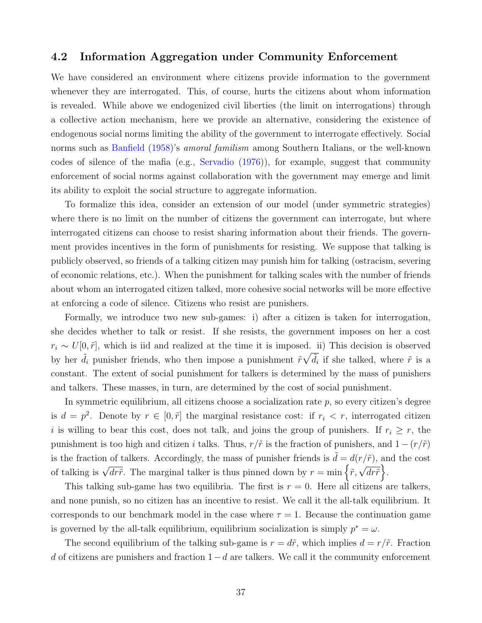### 4.2 Information Aggregation under Community Enforcement

We have considered an environment where citizens provide information to the government whenever they are interrogated. This, of course, hurts the citizens about whom information is revealed. While above we endogenized civil liberties (the limit on interrogations) through a collective action mechanism, here we provide an alternative, considering the existence of endogenous social norms limiting the ability of the government to interrogate effectively. Social norms such as [Banfield](#page-40-6) [\(1958\)](#page-40-6)'s *amoral familism* among Southern Italians, or the well-known codes of silence of the mafia (e.g., [Servadio](#page-42-6) [\(1976\)](#page-42-6)), for example, suggest that community enforcement of social norms against collaboration with the government may emerge and limit its ability to exploit the social structure to aggregate information.

To formalize this idea, consider an extension of our model (under symmetric strategies) where there is no limit on the number of citizens the government can interrogate, but where interrogated citizens can choose to resist sharing information about their friends. The government provides incentives in the form of punishments for resisting. We suppose that talking is publicly observed, so friends of a talking citizen may punish him for talking (ostracism, severing of economic relations, etc.). When the punishment for talking scales with the number of friends about whom an interrogated citizen talked, more cohesive social networks will be more effective at enforcing a code of silence. Citizens who resist are punishers.

Formally, we introduce two new sub-games: i) after a citizen is taken for interrogation, she decides whether to talk or resist. If she resists, the government imposes on her a cost  $r_i \sim U[0, \tilde{r}]$ , which is iid and realized at the time it is imposed. ii) This decision is observed by her  $\tilde{d}_i$  punisher friends, who then impose a punishment  $\tilde{r}\sqrt{\tilde{d}_i}$  if she talked, where  $\tilde{r}$  is a constant. The extent of social punishment for talkers is determined by the mass of punishers and talkers. These masses, in turn, are determined by the cost of social punishment.

In symmetric equilibrium, all citizens choose a socialization rate  $p$ , so every citizen's degree is  $d = p^2$ . Denote by  $r \in [0, \tilde{r}]$  the marginal resistance cost: if  $r_i \leq r$ , interrogated citizen i is willing to bear this cost, does not talk, and joins the group of punishers. If  $r_i \ge r$ , the punishment is too high and citizen i talks. Thus,  $r/\tilde{r}$  is the fraction of punishers, and  $1 - (r/\tilde{r})$ is the fraction of talkers. Accordingly, the mass of punisher friends is  $\ddot{d} = d(r/\tilde{r})$ , and the cost of talking is  $\sqrt{dr\tilde{r}}$ . The marginal talker is thus pinned down by  $r = \min \{ \tilde{r}, \}$ √  $\overline{dr\tilde{r}}$ .

This talking sub-game has two equilibria. The first is  $r = 0$ . Here all citizens are talkers, and none punish, so no citizen has an incentive to resist. We call it the all-talk equilibrium. It corresponds to our benchmark model in the case where  $\tau = 1$ . Because the continuation game is governed by the all-talk equilibrium, equilibrium socialization is simply  $p^* = \omega$ .

The second equilibrium of the talking sub-game is  $r = d\tilde{r}$ , which implies  $d = r/\tilde{r}$ . Fraction d of citizens are punishers and fraction  $1-d$  are talkers. We call it the community enforcement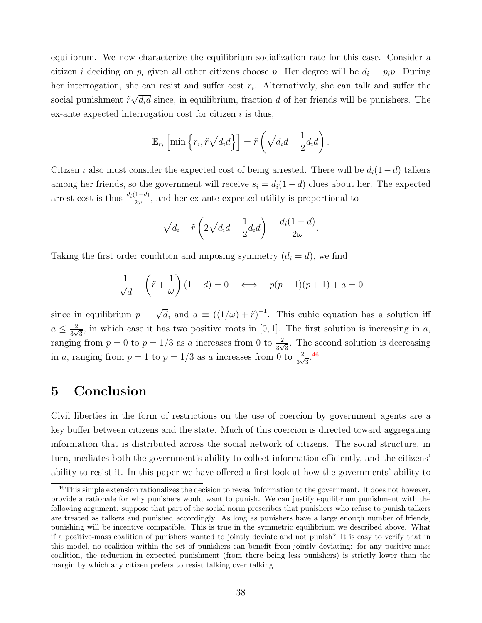equilibrum. We now characterize the equilibrium socialization rate for this case. Consider a citizen i deciding on  $p_i$  given all other citizens choose p. Her degree will be  $d_i = p_i p$ . During her interrogation, she can resist and suffer cost  $r_i$ . Alternatively, she can talk and suffer the social punishment  $\tilde{r}\sqrt{d_i d}$  since, in equilibrium, fraction d of her friends will be punishers. The √ ex-ante expected interrogation cost for citizen  $i$  is thus,

$$
\mathbb{E}_{r_i}\left[\min\left\{r_i, \tilde{r}\sqrt{d_i d}\right\}\right] = \tilde{r}\left(\sqrt{d_i d} - \frac{1}{2}d_i d\right).
$$

Citizen i also must consider the expected cost of being arrested. There will be  $d_i(1-d)$  talkers among her friends, so the government will receive  $s_i = d_i(1 - d)$  clues about her. The expected arrest cost is thus  $\frac{d_i(1-d)}{2\omega}$ , and her ex-ante expected utility is proportional to

$$
\sqrt{d_i} - \tilde{r}\left(2\sqrt{d_i d} - \frac{1}{2}d_i d\right) - \frac{d_i(1-d)}{2\omega}.
$$

Taking the first order condition and imposing symmetry  $(d_i = d)$ , we find

$$
\frac{1}{\sqrt{d}} - \left(\tilde{r} + \frac{1}{\omega}\right)(1 - d) = 0 \iff p(p - 1)(p + 1) + a = 0
$$

since in equilibrium  $p =$ √  $\overline{d}$ , and  $a \equiv ((1/\omega) + \tilde{r})^{-1}$ . This cubic equation has a solution iff  $a \leq \frac{2}{3}$  $\frac{2}{3\sqrt{3}}$ , in which case it has two positive roots in [0, 1]. The first solution is increasing in a, ranging from  $p = 0$  to  $p = 1/3$  as a increases from 0 to  $\frac{2}{3\sqrt{3}}$ . The second solution is decreasing in a, ranging from  $p = 1$  to  $p = 1/3$  as a increases from 0 to  $\frac{2}{3\sqrt{3}}$ .<sup>[46](#page-38-1)</sup>

### <span id="page-38-0"></span>5 Conclusion

Civil liberties in the form of restrictions on the use of coercion by government agents are a key buffer between citizens and the state. Much of this coercion is directed toward aggregating information that is distributed across the social network of citizens. The social structure, in turn, mediates both the government's ability to collect information efficiently, and the citizens' ability to resist it. In this paper we have offered a first look at how the governments' ability to

<span id="page-38-1"></span><sup>&</sup>lt;sup>46</sup>This simple extension rationalizes the decision to reveal information to the government. It does not however, provide a rationale for why punishers would want to punish. We can justify equilibrium punishment with the following argument: suppose that part of the social norm prescribes that punishers who refuse to punish talkers are treated as talkers and punished accordingly. As long as punishers have a large enough number of friends, punishing will be incentive compatible. This is true in the symmetric equilibrium we described above. What if a positive-mass coalition of punishers wanted to jointly deviate and not punish? It is easy to verify that in this model, no coalition within the set of punishers can benefit from jointly deviating: for any positive-mass coalition, the reduction in expected punishment (from there being less punishers) is strictly lower than the margin by which any citizen prefers to resist talking over talking.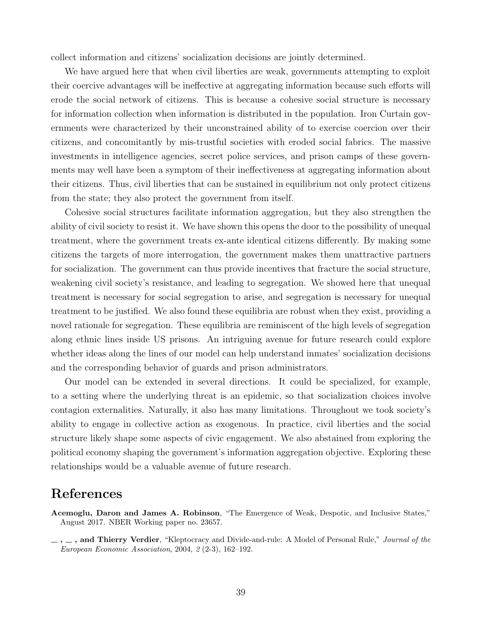collect information and citizens' socialization decisions are jointly determined.

We have argued here that when civil liberties are weak, governments attempting to exploit their coercive advantages will be ineffective at aggregating information because such efforts will erode the social network of citizens. This is because a cohesive social structure is necessary for information collection when information is distributed in the population. Iron Curtain governments were characterized by their unconstrained ability of to exercise coercion over their citizens, and concomitantly by mis-trustful societies with eroded social fabrics. The massive investments in intelligence agencies, secret police services, and prison camps of these governments may well have been a symptom of their ineffectiveness at aggregating information about their citizens. Thus, civil liberties that can be sustained in equilibrium not only protect citizens from the state; they also protect the government from itself.

Cohesive social structures facilitate information aggregation, but they also strengthen the ability of civil society to resist it. We have shown this opens the door to the possibility of unequal treatment, where the government treats ex-ante identical citizens differently. By making some citizens the targets of more interrogation, the government makes them unattractive partners for socialization. The government can thus provide incentives that fracture the social structure, weakening civil society's resistance, and leading to segregation. We showed here that unequal treatment is necessary for social segregation to arise, and segregation is necessary for unequal treatment to be justified. We also found these equilibria are robust when they exist, providing a novel rationale for segregation. These equilibria are reminiscent of the high levels of segregation along ethnic lines inside US prisons. An intriguing avenue for future research could explore whether ideas along the lines of our model can help understand inmates' socialization decisions and the corresponding behavior of guards and prison administrators.

Our model can be extended in several directions. It could be specialized, for example, to a setting where the underlying threat is an epidemic, so that socialization choices involve contagion externalities. Naturally, it also has many limitations. Throughout we took society's ability to engage in collective action as exogenous. In practice, civil liberties and the social structure likely shape some aspects of civic engagement. We also abstained from exploring the political economy shaping the government's information aggregation objective. Exploring these relationships would be a valuable avenue of future research.

### References

- <span id="page-39-0"></span>Acemoglu, Daron and James A. Robinson, "The Emergence of Weak, Despotic, and Inclusive States," August 2017. NBER Working paper no. 23657.
- <span id="page-39-1"></span> $, \ldots$ , and Thierry Verdier, "Kleptocracy and Divide-and-rule: A Model of Personal Rule," Journal of the European Economic Association, 2004, 2 (2-3), 162–192.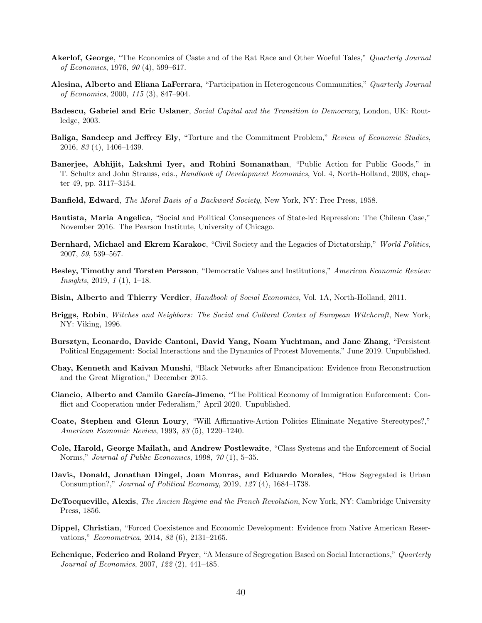- <span id="page-40-1"></span>**Akerlof, George**, "The Economics of Caste and of the Rat Race and Other Woeful Tales," *Quarterly Journal* of Economics, 1976, 90 (4), 599–617.
- <span id="page-40-2"></span>Alesina, Alberto and Eliana LaFerrara, "Participation in Heterogeneous Communities," Quarterly Journal of Economics, 2000, 115 (3), 847–904.
- <span id="page-40-7"></span>Badescu, Gabriel and Eric Uslaner, Social Capital and the Transition to Democracy, London, UK: Routledge, 2003.
- <span id="page-40-9"></span>Baliga, Sandeep and Jeffrey Ely, "Torture and the Commitment Problem," Review of Economic Studies, 2016, 83 (4), 1406–1439.
- <span id="page-40-11"></span>Banerjee, Abhijit, Lakshmi Iyer, and Rohini Somanathan, "Public Action for Public Goods," in T. Schultz and John Strauss, eds., Handbook of Development Economics, Vol. 4, North-Holland, 2008, chapter 49, pp. 3117–3154.
- <span id="page-40-6"></span>Banfield, Edward, The Moral Basis of a Backward Society, New York, NY: Free Press, 1958.
- <span id="page-40-16"></span>Bautista, Maria Angelica, "Social and Political Consequences of State-led Repression: The Chilean Case," November 2016. The Pearson Institute, University of Chicago.
- <span id="page-40-10"></span>Bernhard, Michael and Ekrem Karakoc, "Civil Society and the Legacies of Dictatorship," World Politics, 2007, 59, 539–567.
- <span id="page-40-15"></span>Besley, Timothy and Torsten Persson, "Democratic Values and Institutions," American Economic Review: Insights, 2019, 1 (1), 1–18.
- <span id="page-40-3"></span>Bisin, Alberto and Thierry Verdier, Handbook of Social Economics, Vol. 1A, North-Holland, 2011.
- <span id="page-40-4"></span>Briggs, Robin, Witches and Neighbors: The Social and Cultural Contex of European Witchcraft, New York, NY: Viking, 1996.
- <span id="page-40-14"></span>Bursztyn, Leonardo, Davide Cantoni, David Yang, Noam Yuchtman, and Jane Zhang, "Persistent Political Engagement: Social Interactions and the Dynamics of Protest Movements," June 2019. Unpublished.
- <span id="page-40-12"></span>Chay, Kenneth and Kaivan Munshi, "Black Networks after Emancipation: Evidence from Reconstruction and the Great Migration," December 2015.
- <span id="page-40-8"></span>Ciancio, Alberto and Camilo García-Jimeno, "The Political Economy of Immigration Enforcement: Conflict and Cooperation under Federalism," April 2020. Unpublished.
- <span id="page-40-5"></span>Coate, Stephen and Glenn Loury, "Will Affirmative-Action Policies Eliminate Negative Stereotypes?," American Economic Review, 1993, 83 (5), 1220–1240.
- <span id="page-40-19"></span>Cole, Harold, George Mailath, and Andrew Postlewaite, "Class Systems and the Enforcement of Social Norms," Journal of Public Economics, 1998, 70 (1), 5–35.
- <span id="page-40-17"></span>Davis, Donald, Jonathan Dingel, Joan Monras, and Eduardo Morales, "How Segregated is Urban Consumption?," Journal of Political Economy, 2019, 127 (4), 1684–1738.
- <span id="page-40-0"></span>**DeTocqueville, Alexis**, The Ancien Regime and the French Revolution, New York, NY: Cambridge University Press, 1856.
- <span id="page-40-13"></span>Dippel, Christian, "Forced Coexistence and Economic Development: Evidence from Native American Reservations," Econometrica, 2014, 82 (6), 2131–2165.
- <span id="page-40-18"></span>Echenique, Federico and Roland Fryer, "A Measure of Segregation Based on Social Interactions," Quarterly Journal of Economics, 2007, 122 (2), 441–485.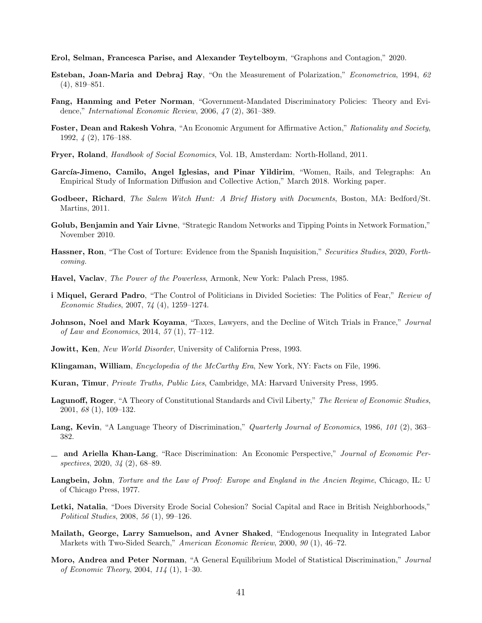<span id="page-41-15"></span>Erol, Selman, Francesca Parise, and Alexander Teytelboym, "Graphons and Contagion," 2020.

- <span id="page-41-19"></span>Esteban, Joan-Maria and Debraj Ray, "On the Measurement of Polarization," Econometrica, 1994, 62 (4), 819–851.
- <span id="page-41-1"></span>Fang, Hanming and Peter Norman, "Government-Mandated Discriminatory Policies: Theory and Evidence," International Economic Review, 2006, 47 (2), 361–389.
- <span id="page-41-9"></span>Foster, Dean and Rakesh Vohra, "An Economic Argument for Affirmative Action," Rationality and Society, 1992, 4 (2), 176–188.
- <span id="page-41-20"></span>Fryer, Roland, Handbook of Social Economics, Vol. 1B, Amsterdam: North-Holland, 2011.
- <span id="page-41-16"></span>García-Jimeno, Camilo, Angel Iglesias, and Pinar Yildirim, "Women, Rails, and Telegraphs: An Empirical Study of Information Diffusion and Collective Action," March 2018. Working paper.
- <span id="page-41-6"></span>Godbeer, Richard, The Salem Witch Hunt: A Brief History with Documents, Boston, MA: Bedford/St. Martins, 2011.
- <span id="page-41-14"></span>Golub, Benjamin and Yair Livne, "Strategic Random Networks and Tipping Points in Network Formation," November 2010.
- <span id="page-41-7"></span>Hassner, Ron, "The Cost of Torture: Evidence from the Spanish Inquisition," Securities Studies, 2020, Forthcoming.
- <span id="page-41-17"></span>Havel, Vaclav, The Power of the Powerless, Armonk, New York: Palach Press, 1985.
- <span id="page-41-21"></span>i Miquel, Gerard Padro, "The Control of Politicians in Divided Societies: The Politics of Fear," Review of Economic Studies, 2007, 74 (4), 1259–1274.
- <span id="page-41-12"></span>Johnson, Noel and Mark Koyama, "Taxes, Lawyers, and the Decline of Witch Trials in France," Journal of Law and Economics, 2014, 57 (1), 77–112.
- <span id="page-41-0"></span>Jowitt, Ken, New World Disorder, University of California Press, 1993.
- <span id="page-41-8"></span>Klingaman, William, *Encyclopedia of the McCarthy Era*, New York, NY: Facts on File, 1996.
- <span id="page-41-18"></span>Kuran, Timur, Private Truths, Public Lies, Cambridge, MA: Harvard University Press, 1995.
- <span id="page-41-4"></span>Lagunoff, Roger, "A Theory of Constitutional Standards and Civil Liberty," The Review of Economic Studies. 2001, 68 (1), 109–132.
- <span id="page-41-2"></span>Lang, Kevin, "A Language Theory of Discrimination," Quarterly Journal of Economics, 1986, 101 (2), 363– 382.
- <span id="page-41-5"></span> $\Delta$  and Ariella Khan-Lang, "Race Discrimination: An Economic Perspective," Journal of Economic Perspectives, 2020, 34 (2), 68–89.
- <span id="page-41-13"></span>Langbein, John, Torture and the Law of Proof: Europe and England in the Ancien Regime, Chicago, IL: U of Chicago Press, 1977.
- <span id="page-41-3"></span>Letki, Natalia, "Does Diversity Erode Social Cohesion? Social Capital and Race in British Neighborhoods," Political Studies, 2008, 56 (1), 99–126.
- <span id="page-41-10"></span>Mailath, George, Larry Samuelson, and Avner Shaked, "Endogenous Inequality in Integrated Labor Markets with Two-Sided Search," American Economic Review, 2000, 90 (1), 46–72.
- <span id="page-41-11"></span>Moro, Andrea and Peter Norman, "A General Equilibrium Model of Statistical Discrimination," Journal of Economic Theory, 2004, 114 (1), 1–30.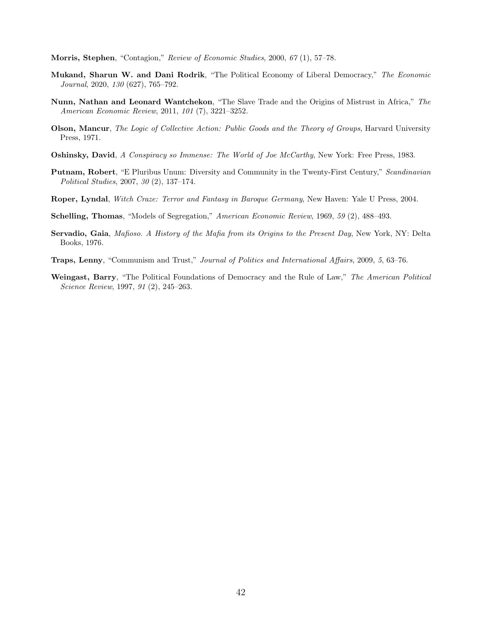<span id="page-42-9"></span>Morris, Stephen, "Contagion," Review of Economic Studies, 2000, 67 (1), 57–78.

- <span id="page-42-2"></span>Mukand, Sharun W. and Dani Rodrik, "The Political Economy of Liberal Democracy," The Economic Journal, 2020, 130 (627), 765–792.
- <span id="page-42-8"></span>Nunn, Nathan and Leonard Wantchekon, "The Slave Trade and the Origins of Mistrust in Africa," The American Economic Review, 2011, 101 (7), 3221–3252.
- <span id="page-42-10"></span>**Olson, Mancur**, The Logic of Collective Action: Public Goods and the Theory of Groups, Harvard University Press, 1971.
- <span id="page-42-3"></span>Oshinsky, David, A Conspiracy so Immense: The World of Joe McCarthy, New York: Free Press, 1983.
- <span id="page-42-1"></span>Putnam, Robert, "E Pluribus Unum: Diversity and Community in the Twenty-First Century," Scandinavian Political Studies, 2007, 30 (2), 137–174.
- <span id="page-42-5"></span>Roper, Lyndal, Witch Craze: Terror and Fantasy in Baroque Germany, New Haven: Yale U Press, 2004.
- <span id="page-42-0"></span>Schelling, Thomas, "Models of Segregation," American Economic Review, 1969, 59 (2), 488-493.
- <span id="page-42-6"></span>Servadio, Gaia, Mafioso. A History of the Mafia from its Origins to the Present Day, New York, NY: Delta Books, 1976.
- <span id="page-42-7"></span>Traps, Lenny, "Communism and Trust," Journal of Politics and International Affairs, 2009, 5, 63-76.
- <span id="page-42-4"></span>Weingast, Barry, "The Political Foundations of Democracy and the Rule of Law," The American Political Science Review, 1997, 91 (2), 245–263.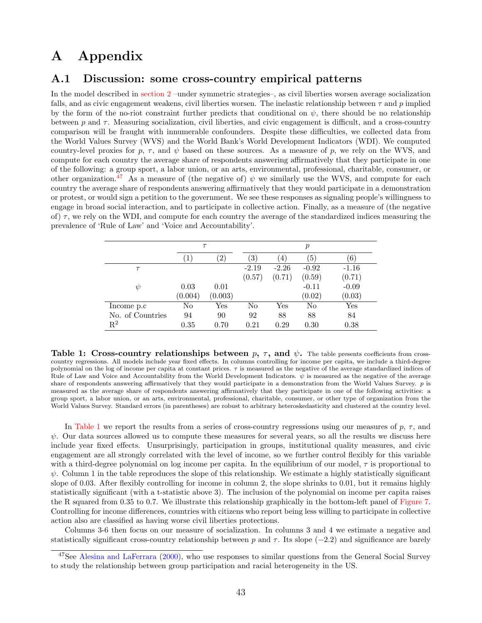## <span id="page-43-0"></span>A Appendix

### A.1 Discussion: some cross-country empirical patterns

In the model described in [section 2](#page-6-0) –under symmetric strategies–, as civil liberties worsen average socialization falls, and as civic engagement weakens, civil liberties worsen. The inelastic relationship between  $\tau$  and p implied by the form of the no-riot constraint further predicts that conditional on  $\psi$ , there should be no relationship between p and  $\tau$ . Measuring socialization, civil liberties, and civic engagement is difficult, and a cross-country comparison will be fraught with innumerable confounders. Despite these difficulties, we collected data from the World Values Survey (WVS) and the World Bank's World Development Indicators (WDI). We computed country-level proxies for p,  $\tau$ , and  $\psi$  based on these sources. As a measure of p, we rely on the WVS, and compute for each country the average share of respondents answering affirmatively that they participate in one of the following: a group sport, a labor union, or an arts, environmental, professional, charitable, consumer, or other organization.<sup>[47](#page-43-1)</sup> As a measure of (the negative of)  $\psi$  we similarly use the WVS, and compute for each country the average share of respondents answering affirmatively that they would participate in a demonstration or protest, or would sign a petition to the government. We see these responses as signaling people's willingness to engage in broad social interaction, and to participate in collective action. Finally, as a measure of (the negative of)  $\tau$ , we rely on the WDI, and compute for each country the average of the standardized indices measuring the prevalence of 'Rule of Law' and 'Voice and Accountability'.

<span id="page-43-2"></span>

|                  | $\tau$  |          | $\boldsymbol{p}$ |                   |         |              |
|------------------|---------|----------|------------------|-------------------|---------|--------------|
|                  | Ι.      | $^{'}2)$ | $\left(3\right)$ | $\left( 4\right)$ | (5)     | (6)          |
| $\tau$           |         |          | $-2.19$          | $-2.26$           | $-0.92$ | $-1.16$      |
|                  |         |          | (0.57)           | (0.71)            | (0.59)  | (0.71)       |
| $\psi$           | 0.03    | 0.01     |                  |                   | $-0.11$ | $-0.09$      |
|                  | (0.004) | (0.003)  |                  |                   | (0.02)  | (0.03)       |
| Income p.c       | No      | Yes      | No               | Yes               | No      | $_{\rm Yes}$ |
| No. of Countries | 94      | 90       | 92               | 88                | 88      | 84           |
| $\mathbf{R}^2$   | 0.35    | 0.70     | 0.21             | 0.29              | 0.30    | 0.38         |

Table 1: Cross-country relationships between  $p, \tau$ , and  $\psi$ . The table presents coefficients from crosscountry regressions. All models include year fixed effects. In columns controlling for income per capita, we include a third-degree polynomial on the log of income per capita at constant prices.  $\tau$  is measured as the negative of the average standardized indices of Rule of Law and Voice and Accountability from the World Development Indicators.  $\psi$  is measured as the negative of the average share of respondents answering affirmatively that they would participate in a demonstration from the World Values Survey. p is measured as the average share of respondents answering affirmatively that they participate in one of the following activities: a group sport, a labor union, or an arts, environmental, professional, charitable, consumer, or other type of organization from the World Values Survey. Standard errors (in parentheses) are robust to arbitrary heteroskedasticity and clustered at the country level.

In [Table 1](#page-43-2) we report the results from a series of cross-country regressions using our measures of  $p, \tau$ , and  $\psi$ . Our data sources allowed us to compute these measures for several years, so all the results we discuss here include year fixed effects. Unsurprisingly, participation in groups, institutional quality measures, and civic engagement are all strongly correlated with the level of income, so we further control flexibly for this variable with a third-degree polynomial on log income per capita. In the equilibrium of our model,  $\tau$  is proportional to  $\psi$ . Column 1 in the table reproduces the slope of this relationship. We estimate a highly statistically significant slope of 0.03. After flexibly controlling for income in column 2, the slope shrinks to 0.01, but it remains highly statistically significant (with a t-statistic above 3). The inclusion of the polynomial on income per capita raises the R squared from 0.35 to 0.7. We illustrate this relationship graphically in the bottom-left panel of [Figure 7.](#page-44-0) Controlling for income differences, countries with citizens who report being less willing to participate in collective action also are classified as having worse civil liberties protections.

Columns 3-6 then focus on our measure of socialization. In columns 3 and 4 we estimate a negative and statistically significant cross-country relationship between p and  $\tau$ . Its slope (–2.2) and significance are barely

<span id="page-43-1"></span><sup>&</sup>lt;sup>47</sup>See [Alesina and LaFerrara](#page-40-2) [\(2000\)](#page-40-2), who use responses to similar questions from the General Social Survey to study the relationship between group participation and racial heterogeneity in the US.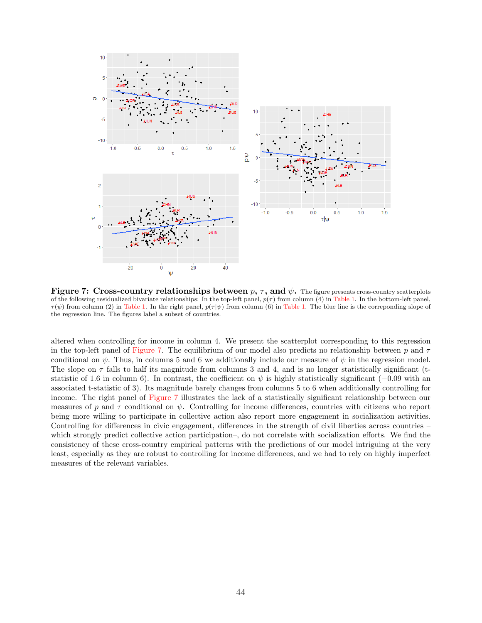<span id="page-44-0"></span>

**Figure 7:** Cross-country relationships between  $p, \tau$ , and  $\psi$ . The figure presents cross-country scatterplots of the following residualized bivariate relationships: In the top-left panel,  $p(\tau)$  from column (4) in [Table 1.](#page-43-2) In the bottom-left panel,  $\tau(\psi)$  from column (2) in [Table 1.](#page-43-2) In the right panel,  $p(\tau|\psi)$  from column (6) in Table 1. The blue line is the correponding slope of the regression line. The figures label a subset of countries.

altered when controlling for income in column 4. We present the scatterplot corresponding to this regression in the top-left panel of [Figure 7.](#page-44-0) The equilibrium of our model also predicts no relationship between p and  $\tau$ conditional on  $\psi$ . Thus, in columns 5 and 6 we additionally include our measure of  $\psi$  in the regression model. The slope on  $\tau$  falls to half its magnitude from columns 3 and 4, and is no longer statistically significant (tstatistic of 1.6 in column 6). In contrast, the coefficient on  $\psi$  is highly statistically significant (−0.09 with an associated t-statistic of 3). Its magnitude barely changes from columns 5 to 6 when additionally controlling for income. The right panel of [Figure 7](#page-44-0) illustrates the lack of a statistically significant relationship between our measures of p and  $\tau$  conditional on  $\psi$ . Controlling for income differences, countries with citizens who report being more willing to participate in collective action also report more engagement in socialization activities. Controlling for differences in civic engagement, differences in the strength of civil liberties across countries – which strongly predict collective action participation–, do not correlate with socialization efforts. We find the consistency of these cross-country empirical patterns with the predictions of our model intriguing at the very least, especially as they are robust to controlling for income differences, and we had to rely on highly imperfect measures of the relevant variables.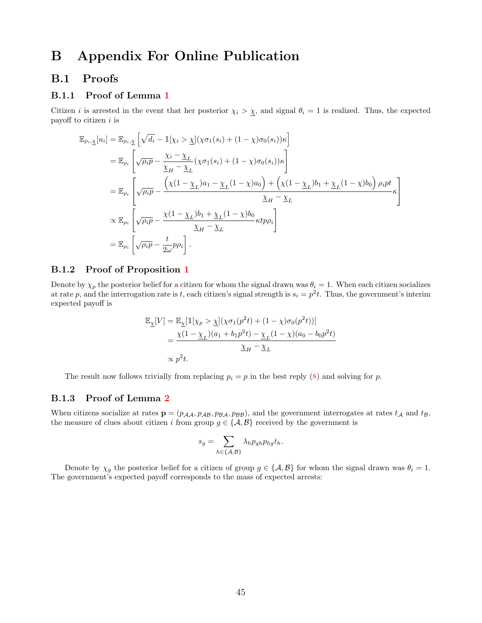### <span id="page-45-0"></span>B Appendix For Online Publication

### B.1 Proofs

### B.1.1 Proof of Lemma [1](#page-11-2)

Citizen *i* is arrested in the event that her posterior  $\chi_i > \chi$ , and signal  $\theta_i = 1$  is realized. Thus, the expected payoff to citizen  $i$  is

$$
\mathbb{E}_{\rho_i, \underline{\chi}}[u_i] = \mathbb{E}_{\rho_i, \underline{\chi}} \left[ \sqrt{d_i} - \mathbb{1}[\chi_i > \underline{\chi}](\chi \sigma_1(s_i) + (1 - \chi) \sigma_0(s_i))\kappa \right]
$$
\n
$$
= \mathbb{E}_{\rho_i} \left[ \sqrt{\rho_i p} - \frac{\chi_i - \underline{\chi}_L}{\underline{\chi}_H - \underline{\chi}_L} (\chi \sigma_1(s_i) + (1 - \chi) \sigma_0(s_i))\kappa \right]
$$
\n
$$
= \mathbb{E}_{\rho_i} \left[ \sqrt{\rho_i p} - \frac{\left( \chi(1 - \underline{\chi}_L)a_1 - \underline{\chi}_L(1 - \chi)a_0 \right) + \left( \chi(1 - \underline{\chi}_L)b_1 + \underline{\chi}_L(1 - \chi)b_0 \right) \rho_i pt}{\underline{\chi}_H - \underline{\chi}_L} \kappa \right]
$$
\n
$$
\propto \mathbb{E}_{\rho_i} \left[ \sqrt{\rho_i p} - \frac{\chi(1 - \underline{\chi}_L)b_1 + \underline{\chi}_L(1 - \chi)b_0}{\underline{\chi}_H - \underline{\chi}_L} \kappa t p \rho_i \right]
$$
\n
$$
= \mathbb{E}_{\rho_i} \left[ \sqrt{\rho_i p} - \frac{t}{2\omega} p \rho_i \right].
$$

#### B.1.2 Proof of Proposition [1](#page-13-2)

Denote by  $\chi_p$  the posterior belief for a citizen for whom the signal drawn was  $\theta_i = 1$ . When each citizen socializes at rate p, and the interrogation rate is t, each citizen's signal strength is  $s_i = p^2t$ . Thus, the government's interim expected payoff is

$$
\mathbb{E}_{\underline{\chi}}[V] = \mathbb{E}_{\underline{\chi}}[\mathbb{1}[\chi_p > \underline{\chi}](\chi \sigma_1(p^2 t) + (1 - \chi)\sigma_0(p^2 t))]
$$
  
= 
$$
\frac{\chi(1 - \underline{\chi}_L)(a_1 + b_1 p^2 t) - \underline{\chi}_L(1 - \chi)(a_0 - b_0 p^2 t)}{\underline{\chi}_H - \underline{\chi}_L}
$$
  
  $\propto p^2 t.$ 

The result now follows trivially from replacing  $p_i = p$  in the best reply [\(8\)](#page-12-2) and solving for p.

### B.1.3 Proof of Lemma [2](#page-19-2)

When citizens socialize at rates  $\mathbf{p} = (p_{AA}, p_{AB}, p_{BA}, p_{BB})$ , and the government interrogates at rates  $t_A$  and  $t_B$ , the measure of clues about citizen i from group  $g \in \{A, B\}$  received by the government is

$$
s_g = \sum_{h \in \{\mathcal{A}, \mathcal{B}\}} \lambda_h p_{gh} p_{hg} t_h.
$$

Denote by  $\chi_g$  the posterior belief for a citizen of group  $g \in \{\mathcal{A}, \mathcal{B}\}$  for whom the signal drawn was  $\theta_i = 1$ . The government's expected payoff corresponds to the mass of expected arrests: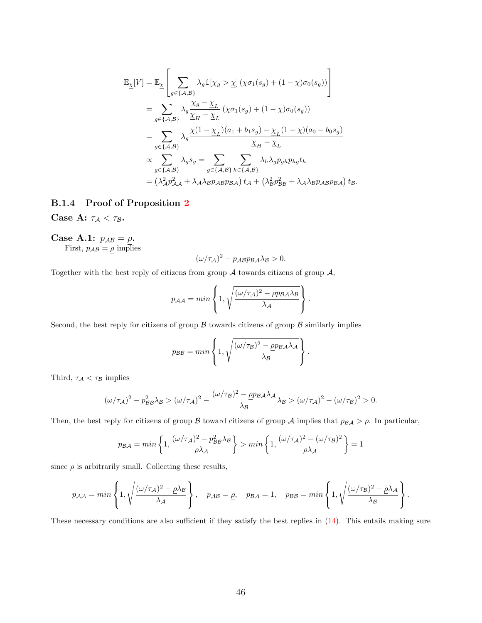$$
\mathbb{E}_{\underline{\chi}}[V] = \mathbb{E}_{\underline{\chi}}\left[\sum_{g \in \{A,B\}} \lambda_g \mathbb{1}[\chi_g > \underline{\chi}] \left(\chi \sigma_1(s_g) + (1-\chi) \sigma_0(s_g)\right)\right]
$$
\n
$$
= \sum_{g \in \{A,B\}} \lambda_g \frac{\chi_g - \underline{\chi}_L}{\underline{\chi}_H - \underline{\chi}_L} \left(\chi \sigma_1(s_g) + (1-\chi) \sigma_0(s_g)\right)
$$
\n
$$
= \sum_{g \in \{A,B\}} \lambda_g \frac{\chi(1-\underline{\chi}_L)(a_1 + b_1 s_g) - \underline{\chi}_L(1-\chi)(a_0 - b_0 s_g)}{\underline{\chi}_H - \underline{\chi}_L}
$$
\n
$$
\propto \sum_{g \in \{A,B\}} \lambda_g s_g = \sum_{g \in \{A,B\}} \sum_{h \in \{A,B\}} \lambda_h \lambda_g p_{gh} p_{hg} t_h
$$
\n
$$
= \left(\lambda_A^2 p_{AA}^2 + \lambda_A \lambda_B p_{AB} p_{BA}\right) t_A + \left(\lambda_B^2 p_{BB}^2 + \lambda_A \lambda_B p_{AB} p_{BA}\right) t_B.
$$

### B.1.4 Proof of Proposition [2](#page-23-0)

Case A:  $\tau_{A} < \tau_{B}$ .

Case A.1:  $p_{AB} = \rho$ . First,  $p_{AB} = \rho$  implies

$$
(\omega/\tau_{\mathcal{A}})^2 - p_{\mathcal{A}\mathcal{B}} p_{\mathcal{B}\mathcal{A}} \lambda_{\mathcal{B}} > 0.
$$

Together with the best reply of citizens from group  $A$  towards citizens of group  $A$ ,

$$
p_{\mathcal{A}\mathcal{A}} = min\left\{1, \sqrt{\frac{(\omega/\tau_{\mathcal{A}})^2 - \rho p_{\mathcal{B}\mathcal{A}}\lambda_{\mathcal{B}}}{\lambda_{\mathcal{A}}}}\right\}.
$$

Second, the best reply for citizens of group  $\beta$  towards citizens of group  $\beta$  similarly implies

$$
p_{\mathcal{B}\mathcal{B}} = min\left\{1, \sqrt{\frac{(\omega/\tau_{\mathcal{B}})^2 - \rho p_{\mathcal{B}\mathcal{A}}\lambda_{\mathcal{A}}}{\lambda_{\mathcal{B}}}}\right\}.
$$

Third,  $\tau_{A} < \tau_{B}$  implies

$$
(\omega/\tau_{\mathcal{A}})^2 - p_{\mathcal{B}\mathcal{B}}^2 \lambda_{\mathcal{B}} > (\omega/\tau_{\mathcal{A}})^2 - \frac{(\omega/\tau_{\mathcal{B}})^2 - \rho p_{\mathcal{B}\mathcal{A}} \lambda_{\mathcal{A}}}{\lambda_{\mathcal{B}}} \lambda_{\mathcal{B}} > (\omega/\tau_{\mathcal{A}})^2 - (\omega/\tau_{\mathcal{B}})^2 > 0.
$$

Then, the best reply for citizens of group  $\beta$  toward citizens of group  $\lambda$  implies that  $p_{\beta\lambda} > \rho$ . In particular,

$$
p_{\mathcal{BA}} = \min\left\{1, \frac{(\omega/\tau_{\mathcal{A}})^2 - p_{\mathcal{BB}}^2 \lambda_{\mathcal{B}}}{\underline{\rho}\lambda_{\mathcal{A}}}\right\} > \min\left\{1, \frac{(\omega/\tau_{\mathcal{A}})^2 - (\omega/\tau_{\mathcal{B}})^2}{\underline{\rho}\lambda_{\mathcal{A}}}\right\} = 1
$$

since  $\underline{\rho}$  is arbitrarily small. Collecting these results,

$$
p_{\mathcal{A}\mathcal{A}} = min \left\{ 1, \sqrt{\frac{(\omega/\tau_{\mathcal{A}})^2 - \rho \lambda_{\mathcal{B}}}{\lambda_{\mathcal{A}}}} \right\}, \quad p_{\mathcal{A}\mathcal{B}} = \underline{\rho}, \quad p_{\mathcal{B}\mathcal{A}} = 1, \quad p_{\mathcal{B}\mathcal{B}} = min \left\{ 1, \sqrt{\frac{(\omega/\tau_{\mathcal{B}})^2 - \rho \lambda_{\mathcal{A}}}{\lambda_{\mathcal{B}}}} \right\}.
$$

These necessary conditions are also sufficient if they satisfy the best replies in [\(14\)](#page-23-2). This entails making sure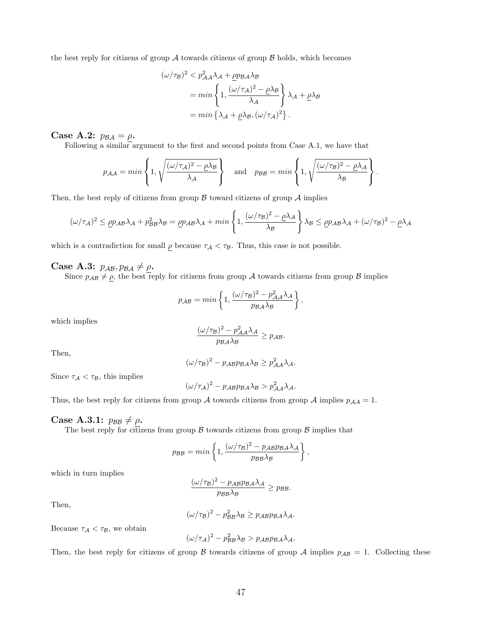the best reply for citizens of group  $A$  towards citizens of group  $B$  holds, which becomes

$$
(\omega/\tau_B)^2 < p_{AA}^2 \lambda_A + \underline{\rho} p_{BA} \lambda_B
$$
\n
$$
= \min \left\{ 1, \frac{(\omega/\tau_A)^2 - \underline{\rho} \lambda_B}{\lambda_A} \right\} \lambda_A + \underline{\rho} \lambda_B
$$
\n
$$
= \min \left\{ \lambda_A + \underline{\rho} \lambda_B, (\omega/\tau_A)^2 \right\}.
$$

Case A.2:  $p_{BA} = \rho$ .

Following a similar argument to the first and second points from Case A.1, we have that

$$
p_{\mathcal{A}\mathcal{A}} = min\left\{1, \sqrt{\frac{(\omega/\tau_{\mathcal{A}})^2 - \rho\lambda_{\mathcal{B}}}{\lambda_{\mathcal{A}}}}\right\} \quad \text{and} \quad p_{\mathcal{B}\mathcal{B}} = min\left\{1, \sqrt{\frac{(\omega/\tau_{\mathcal{B}})^2 - \rho\lambda_{\mathcal{A}}}{\lambda_{\mathcal{B}}}}\right\}.
$$

Then, the best reply of citizens from group  $\beta$  toward citizens of group  $\mathcal A$  implies

$$
(\omega/\tau_{\mathcal{A}})^{2} \leq \rho p_{\mathcal{A}\mathcal{B}}\lambda_{\mathcal{A}} + p_{\mathcal{B}\mathcal{B}}^{2}\lambda_{\mathcal{B}} = \rho p_{\mathcal{A}\mathcal{B}}\lambda_{\mathcal{A}} + \min\left\{1, \frac{(\omega/\tau_{\mathcal{B}})^{2} - \rho\lambda_{\mathcal{A}}}{\lambda_{\mathcal{B}}}\right\}\lambda_{\mathcal{B}} \leq \rho p_{\mathcal{A}\mathcal{B}}\lambda_{\mathcal{A}} + (\omega/\tau_{\mathcal{B}})^{2} - \rho\lambda_{\mathcal{A}}
$$

which is a contradiction for small  $\rho$  because  $\tau_A < \tau_B$ . Thus, this case is not possible.

Case A.3:  $p_{AB}, p_{BA} \neq \rho$ .

Since  $p_{AB} \neq \rho$ , the best reply for citizens from group A towards citizens from group B implies

$$
p_{\mathcal{A}\mathcal{B}} = \min\left\{1, \frac{(\omega/\tau_{\mathcal{B}})^2 - p_{\mathcal{A}\mathcal{A}}^2 \lambda_{\mathcal{A}}}{p_{\mathcal{B}\mathcal{A}} \lambda_{\mathcal{B}}}\right\},\,
$$

which implies

$$
\frac{(\omega/\tau_B)^2 - p_{\mathcal{A}\mathcal{A}}^2 \lambda_{\mathcal{A}}}{p_{\mathcal{B}\mathcal{A}} \lambda_{\mathcal{B}}} \ge p_{\mathcal{A}\mathcal{B}}.
$$

Then,

$$
(\omega/\tau_{\mathcal{B}})^2 - p_{\mathcal{A}\mathcal{B}} p_{\mathcal{B}\mathcal{A}} \lambda_{\mathcal{B}} \ge p_{\mathcal{A}\mathcal{A}}^2 \lambda_{\mathcal{A}}.
$$

Since  $\tau_{\mathcal{A}}<\tau_{\mathcal{B}},$  this implies

$$
(\omega/\tau_{\mathcal{A}})^2 - p_{\mathcal{A}\mathcal{B}} p_{\mathcal{B}\mathcal{A}} \lambda_{\mathcal{B}} > p_{\mathcal{A}\mathcal{A}}^2 \lambda_{\mathcal{A}}.
$$

Thus, the best reply for citizens from group A towards citizens from group A implies  $p_{\mathcal{A}\mathcal{A}} = 1$ .

### Case A.3.1:  $p_{\beta\beta} \neq \rho$ .

The best reply for citizens from group  $\beta$  towards citizens from group  $\beta$  implies that

$$
p_{\mathcal{B}\mathcal{B}} = \min \left\{ 1, \frac{(\omega/\tau_{\mathcal{B}})^2 - p_{\mathcal{A}\mathcal{B}}p_{\mathcal{B}\mathcal{A}}\lambda_{\mathcal{A}}}{p_{\mathcal{B}\mathcal{B}}\lambda_{\mathcal{B}}} \right\},\,
$$

which in turn implies

$$
\frac{(\omega/\tau_{\mathcal{B}})^2 - p_{\mathcal{A}\mathcal{B}} p_{\mathcal{B}\mathcal{A}} \lambda_{\mathcal{A}}}{p_{\mathcal{B}\mathcal{B}} \lambda_{\mathcal{B}}} \ge p_{\mathcal{B}\mathcal{B}}.
$$

Then,

$$
(\omega/\tau_{\mathcal{B}})^2 - p_{\mathcal{B}\mathcal{B}}^2 \lambda_{\mathcal{B}} \ge p_{\mathcal{A}\mathcal{B}} p_{\mathcal{B}\mathcal{A}} \lambda_{\mathcal{A}}.
$$

Because  $\tau_{\mathcal{A}} < \tau_{\mathcal{B}}$ , we obtain

$$
(\omega/\tau_{\mathcal{A}})^2 - p_{\mathcal{B}\mathcal{B}}^2 \lambda_{\mathcal{B}} > p_{\mathcal{A}\mathcal{B}} p_{\mathcal{B}\mathcal{A}} \lambda_{\mathcal{A}}.
$$

Then, the best reply for citizens of group B towards citizens of group A implies  $p_{AB} = 1$ . Collecting these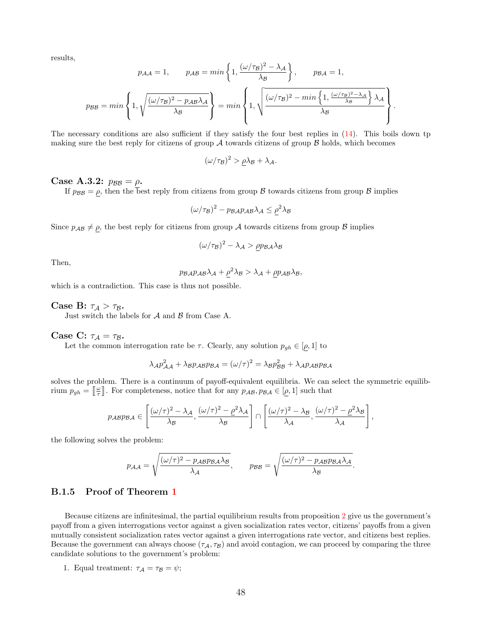results,

$$
p_{\mathcal{A}\mathcal{A}} = 1, \qquad p_{\mathcal{A}\mathcal{B}} = \min\left\{1, \frac{(\omega/\tau_{\mathcal{B}})^2 - \lambda_{\mathcal{A}}}{\lambda_{\mathcal{B}}}\right\}, \qquad p_{\mathcal{B}\mathcal{A}} = 1,
$$

$$
p_{\mathcal{B}\mathcal{B}} = \min\left\{1, \sqrt{\frac{(\omega/\tau_{\mathcal{B}})^2 - p_{\mathcal{A}\mathcal{B}}\lambda_{\mathcal{A}}}{\lambda_{\mathcal{B}}}}\right\} = \min\left\{1, \sqrt{\frac{(\omega/\tau_{\mathcal{B}})^2 - \min\left\{1, \frac{(\omega/\tau_{\mathcal{B}})^2 - \lambda_{\mathcal{A}}}{\lambda_{\mathcal{B}}}\right\}\lambda_{\mathcal{A}}}{\lambda_{\mathcal{B}}}}\right\}
$$

.

The necessary conditions are also sufficient if they satisfy the four best replies in  $(14)$ . This boils down tp making sure the best reply for citizens of group  $A$  towards citizens of group  $B$  holds, which becomes

$$
(\omega/\tau_{\mathcal{B}})^2 > \rho \lambda_{\mathcal{B}} + \lambda_{\mathcal{A}}.
$$

Case A.3.2:  $p_{BB} = \rho$ .

If  $p_{\mathcal{B}\mathcal{B}} = \rho$ , then the best reply from citizens from group B towards citizens from group B implies

$$
(\omega/\tau_{\mathcal{B}})^2 - p_{\mathcal{B}\mathcal{A}} p_{\mathcal{A}\mathcal{B}} \lambda_{\mathcal{A}} \leq \underline{\rho}^2 \lambda_{\mathcal{B}}
$$

Since  $p_{AB} \neq p$ , the best reply for citizens from group A towards citizens from group B implies

$$
(\omega/\tau_{\mathcal{B}})^2 - \lambda_{\mathcal{A}} > \underline{\rho} p_{\mathcal{B}\mathcal{A}} \lambda_{\mathcal{B}}
$$

Then,

$$
p_{\mathcal{B}\mathcal{A}}p_{\mathcal{A}\mathcal{B}}\lambda_{\mathcal{A}}+\underline{\rho}^2\lambda_{\mathcal{B}}>\lambda_{\mathcal{A}}+\underline{\rho}p_{\mathcal{A}\mathcal{B}}\lambda_{\mathcal{B}},
$$

which is a contradiction. This case is thus not possible.

Case B:  $\tau_A > \tau_B$ .

Just switch the labels for  $A$  and  $B$  from Case A.

Case C:  $\tau_A = \tau_B$ .

Let the common interrogation rate be  $\tau$ . Clearly, any solution  $p_{gh} \in [\rho, 1]$  to

$$
\lambda_{A} p_{A A}^{2} + \lambda_{B} p_{A B} p_{B A} = (\omega/\tau)^{2} = \lambda_{B} p_{B B}^{2} + \lambda_{A} p_{A B} p_{B A}
$$

solves the problem. There is a continuum of payoff-equivalent equilibria. We can select the symmetric equilibrium  $p_{gh} = \left[\frac{\omega}{\tau}\right]$ . For completeness, notice that for any  $p_{AB}, p_{BA} \in [\underline{\rho}, 1]$  such that

$$
p_{AB}p_{BA} \in \left[\frac{(\omega/\tau)^2 - \lambda_{A}}{\lambda_{B}}, \frac{(\omega/\tau)^2 - \rho^2 \lambda_{A}}{\lambda_{B}}\right] \cap \left[\frac{(\omega/\tau)^2 - \lambda_{B}}{\lambda_{A}}, \frac{(\omega/\tau)^2 - \rho^2 \lambda_{B}}{\lambda_{A}}\right],
$$

the following solves the problem:

$$
p_{\mathcal{A}\mathcal{A}} = \sqrt{\frac{(\omega/\tau)^2 - p_{\mathcal{A}\mathcal{B}}p_{\mathcal{B}\mathcal{A}}\lambda_{\mathcal{B}}}{\lambda_{\mathcal{A}}}}, \qquad p_{\mathcal{B}\mathcal{B}} = \sqrt{\frac{(\omega/\tau)^2 - p_{\mathcal{A}\mathcal{B}}p_{\mathcal{B}\mathcal{A}}\lambda_{\mathcal{A}}}{\lambda_{\mathcal{B}}}}.
$$

#### B.1.5 Proof of Theorem [1](#page-24-0)

Because citizens are infinitesimal, the partial equilibrium results from proposition [2](#page-23-0) give us the government's payoff from a given interrogations vector against a given socialization rates vector, citizens' payoffs from a given mutually consistent socialization rates vector against a given interrogations rate vector, and citizens best replies. Because the government can always choose  $(\tau_A, \tau_B)$  and avoid contagion, we can proceed by comparing the three candidate solutions to the government's problem:

1. Equal treatment:  $\tau_{\mathcal{A}} = \tau_{\mathcal{B}} = \psi$ ;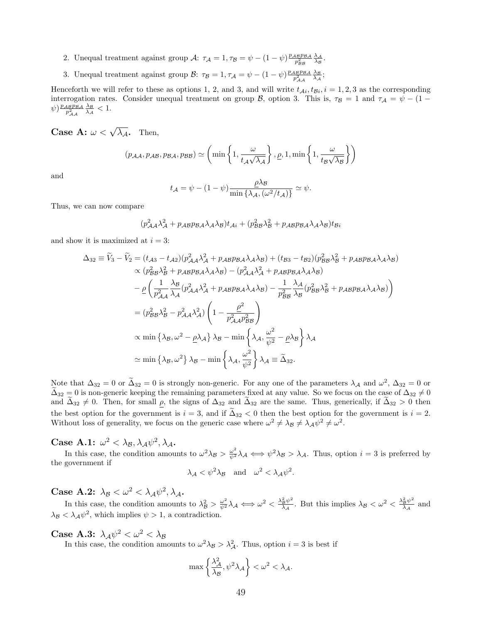- 2. Unequal treatment against group  $\mathcal{A}$ :  $\tau_{\mathcal{A}} = 1, \tau_{\mathcal{B}} = \psi (1 \psi) \frac{p_{AB}p_{BA}}{p_{BB}^2}$  $\frac{\lambda_{\mathcal{A}}}{\lambda_{\mathcal{B}}}.$
- 3. Unequal treatment against group  $\mathcal{B}$ :  $\tau_{\mathcal{B}} = 1, \tau_{\mathcal{A}} = \psi (1 \psi) \frac{p_{AB}p_{BA}}{p_{AA}^2}$  $\frac{\lambda_{\mathcal{B}}}{\lambda_{\mathcal{A}}};$

Henceforth we will refer to these as options 1, 2, and 3, and will write  $t_{Ai}, t_{Bi}, i = 1, 2, 3$  as the corresponding interrogation rates. Consider unequal treatment on group B, option 3. This is,  $\tau_B = 1$  and  $\tau_A = \psi - (1 \psi) \frac{p_{AB}p_{BA}}{p_{AA}^2}$  $\frac{\lambda_{\mathcal{B}}}{\lambda_{\mathcal{A}}}<1.$ 

**Case A:**  $\omega < \sqrt{\lambda_{\mathcal{A}}}$ . Then,

$$
(p_{\mathcal{A}\mathcal{A}}, p_{\mathcal{A}\mathcal{B}}, p_{\mathcal{B}\mathcal{A}}, p_{\mathcal{B}\mathcal{B}}) \simeq \left( \min \left\{ 1, \frac{\omega}{t_{\mathcal{A}} \sqrt{\lambda_{\mathcal{A}}}} \right\}, \underline{\rho}, 1, \min \left\{ 1, \frac{\omega}{t_{\mathcal{B}} \sqrt{\lambda_{\mathcal{B}}}} \right\} \right)
$$

and

$$
t_{\mathcal{A}} = \psi - (1 - \psi) \frac{\rho \lambda_{\mathcal{B}}}{\min \{ \lambda_{\mathcal{A}}, (\omega^2 / t_{\mathcal{A}}) \}} \simeq \psi.
$$

Thus, we can now compare

$$
(p_{\mathcal{A}\mathcal{A}}^2 \lambda_{\mathcal{A}}^2 + p_{\mathcal{A}\mathcal{B}} p_{\mathcal{B}\mathcal{A}} \lambda_{\mathcal{A}} \lambda_{\mathcal{B}}) t_{\mathcal{A}i} + (p_{\mathcal{B}\mathcal{B}}^2 \lambda_{\mathcal{B}}^2 + p_{\mathcal{A}\mathcal{B}} p_{\mathcal{B}\mathcal{A}} \lambda_{\mathcal{A}} \lambda_{\mathcal{B}}) t_{\mathcal{B}i}
$$

and show it is maximized at  $i = 3$ :

$$
\Delta_{32} \equiv \widetilde{V}_{3} - \widetilde{V}_{2} = (t_{A3} - t_{A2})(p_{A\mathcal{A}}^{2}\lambda_{A}^{2} + p_{AB}p_{BA}\lambda_{A}\lambda_{B}) + (t_{B3} - t_{B2})(p_{BB}^{2}\lambda_{B}^{2} + p_{AB}p_{BA}\lambda_{A}\lambda_{B})
$$
  
\n
$$
\propto (p_{BB}^{2}\lambda_{B}^{2} + p_{AB}p_{BA}\lambda_{A}\lambda_{B}) - (p_{A\mathcal{A}}^{2}\lambda_{A}^{2} + p_{AB}p_{BA}\lambda_{A}\lambda_{B})
$$
  
\n
$$
- \rho \left(\frac{1}{p_{A\mathcal{A}}^{2}}\frac{\lambda_{B}}{\lambda_{A}}(p_{A\mathcal{A}}^{2}\lambda_{A}^{2} + p_{AB}p_{BA}\lambda_{A}\lambda_{B}) - \frac{1}{p_{BB}^{2}}\frac{\lambda_{A}}{\lambda_{B}}(p_{BB}^{2}\lambda_{B}^{2} + p_{AB}p_{BA}\lambda_{A}\lambda_{B})\right)
$$
  
\n
$$
= (p_{BB}^{2}\lambda_{B}^{2} - p_{A\mathcal{A}}^{2}\lambda_{A}^{2})\left(1 - \frac{\rho^{2}}{p_{A\mathcal{A}}^{2}p_{BB}^{2}}\right)
$$
  
\n
$$
\propto \min\left\{\lambda_{B}, \omega^{2} - \rho\lambda_{A}\right\}\lambda_{B} - \min\left\{\lambda_{A}, \frac{\omega^{2}}{\psi^{2}} - \rho\lambda_{B}\right\}\lambda_{A}
$$
  
\n
$$
\simeq \min\left\{\lambda_{B}, \omega^{2}\right\}\lambda_{B} - \min\left\{\lambda_{A}, \frac{\omega^{2}}{\psi^{2}}\right\}\lambda_{A} \equiv \widetilde{\Delta}_{32}.
$$

Note that  $\Delta_{32} = 0$  or  $\tilde{\Delta}_{32} = 0$  is strongly non-generic. For any one of the parameters  $\lambda_{\mathcal{A}}$  and  $\omega^2$ ,  $\Delta_{32} = 0$  or  $\Delta_{32} = 0$  is non-generic keeping the remaining parameters fixed at any value. So we focus on the case of  $\Delta_{32} \neq 0$ and  $\tilde{\Delta}_{32} \neq 0$ . Then, for small  $\rho$ , the signs of  $\Delta_{32}$  and  $\tilde{\Delta}_{32}$  are the same. Thus, generically, if  $\tilde{\Delta}_{32} > 0$  then the best option for the government is  $i = 3$ , and if  $\tilde{\Delta}_{32} < 0$  then the best option for the government is  $i = 2$ . Without loss of generality, we focus on the generic case where  $\omega^2 \neq \lambda_{\mathcal{B}} \neq \lambda_{\mathcal{A}} \psi^2 \neq \omega^2$ .

Case A.1:  $\omega^2 < \lambda_{\mathcal{B}}, \lambda_{\mathcal{A}} \psi^2, \lambda_{\mathcal{A}}$ .

In this case, the condition amounts to  $\omega^2 \lambda_{\mathcal{B}} > \frac{\omega^2}{\psi^2} \lambda_{\mathcal{A}} \iff \psi^2 \lambda_{\mathcal{B}} > \lambda_{\mathcal{A}}$ . Thus, option  $i = 3$  is preferred by the government if

$$
\lambda_{\mathcal{A}} < \psi^2 \lambda_{\mathcal{B}}
$$
 and  $\omega^2 < \lambda_{\mathcal{A}} \psi^2$ .

Case A.2:  $\lambda_{\mathcal{B}} < \omega^2 < \lambda_{\mathcal{A}} \psi^2, \lambda_{\mathcal{A}}$ .

In this case, the condition amounts to  $\lambda_B^2 > \frac{\omega^2}{\psi^2} \lambda_{\mathcal{A}} \Longleftrightarrow \omega^2 < \frac{\lambda_B^2 \psi^2}{\lambda_{\mathcal{A}}}$  $\frac{a^2 \psi^2}{\lambda_A}$ . But this implies  $\lambda_B < \omega^2 < \frac{\lambda_B^2 \psi^2}{\lambda_A}$  $\frac{\mathcal{B}}{\lambda_{\mathcal{A}}}^{\psi}$  and  $\lambda_{\mathcal{B}} < \lambda_{\mathcal{A}} \psi^2$ , which implies  $\psi > 1$ , a contradiction.

Case A.3:  $\lambda_{\mathcal{A}}\psi^2 < \omega^2 < \lambda_{\mathcal{B}}$ 

In this case, the condition amounts to  $\omega^2 \lambda_{\mathcal{B}} > \lambda_{\mathcal{A}}^2$ . Thus, option  $i = 3$  is best if

$$
\max\left\{\frac{\lambda_{\mathcal{A}}^2}{\lambda_{\mathcal{B}}},\psi^2\lambda_{\mathcal{A}}\right\} < \omega^2 < \lambda_{\mathcal{A}}.
$$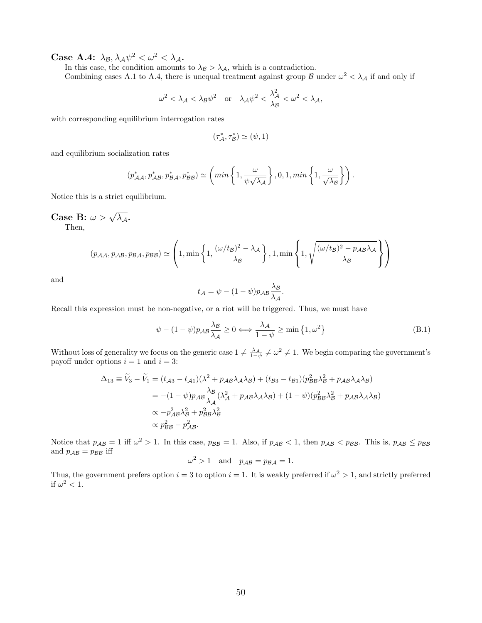Case A.4:  $\lambda_{\mathcal{B}}, \lambda_{\mathcal{A}} \psi^2 < \omega^2 < \lambda_{\mathcal{A}}$ .

In this case, the condition amounts to  $\lambda_B > \lambda_A$ , which is a contradiction.

Combining cases A.1 to A.4, there is unequal treatment against group  $\mathcal B$  under  $\omega^2 < \lambda_{\mathcal A}$  if and only if

$$
\omega^2 < \lambda_{\mathcal{A}} < \lambda_{\mathcal{B}} \psi^2 \quad \text{or} \quad \lambda_{\mathcal{A}} \psi^2 < \frac{\lambda_{\mathcal{A}}^2}{\lambda_{\mathcal{B}}} < \omega^2 < \lambda_{\mathcal{A}},
$$

with corresponding equilibrium interrogation rates

$$
(\tau_{\mathcal{A}}^*,\tau_{\mathcal{B}}^*)\simeq (\psi,1)
$$

and equilibrium socialization rates

$$
(p_{\mathcal{A}\mathcal{A}}^*, p_{\mathcal{A}\mathcal{B}}^*, p_{\mathcal{B}\mathcal{A}}^*, p_{\mathcal{B}\mathcal{B}}^*) \simeq \left(\min\left\{1, \frac{\omega}{\psi\sqrt{\lambda_{\mathcal{A}}}}\right\}, 0, 1, \min\left\{1, \frac{\omega}{\sqrt{\lambda_{\mathcal{B}}}}\right\}\right).
$$

Notice this is a strict equilibrium.

Case B:  $\omega > \sqrt{\lambda_{\mathcal{A}}}$ . Then,

$$
(p_{\mathcal{A}\mathcal{A}}, p_{\mathcal{A}\mathcal{B}}, p_{\mathcal{B}\mathcal{A}}, p_{\mathcal{B}\mathcal{B}}) \simeq \left(1, \min\left\{1, \frac{(\omega/t_{\mathcal{B}})^2 - \lambda_{\mathcal{A}}}{\lambda_{\mathcal{B}}}\right\}, 1, \min\left\{1, \sqrt{\frac{(\omega/t_{\mathcal{B}})^2 - p_{\mathcal{A}\mathcal{B}}\lambda_{\mathcal{A}}}{\lambda_{\mathcal{B}}}}\right\}\right)
$$

and

<span id="page-50-0"></span>
$$
t_{\mathcal{A}} = \psi - (1 - \psi) p_{\mathcal{A}\mathcal{B}} \frac{\lambda_{\mathcal{B}}}{\lambda_{\mathcal{A}}}.
$$

Recall this expression must be non-negative, or a riot will be triggered. Thus, we must have

$$
\psi - (1 - \psi) p_{\mathcal{A}\mathcal{B}} \frac{\lambda_{\mathcal{B}}}{\lambda_{\mathcal{A}}} \ge 0 \Longleftrightarrow \frac{\lambda_{\mathcal{A}}}{1 - \psi} \ge \min\left\{1, \omega^2\right\} \tag{B.1}
$$

Without loss of generality we focus on the generic case  $1 \neq \frac{\lambda_A}{1-\psi} \neq \omega^2 \neq 1$ . We begin comparing the government's payoff under options  $i = 1$  and  $i = 3$ :

$$
\Delta_{13} \equiv \widetilde{V}_3 - \widetilde{V}_1 = (t_{A3} - t_{A1})(\lambda^2 + p_{AB}\lambda_A\lambda_B) + (t_{B3} - t_{B1})(p_{BB}^2\lambda_B^2 + p_{AB}\lambda_A\lambda_B)
$$
  
= -(1 -  $\psi$ )p<sub>AB</sub> $\frac{\lambda_B}{\lambda_A}(\lambda_A^2 + p_{AB}\lambda_A\lambda_B) + (1 - \psi)(p_{BB}^2\lambda_B^2 + p_{AB}\lambda_A\lambda_B)$   
 $\propto -p_{AB}^2\lambda_B^2 + p_{BB}^2\lambda_B^2$   
 $\propto p_{BB}^2 - p_{AB}^2$ .

Notice that  $p_{AB} = 1$  iff  $\omega^2 > 1$ . In this case,  $p_{BB} = 1$ . Also, if  $p_{AB} < 1$ , then  $p_{AB} < p_{BB}$ . This is,  $p_{AB} \le p_{BB}$ and  $p_{AB} = p_{BB}$  iff

$$
\omega^2 > 1
$$
 and  $p_{AB} = p_{BA} = 1$ .

Thus, the government prefers option  $i = 3$  to option  $i = 1$ . It is weakly preferred if  $\omega^2 > 1$ , and strictly preferred if  $\omega^2 < 1$ .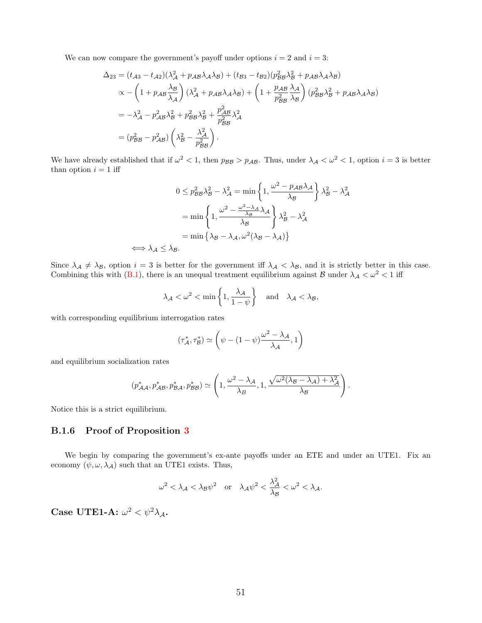We can now compare the government's payoff under options  $i = 2$  and  $i = 3$ :

$$
\Delta_{23} = (t_{A3} - t_{A2})(\lambda_A^2 + p_{AB}\lambda_A\lambda_B) + (t_{B3} - t_{B2})(p_{BB}^2\lambda_B^2 + p_{AB}\lambda_A\lambda_B)
$$
  
\n
$$
\propto -\left(1 + p_{AB}\frac{\lambda_B}{\lambda_A}\right)(\lambda_A^2 + p_{AB}\lambda_A\lambda_B) + \left(1 + \frac{p_{AB}}{p_{BB}^2}\frac{\lambda_A}{\lambda_B}\right)(p_{BB}^2\lambda_B^2 + p_{AB}\lambda_A\lambda_B)
$$
  
\n
$$
= -\lambda_A^2 - p_{AB}^2\lambda_B^2 + p_{BB}^2\lambda_B^2 + \frac{p_{AB}^2}{p_{BB}^2}\lambda_A^2
$$
  
\n
$$
= (p_{BB}^2 - p_{AB}^2)\left(\lambda_B^2 - \frac{\lambda_A^2}{p_{BB}^2}\right).
$$

We have already established that if  $\omega^2 < 1$ , then  $p_{BB} > p_{AB}$ . Thus, under  $\lambda_A < \omega^2 < 1$ , option  $i = 3$  is better than option  $i = 1$  iff

$$
0 \le p_{BB}^2 \lambda_B^2 - \lambda_A^2 = \min\left\{1, \frac{\omega^2 - p_{AB}\lambda_A}{\lambda_B}\right\} \lambda_B^2 - \lambda_A^2
$$

$$
= \min\left\{1, \frac{\omega^2 - \frac{\omega^2 - \lambda_A}{\lambda_B}\lambda_A}{\lambda_B}\right\} \lambda_B^2 - \lambda_A^2
$$

$$
= \min\left\{\lambda_B - \lambda_A, \omega^2(\lambda_B - \lambda_A)\right\}
$$

$$
\iff \lambda_A \le \lambda_B.
$$

Since  $\lambda_{\mathcal{A}} \neq \lambda_{\mathcal{B}}$ , option  $i = 3$  is better for the government iff  $\lambda_{\mathcal{A}} < \lambda_{\mathcal{B}}$ , and it is strictly better in this case. Combining this with [\(B.1\)](#page-50-0), there is an unequal treatment equilibrium against  $\mathcal B$  under  $\lambda_{\mathcal A} < \omega^2 < 1$  iff

$$
\lambda_{\mathcal{A}} < \omega^2 < \min\left\{1, \frac{\lambda_{\mathcal{A}}}{1 - \psi}\right\}
$$
 and  $\lambda_{\mathcal{A}} < \lambda_{\mathcal{B}}$ ,

with corresponding equilibrium interrogation rates

$$
(\tau_{\mathcal{A}}^*, \tau_{\mathcal{B}}^*) \simeq \left(\psi - (1 - \psi) \frac{\omega^2 - \lambda_{\mathcal{A}}}{\lambda_{\mathcal{A}}}, 1\right)
$$

and equilibrium socialization rates

$$
(p_{\mathcal{A}\mathcal{A}}^*, p_{\mathcal{A}\mathcal{B}}^*, p_{\mathcal{B}\mathcal{A}}^*, p_{\mathcal{B}\mathcal{B}}^*) \simeq \left(1, \frac{\omega^2 - \lambda_{\mathcal{A}}}{\lambda_{\mathcal{B}}}, 1, \frac{\sqrt{\omega^2(\lambda_{\mathcal{B}} - \lambda_{\mathcal{A}}) + \lambda_{\mathcal{A}}^2}}{\lambda_{\mathcal{B}}}\right).
$$

Notice this is a strict equilibrium.

#### B.1.6 Proof of Proposition [3](#page-30-2)

We begin by comparing the government's ex-ante payoffs under an ETE and under an UTE1. Fix an economy  $(\psi, \omega, \lambda_{\mathcal{A}})$  such that an UTE1 exists. Thus,

$$
\omega^2 < \lambda_{\mathcal{A}} < \lambda_{\mathcal{B}} \psi^2 \quad \text{or} \quad \lambda_{\mathcal{A}} \psi^2 < \frac{\lambda_{\mathcal{A}}^2}{\lambda_{\mathcal{B}}} < \omega^2 < \lambda_{\mathcal{A}}.
$$

Case UTE1-A:  $\omega^2 < \psi^2 \lambda_A$ .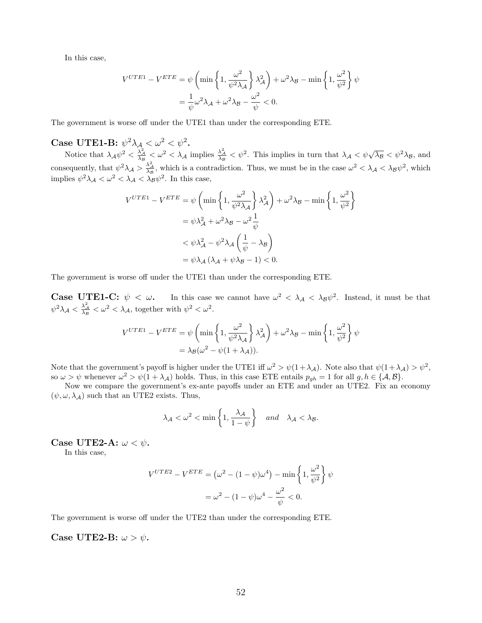In this case,

$$
V^{UTE1} - V^{ETE} = \psi \left( \min \left\{ 1, \frac{\omega^2}{\psi^2 \lambda_A} \right\} \lambda_A^2 \right) + \omega^2 \lambda_B - \min \left\{ 1, \frac{\omega^2}{\psi^2} \right\} \psi
$$

$$
= \frac{1}{\psi} \omega^2 \lambda_A + \omega^2 \lambda_B - \frac{\omega^2}{\psi} < 0.
$$

The government is worse off under the UTE1 than under the corresponding ETE.

Case UTE1-B:  $\psi^2 \lambda_A < \omega^2 < \psi^2$ .

Notice that  $\lambda_A \psi^2 < \frac{\lambda_A^2}{\lambda_B} < \omega^2 < \lambda_A$  implies  $\frac{\lambda_A^2}{\lambda_B} < \psi^2$ . This implies in turn that  $\lambda_A < \psi \sqrt{\lambda_B} < \psi^2 \lambda_B$ , and consequently, that  $\psi^2 \lambda_A > \frac{\lambda_A^2}{\lambda_B}$ , which is a contradiction. Thus, we must be in the case  $\omega^2 < \lambda_A < \lambda_B \psi^2$ , which implies  $\psi^2 \lambda_{\mathcal{A}} < \omega^2 < \lambda_{\mathcal{A}} < \lambda_{\mathcal{B}} \psi^2$ . In this case,

$$
V^{UTE1} - V^{ETE} = \psi \left( \min \left\{ 1, \frac{\omega^2}{\psi^2 \lambda_A} \right\} \lambda_A^2 \right) + \omega^2 \lambda_B - \min \left\{ 1, \frac{\omega^2}{\psi^2} \right\}
$$

$$
= \psi \lambda_A^2 + \omega^2 \lambda_B - \omega^2 \frac{1}{\psi}
$$

$$
< \psi \lambda_A^2 - \psi^2 \lambda_A \left( \frac{1}{\psi} - \lambda_B \right)
$$

$$
= \psi \lambda_A \left( \lambda_A + \psi \lambda_B - 1 \right) < 0.
$$

The government is worse off under the UTE1 than under the corresponding ETE.

**Case UTE1-C:**  $\psi < \omega$ . In this case we cannot have  $\omega^2 < \lambda_{\mathcal{A}} < \lambda_{\mathcal{B}}\psi^2$ . Instead, it must be that  $\psi^2 \lambda_{\mathcal{A}} < \frac{\lambda_{\mathcal{A}}^2}{\lambda_{\mathcal{B}}} < \omega^2 < \lambda_{\mathcal{A}},$  together with  $\psi^2 < \omega^2$ .

$$
V^{UTE1} - V^{ETE} = \psi \left( \min \left\{ 1, \frac{\omega^2}{\psi^2 \lambda_A} \right\} \lambda_A^2 \right) + \omega^2 \lambda_B - \min \left\{ 1, \frac{\omega^2}{\psi^2} \right\} \psi
$$
  
=  $\lambda_B (\omega^2 - \psi (1 + \lambda_A)).$ 

Note that the government's payoff is higher under the UTE1 iff  $\omega^2 > \psi(1 + \lambda_{\mathcal{A}})$ . Note also that  $\psi(1 + \lambda_{\mathcal{A}}) > \psi^2$ , so  $\omega > \psi$  whenever  $\omega^2 > \psi(1 + \lambda_{\mathcal{A}})$  holds. Thus, in this case ETE entails  $p_{gh} = 1$  for all  $g, h \in {\{\mathcal{A}, \mathcal{B}\}}$ .

Now we compare the government's ex-ante payoffs under an ETE and under an UTE2. Fix an economy  $(\psi, \omega, \lambda_{\mathcal{A}})$  such that an UTE2 exists. Thus,

$$
\lambda_{\mathcal{A}} < \omega^2 < \min\left\{1, \frac{\lambda_{\mathcal{A}}}{1 - \psi}\right\} \quad \text{and} \quad \lambda_{\mathcal{A}} < \lambda_{\mathcal{B}}.
$$

Case UTE2-A:  $\omega < \psi$ .

In this case,

$$
V^{UTE2} - V^{ETE} = (\omega^2 - (1 - \psi)\omega^4) - \min\left\{1, \frac{\omega^2}{\psi^2}\right\}\psi
$$

$$
= \omega^2 - (1 - \psi)\omega^4 - \frac{\omega^2}{\psi} < 0.
$$

The government is worse off under the UTE2 than under the corresponding ETE.

Case UTE2-B:  $\omega > \psi$ .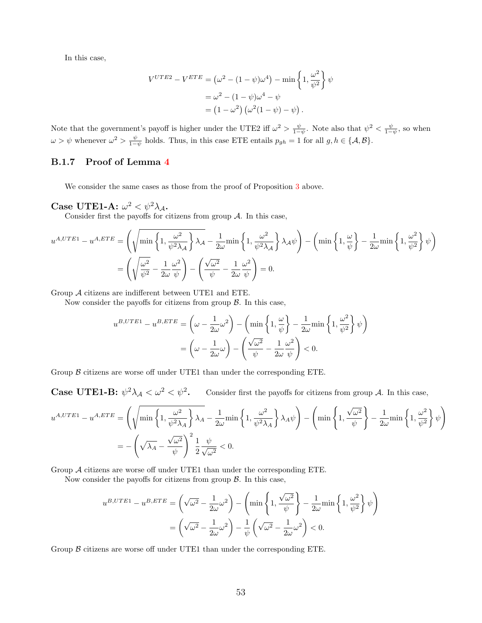In this case,

$$
V^{UTE2} - V^{ETE} = (\omega^2 - (1 - \psi)\omega^4) - \min\left\{1, \frac{\omega^2}{\psi^2}\right\}\psi
$$
  
=  $\omega^2 - (1 - \psi)\omega^4 - \psi$   
=  $(1 - \omega^2) (\omega^2(1 - \psi) - \psi).$ 

Note that the government's payoff is higher under the UTE2 iff  $\omega^2 > \frac{\psi}{1-\psi}$ . Note also that  $\psi^2 < \frac{\psi}{1-\psi}$ , so when  $\omega > \psi$  whenever  $\omega^2 > \frac{\psi}{1-\psi}$  holds. Thus, in this case ETE entails  $p_{gh} = 1$  for all  $g, h \in \{\mathcal{A}, \mathcal{B}\}.$ 

### B.1.7 Proof of Lemma [4](#page-31-1)

We consider the same cases as those from the proof of Proposition [3](#page-30-2) above.

Case UTE1-A:  $\omega^2 < \psi^2 \lambda_A$ .

Consider first the payoffs for citizens from group  $A$ . In this case,

$$
u^{A,UTE1} - u^{A,ETE} = \left(\sqrt{\min\left\{1, \frac{\omega^2}{\psi^2 \lambda_A}\right\} \lambda_A} - \frac{1}{2\omega} \min\left\{1, \frac{\omega^2}{\psi^2 \lambda_A}\right\} \lambda_A \psi\right) - \left(\min\left\{1, \frac{\omega}{\psi}\right\} - \frac{1}{2\omega} \min\left\{1, \frac{\omega^2}{\psi^2}\right\} \psi\right)
$$

$$
= \left(\sqrt{\frac{\omega^2}{\psi^2} - \frac{1}{2\omega} \frac{\omega^2}{\psi}}\right) - \left(\frac{\sqrt{\omega^2}}{\psi} - \frac{1}{2\omega} \frac{\omega^2}{\psi}\right) = 0.
$$

Group A citizens are indifferent between UTE1 and ETE.

Now consider the payoffs for citizens from group  $\beta$ . In this case,

$$
u^{B,UTE1} - u^{B,ETE} = \left(\omega - \frac{1}{2\omega}\omega^2\right) - \left(\min\left\{1, \frac{\omega}{\psi}\right\} - \frac{1}{2\omega}\min\left\{1, \frac{\omega^2}{\psi^2}\right\}\psi\right)
$$

$$
= \left(\omega - \frac{1}{2\omega}\omega\right) - \left(\frac{\sqrt{\omega^2}}{\psi} - \frac{1}{2\omega}\frac{\omega^2}{\psi}\right) < 0.
$$

Group  $\beta$  citizens are worse off under UTE1 than under the corresponding ETE.

Case UTE1-B:  $\psi^2 \lambda_{\mathcal{A}} < \omega^2 < \psi^2$ Consider first the payoffs for citizens from group  $A$ . In this case,

$$
u^{A,UTE1} - u^{A,ETE} = \left(\sqrt{\min\left\{1, \frac{\omega^2}{\psi^2 \lambda_A}\right\} \lambda_A} - \frac{1}{2\omega} \min\left\{1, \frac{\omega^2}{\psi^2 \lambda_A}\right\} \lambda_A \psi\right) - \left(\min\left\{1, \frac{\sqrt{\omega^2}}{\psi}\right\} - \frac{1}{2\omega} \min\left\{1, \frac{\omega^2}{\psi^2}\right\} \psi\right)
$$

$$
= -\left(\sqrt{\lambda_A} - \frac{\sqrt{\omega^2}}{\psi}\right)^2 \frac{1}{2} \frac{\psi}{\sqrt{\omega^2}} < 0.
$$

Group A citizens are worse off under UTE1 than under the corresponding ETE.

Now consider the payoffs for citizens from group  $\beta$ . In this case,

$$
u^{B,UTE1} - u^{B,ETE} = \left(\sqrt{\omega^2} - \frac{1}{2\omega}\omega^2\right) - \left(\min\left\{1, \frac{\sqrt{\omega^2}}{\psi}\right\} - \frac{1}{2\omega}\min\left\{1, \frac{\omega^2}{\psi^2}\right\}\psi\right)
$$

$$
= \left(\sqrt{\omega^2} - \frac{1}{2\omega}\omega^2\right) - \frac{1}{\psi}\left(\sqrt{\omega^2} - \frac{1}{2\omega}\omega^2\right) < 0.
$$

Group  $\beta$  citizens are worse off under UTE1 than under the corresponding ETE.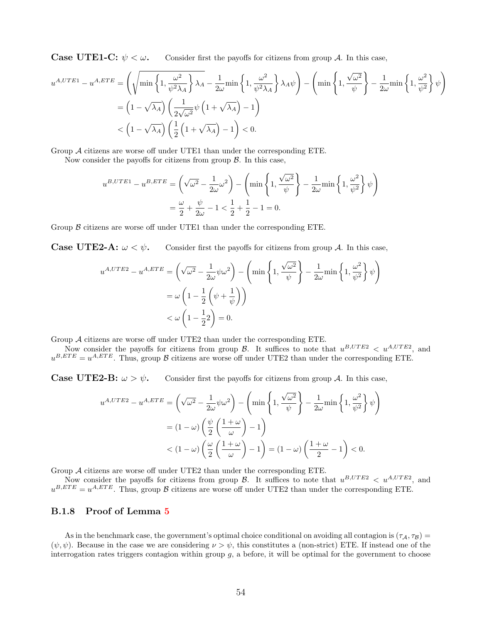**Case UTE1-C:**  $\psi < \omega$ . Consider first the payoffs for citizens from group A. In this case,

$$
u^{A,UTE1} - u^{A,ETE} = \left(\sqrt{\min\left\{1, \frac{\omega^2}{\psi^2 \lambda_A}\right\} \lambda_A} - \frac{1}{2\omega} \min\left\{1, \frac{\omega^2}{\psi^2 \lambda_A}\right\} \lambda_A \psi\right) - \left(\min\left\{1, \frac{\sqrt{\omega^2}}{\psi}\right\} - \frac{1}{2\omega} \min\left\{1, \frac{\omega^2}{\psi^2}\right\} \psi\right)
$$

$$
= \left(1 - \sqrt{\lambda_A}\right) \left(\frac{1}{2\sqrt{\omega^2}} \psi \left(1 + \sqrt{\lambda_A}\right) - 1\right)
$$

$$
< \left(1 - \sqrt{\lambda_A}\right) \left(\frac{1}{2} \left(1 + \sqrt{\lambda_A}\right) - 1\right) < 0.
$$

Group A citizens are worse off under UTE1 than under the corresponding ETE.

Now consider the payoffs for citizens from group  $\beta$ . In this case,

$$
u^{B,UTE1} - u^{B,ETE} = \left(\sqrt{\omega^2 - \frac{1}{2\omega}}\omega^2\right) - \left(\min\left\{1, \frac{\sqrt{\omega^2}}{\psi}\right\} - \frac{1}{2\omega}\min\left\{1, \frac{\omega^2}{\psi^2}\right\}\psi\right)
$$

$$
= \frac{\omega}{2} + \frac{\psi}{2\omega} - 1 < \frac{1}{2} + \frac{1}{2} - 1 = 0.
$$

Group  $\beta$  citizens are worse off under UTE1 than under the corresponding ETE.

**Case UTE2-A:**  $\omega < \psi$ . Consider first the payoffs for citizens from group A. In this case,

$$
u^{A,UTE2} - u^{A,ETE} = \left(\sqrt{\omega^2} - \frac{1}{2\omega}\psi\omega^2\right) - \left(\min\left\{1, \frac{\sqrt{\omega^2}}{\psi}\right\} - \frac{1}{2\omega}\min\left\{1, \frac{\omega^2}{\psi^2}\right\}\psi\right)
$$

$$
= \omega\left(1 - \frac{1}{2}\left(\psi + \frac{1}{\psi}\right)\right)
$$

$$
< \omega\left(1 - \frac{1}{2}2\right) = 0.
$$

Group A citizens are worse off under UTE2 than under the corresponding ETE.

Now consider the payoffs for citizens from group  $\beta$ . It suffices to note that  $u^{B,UTE2} < u^{A,UTE2}$ , and  $u^{B,ETE} = u^{A,ETE}$ . Thus, group  $\beta$  citizens are worse off under UTE2 than under the corresponding ETE.

**Case UTE2-B:**  $\omega > \psi$ . Consider first the payoffs for citizens from group A. In this case,

$$
u^{A,UTE2} - u^{A,ETE} = \left(\sqrt{\omega^2} - \frac{1}{2\omega}\psi\omega^2\right) - \left(\min\left\{1, \frac{\sqrt{\omega^2}}{\psi}\right\} - \frac{1}{2\omega}\min\left\{1, \frac{\omega^2}{\psi^2}\right\}\psi\right)
$$

$$
= (1 - \omega)\left(\frac{\psi}{2}\left(\frac{1 + \omega}{\omega}\right) - 1\right)
$$

$$
< (1 - \omega)\left(\frac{\omega}{2}\left(\frac{1 + \omega}{\omega}\right) - 1\right) = (1 - \omega)\left(\frac{1 + \omega}{2} - 1\right) < 0.
$$

Group A citizens are worse off under UTE2 than under the corresponding ETE.

Now consider the payoffs for citizens from group  $\beta$ . It suffices to note that  $u^{B,UTE2} < u^{A,UTE2}$ , and  $u^{B,ETE} = u^{A,ETE}$ . Thus, group  $\beta$  citizens are worse off under UTE2 than under the corresponding ETE.

### B.1.8 Proof of Lemma [5](#page-36-1)

As in the benchmark case, the government's optimal choice conditional on avoiding all contagion is  $(\tau_A, \tau_B)$  =  $(\psi, \psi)$ . Because in the case we are considering  $\nu > \psi$ , this constitutes a (non-strict) ETE. If instead one of the interrogation rates triggers contagion within group  $g$ , a before, it will be optimal for the government to choose